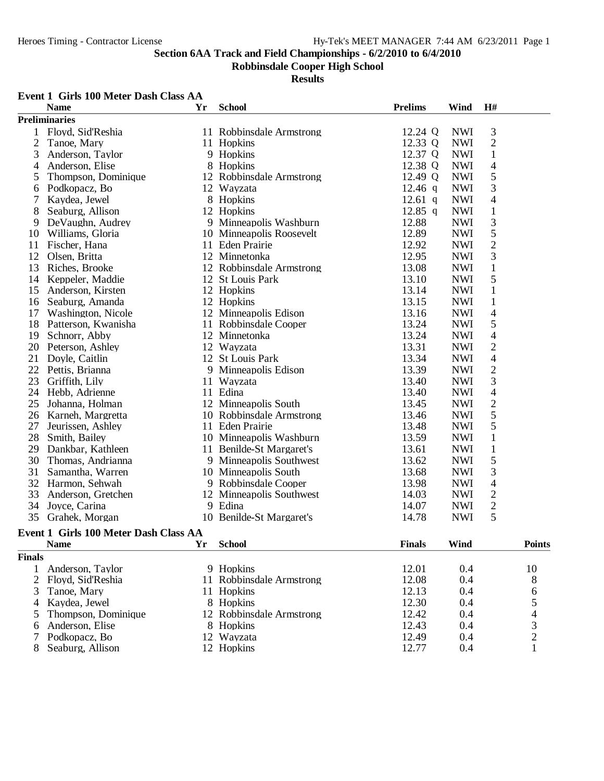**Robbinsdale Cooper High School**

**Results**

### **Event 1 Girls 100 Meter Dash Class AA**

|                | <b>Name</b>                           | Yr | <b>School</b>            | <b>Prelims</b> | Wind       | H#             |                         |
|----------------|---------------------------------------|----|--------------------------|----------------|------------|----------------|-------------------------|
|                | <b>Preliminaries</b>                  |    |                          |                |            |                |                         |
|                | 1 Floyd, Sid'Reshia                   |    | 11 Robbinsdale Armstrong | 12.24 Q        | <b>NWI</b> | 3              |                         |
| $\mathfrak{2}$ | Tanoe, Mary                           |    | 11 Hopkins               | 12.33 Q        | <b>NWI</b> | $\sqrt{2}$     |                         |
| 3              | Anderson, Taylor                      |    | 9 Hopkins                | 12.37 Q        | <b>NWI</b> | $\mathbf{1}$   |                         |
| 4              | Anderson, Elise                       |    | 8 Hopkins                | 12.38 Q        | <b>NWI</b> | 4              |                         |
| 5              | Thompson, Dominique                   |    | 12 Robbinsdale Armstrong | 12.49 Q        | <b>NWI</b> | 5              |                         |
| 6              | Podkopacz, Bo                         |    | 12 Wayzata               | $12.46$ q      | <b>NWI</b> | 3              |                         |
| 7              | Kaydea, Jewel                         |    | 8 Hopkins                | $12.61$ q      | <b>NWI</b> | $\overline{4}$ |                         |
| 8              | Seaburg, Allison                      |    | 12 Hopkins               | 12.85 q        | <b>NWI</b> | $\mathbf{1}$   |                         |
| 9              | DeVaughn, Audrey                      |    | 9 Minneapolis Washburn   | 12.88          | <b>NWI</b> | $\mathfrak{Z}$ |                         |
| 10             | Williams, Gloria                      |    | 10 Minneapolis Roosevelt | 12.89          | <b>NWI</b> | 5              |                         |
| 11             | Fischer, Hana                         |    | 11 Eden Prairie          | 12.92          | <b>NWI</b> | $\sqrt{2}$     |                         |
| 12             | Olsen, Britta                         |    | 12 Minnetonka            | 12.95          | <b>NWI</b> | $\mathfrak{Z}$ |                         |
| 13             | Riches, Brooke                        |    | 12 Robbinsdale Armstrong | 13.08          | <b>NWI</b> | $\mathbf{1}$   |                         |
| 14             | Keppeler, Maddie                      |    | 12 St Louis Park         | 13.10          | <b>NWI</b> | 5              |                         |
| 15             | Anderson, Kirsten                     |    | 12 Hopkins               | 13.14          | <b>NWI</b> | $\mathbf{1}$   |                         |
| 16             | Seaburg, Amanda                       |    | 12 Hopkins               | 13.15          | <b>NWI</b> | $\mathbf{1}$   |                         |
| 17             | Washington, Nicole                    |    | 12 Minneapolis Edison    | 13.16          | <b>NWI</b> | $\overline{4}$ |                         |
| 18             | Patterson, Kwanisha                   |    | 11 Robbinsdale Cooper    | 13.24          | <b>NWI</b> | 5              |                         |
| 19             | Schnorr, Abby                         |    | 12 Minnetonka            | 13.24          | <b>NWI</b> | $\overline{4}$ |                         |
| 20             | Peterson, Ashley                      |    | 12 Wayzata               | 13.31          | <b>NWI</b> | $\sqrt{2}$     |                         |
| 21             | Doyle, Caitlin                        |    | 12 St Louis Park         | 13.34          | <b>NWI</b> | $\overline{4}$ |                         |
| 22             | Pettis, Brianna                       |    | 9 Minneapolis Edison     | 13.39          | <b>NWI</b> | $\mathbf{2}$   |                         |
| 23             | Griffith, Lily                        |    | 11 Wayzata               | 13.40          | <b>NWI</b> | 3              |                         |
| 24             | Hebb, Adrienne                        |    | 11 Edina                 | 13.40          | <b>NWI</b> | $\overline{4}$ |                         |
| 25             | Johanna, Holman                       |    | 12 Minneapolis South     | 13.45          | <b>NWI</b> | $\sqrt{2}$     |                         |
| 26             | Karneh, Margretta                     |    | 10 Robbinsdale Armstrong | 13.46          | <b>NWI</b> | 5              |                         |
| 27             | Jeurissen, Ashley                     |    | 11 Eden Prairie          | 13.48          | <b>NWI</b> | 5              |                         |
| 28             | Smith, Bailey                         |    | 10 Minneapolis Washburn  | 13.59          | <b>NWI</b> | $\mathbf{1}$   |                         |
| 29             | Dankbar, Kathleen                     |    | 11 Benilde-St Margaret's | 13.61          | <b>NWI</b> | $\mathbf{1}$   |                         |
| 30             | Thomas, Andrianna                     |    | 9 Minneapolis Southwest  | 13.62          | <b>NWI</b> | 5              |                         |
| 31             | Samantha, Warren                      |    | 10 Minneapolis South     | 13.68          | <b>NWI</b> | 3              |                         |
| 32             | Harmon, Sehwah                        |    | 9 Robbinsdale Cooper     | 13.98          | <b>NWI</b> | $\overline{4}$ |                         |
| 33             | Anderson, Gretchen                    |    | 12 Minneapolis Southwest | 14.03          | <b>NWI</b> | $\mathbf{2}$   |                         |
| 34             | Joyce, Carina                         |    | 9 Edina                  | 14.07          | <b>NWI</b> | $\mathbf{2}$   |                         |
| 35             | Grahek, Morgan                        |    | 10 Benilde-St Margaret's | 14.78          | <b>NWI</b> | 5              |                         |
|                | Event 1 Girls 100 Meter Dash Class AA |    |                          |                |            |                |                         |
|                | <b>Name</b>                           | Yr | School                   | <b>Finals</b>  | Wind       |                | Points                  |
| <b>Finals</b>  |                                       |    |                          |                |            |                |                         |
| 1              | Anderson, Taylor                      |    | 9 Hopkins                | 12.01          | 0.4        |                | 10                      |
| $\overline{2}$ | Floyd, Sid'Reshia                     |    | 11 Robbinsdale Armstrong | 12.08          | 0.4        |                | $8\,$                   |
| 3              | Tanoe, Mary                           |    | 11 Hopkins               | 12.13          | 0.4        |                | 6                       |
| 4              | Kaydea, Jewel                         |    | 8 Hopkins                | 12.30          | 0.4        |                | 5                       |
| 5              | Thompson, Dominique                   |    | 12 Robbinsdale Armstrong | 12.42          | 0.4        |                | 4                       |
| 6              | Anderson, Elise                       |    | 8 Hopkins                | 12.43          | 0.4        |                | $\overline{\mathbf{3}}$ |
| 7              | Podkopacz, Bo                         |    | 12 Wayzata               | 12.49          | 0.4        |                | $\sqrt{2}$              |
|                | Seaburg, Allison                      |    | 12 Hopkins               | 12.77          | 0.4        |                | 1                       |
|                |                                       |    |                          |                |            |                |                         |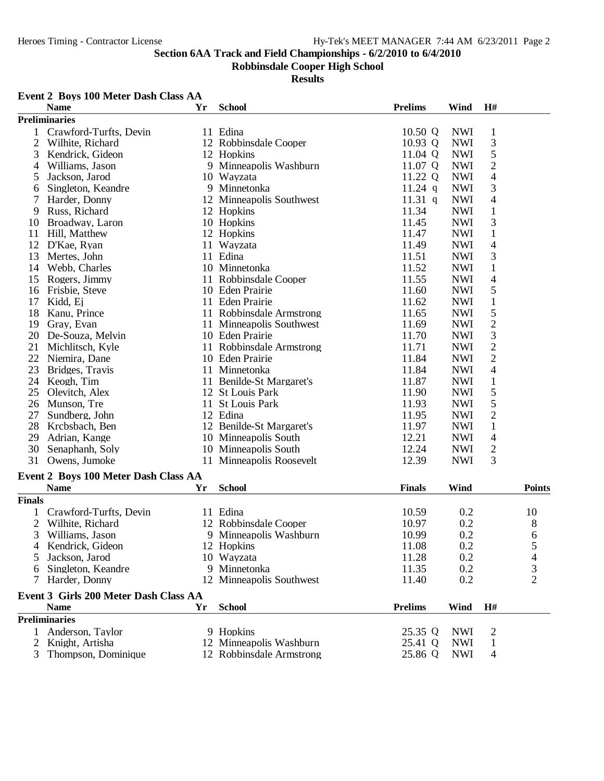**Robbinsdale Cooper High School**

|               | Event 2 Boys 100 Meter Dash Class AA  |    |                          |                |            |                          |                |
|---------------|---------------------------------------|----|--------------------------|----------------|------------|--------------------------|----------------|
|               | <b>Name</b>                           | Yr | <b>School</b>            | <b>Prelims</b> | Wind       | H#                       |                |
|               | <b>Preliminaries</b>                  |    |                          |                |            |                          |                |
|               | Crawford-Turfts, Devin                |    | 11 Edina                 | 10.50 Q        | <b>NWI</b> | $\mathbf{1}$             |                |
| 2             | Wilhite, Richard                      |    | 12 Robbinsdale Cooper    | 10.93 Q        | <b>NWI</b> | 3                        |                |
| 3             | Kendrick, Gideon                      |    | 12 Hopkins               | 11.04 Q        | <b>NWI</b> | 5                        |                |
| 4             | Williams, Jason                       |    | 9 Minneapolis Washburn   | 11.07 Q        | <b>NWI</b> | $\overline{c}$           |                |
| 5             | Jackson, Jarod                        |    | 10 Wayzata               | 11.22 Q        | <b>NWI</b> | 4                        |                |
| 6             | Singleton, Keandre                    |    | 9 Minnetonka             | $11.24$ q      | <b>NWI</b> | 3                        |                |
| 7             | Harder, Donny                         |    | 12 Minneapolis Southwest | 11.31 $q$      | <b>NWI</b> | 4                        |                |
| 9             | Russ, Richard                         |    | 12 Hopkins               | 11.34          | <b>NWI</b> | $\mathbf{1}$             |                |
| 10            | Broadway, Laron                       |    | 10 Hopkins               | 11.45          | <b>NWI</b> | 3                        |                |
| 11            | Hill, Matthew                         |    | 12 Hopkins               | 11.47          | <b>NWI</b> | $\mathbf{1}$             |                |
| 12            | D'Kae, Ryan                           |    | 11 Wayzata               | 11.49          | <b>NWI</b> | $\overline{4}$           |                |
| 13            | Mertes, John                          |    | 11 Edina                 | 11.51          | <b>NWI</b> | 3                        |                |
| 14            | Webb, Charles                         |    | 10 Minnetonka            | 11.52          | <b>NWI</b> | $\mathbf{1}$             |                |
| 15            | Rogers, Jimmy                         |    | 11 Robbinsdale Cooper    | 11.55          | <b>NWI</b> | $\overline{\mathcal{L}}$ |                |
| 16            | Frisbie, Steve                        |    | 10 Eden Prairie          | 11.60          | <b>NWI</b> | 5                        |                |
| 17            | Kidd, Ej                              |    | 11 Eden Prairie          | 11.62          | <b>NWI</b> | $\mathbf{1}$             |                |
| 18            | Kanu, Prince                          |    | 11 Robbinsdale Armstrong | 11.65          | <b>NWI</b> | 5                        |                |
| 19            | Gray, Evan                            |    | 11 Minneapolis Southwest | 11.69          | <b>NWI</b> | $\overline{c}$           |                |
| 20            | De-Souza, Melvin                      |    | 10 Eden Prairie          | 11.70          | <b>NWI</b> | 3                        |                |
| 21            | Michlitsch, Kyle                      |    | 11 Robbinsdale Armstrong | 11.71          | <b>NWI</b> | $\overline{c}$           |                |
| 22            | Niemira, Dane                         |    | 10 Eden Prairie          | 11.84          | <b>NWI</b> | $\overline{2}$           |                |
| 23            | Bridges, Travis                       |    | 11 Minnetonka            | 11.84          | <b>NWI</b> | 4                        |                |
| 24            | Keogh, Tim                            |    | 11 Benilde-St Margaret's | 11.87          | <b>NWI</b> | $\mathbf{1}$             |                |
| 25            | Olevitch, Alex                        |    | 12 St Louis Park         | 11.90          | <b>NWI</b> | 5                        |                |
| 26            | Munson, Tre                           |    | 11 St Louis Park         | 11.93          | <b>NWI</b> | 5                        |                |
| 27            | Sundberg, John                        |    | 12 Edina                 |                | <b>NWI</b> | $\overline{c}$           |                |
| 28            |                                       |    |                          | 11.95          |            | $\,1$                    |                |
|               | Krcbsbach, Ben                        |    | 12 Benilde-St Margaret's | 11.97          | <b>NWI</b> |                          |                |
| 29            | Adrian, Kange                         |    | 10 Minneapolis South     | 12.21          | <b>NWI</b> | $\overline{4}$           |                |
| 30            | Senaphanh, Soly                       |    | 10 Minneapolis South     | 12.24          | <b>NWI</b> | 2                        |                |
| 31            | Owens, Jumoke                         |    | 11 Minneapolis Roosevelt | 12.39          | <b>NWI</b> | 3                        |                |
|               | Event 2 Boys 100 Meter Dash Class AA  |    |                          |                |            |                          |                |
|               | <b>Name</b>                           | Yr | <b>School</b>            | <b>Finals</b>  | Wind       |                          | <b>Points</b>  |
| <b>Finals</b> |                                       |    |                          |                |            |                          |                |
|               | Crawford-Turfts, Devin                |    | 11 Edina                 | 10.59          | 0.2        |                          | 10             |
| 2             | Wilhite, Richard                      |    | 12 Robbinsdale Cooper    | 10.97          | 0.2        |                          | 8              |
| C             | Williams, Jason                       |    | 9 Minneapolis Washburn   | 10.99          | 0.2        |                          | 6              |
|               | Kendrick, Gideon                      |    | 12 Hopkins               | 11.08          | 0.2        |                          | 5              |
| 5             | Jackson, Jarod                        |    | 10 Wayzata               | 11.28          | 0.2        |                          | 4              |
| 6             | Singleton, Keandre                    |    | 9 Minnetonka             | 11.35          | 0.2        |                          | 3              |
| 7             | Harder, Donny                         |    | 12 Minneapolis Southwest | 11.40          | 0.2        |                          | $\overline{2}$ |
|               |                                       |    |                          |                |            |                          |                |
|               | Event 3 Girls 200 Meter Dash Class AA |    |                          |                |            |                          |                |
|               | <b>Name</b>                           | Yr | <b>School</b>            | <b>Prelims</b> | Wind       | H#                       |                |
|               | <b>Preliminaries</b>                  |    |                          |                |            |                          |                |
|               | 1 Anderson, Taylor                    |    | 9 Hopkins                | 25.35 Q        | <b>NWI</b> | $\overline{2}$           |                |
| 2             | Knight, Artisha                       |    | 12 Minneapolis Washburn  | 25.41 Q        | <b>NWI</b> | $\mathbf{1}$             |                |
| 3             | Thompson, Dominique                   |    | 12 Robbinsdale Armstrong | 25.86 Q        | <b>NWI</b> | 4                        |                |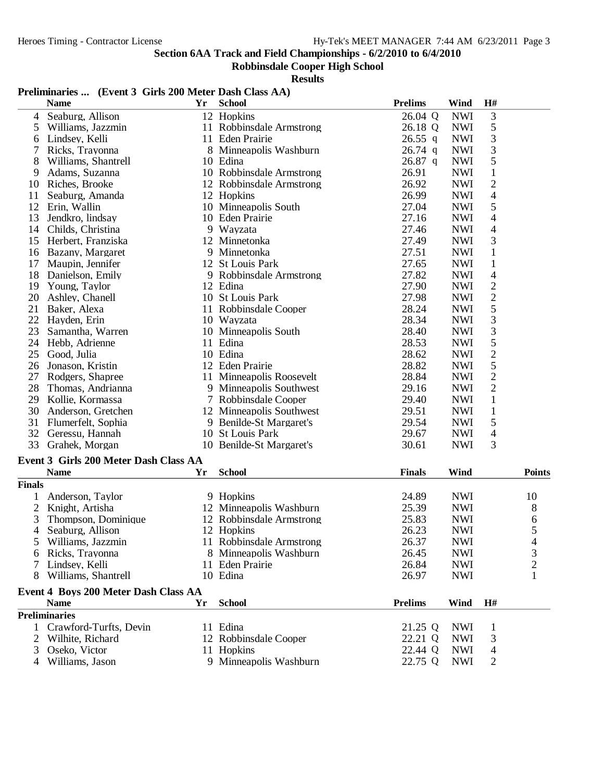#### **Robbinsdale Cooper High School**

|  |  | Preliminaries  (Event 3 Girls 200 Meter Dash Class AA) |
|--|--|--------------------------------------------------------|
|--|--|--------------------------------------------------------|

|               | <b>Name</b>                           | Yr | <b>School</b>            | <b>Prelims</b> | Wind       | H#             |                |
|---------------|---------------------------------------|----|--------------------------|----------------|------------|----------------|----------------|
| 4             | Seaburg, Allison                      |    | 12 Hopkins               | 26.04 Q        | <b>NWI</b> | 3              |                |
| 5             | Williams, Jazzmin                     |    | 11 Robbinsdale Armstrong | 26.18 Q        | <b>NWI</b> | 5              |                |
| 6             | Lindsey, Kelli                        |    | 11 Eden Prairie          | $26.55$ q      | <b>NWI</b> | 3              |                |
| 7             | Ricks, Trayonna                       |    | 8 Minneapolis Washburn   | $26.74$ q      | <b>NWI</b> | 3              |                |
| 8             | Williams, Shantrell                   |    | 10 Edina                 | $26.87$ q      | <b>NWI</b> | 5              |                |
| 9             | Adams, Suzanna                        |    | 10 Robbinsdale Armstrong | 26.91          | <b>NWI</b> | $\mathbf{1}$   |                |
| 10            | Riches, Brooke                        |    | 12 Robbinsdale Armstrong | 26.92          | <b>NWI</b> | 2              |                |
| 11            | Seaburg, Amanda                       |    | 12 Hopkins               | 26.99          | <b>NWI</b> | 4              |                |
| 12            | Erin, Wallin                          |    | 10 Minneapolis South     | 27.04          | <b>NWI</b> | 5              |                |
| 13            | Jendkro, lindsay                      |    | 10 Eden Prairie          | 27.16          | <b>NWI</b> | 4              |                |
| 14            | Childs, Christina                     |    | 9 Wayzata                | 27.46          | <b>NWI</b> | 4              |                |
| 15            | Herbert, Franziska                    |    | 12 Minnetonka            | 27.49          | <b>NWI</b> | 3              |                |
| 16            | Bazany, Margaret                      |    | 9 Minnetonka             | 27.51          | <b>NWI</b> | $\mathbf{1}$   |                |
| 17            | Maupin, Jennifer                      |    | 12 St Louis Park         | 27.65          | <b>NWI</b> | $\mathbf{1}$   |                |
| 18            | Danielson, Emily                      |    | 9 Robbinsdale Armstrong  | 27.82          | <b>NWI</b> | 4              |                |
| 19            | Young, Taylor                         |    | 12 Edina                 | 27.90          | <b>NWI</b> | $\overline{c}$ |                |
| 20            | Ashley, Chanell                       |    | 10 St Louis Park         | 27.98          | <b>NWI</b> | $\overline{c}$ |                |
| 21            | Baker, Alexa                          |    | 11 Robbinsdale Cooper    | 28.24          | <b>NWI</b> | 5              |                |
| 22            | Hayden, Erin                          |    | 10 Wayzata               | 28.34          | <b>NWI</b> | 3              |                |
| 23            | Samantha, Warren                      |    | 10 Minneapolis South     | 28.40          | <b>NWI</b> | 3              |                |
| 24            | Hebb, Adrienne                        |    | 11 Edina                 | 28.53          | <b>NWI</b> | 5              |                |
| 25            | Good, Julia                           |    | 10 Edina                 | 28.62          | <b>NWI</b> | $\overline{c}$ |                |
| 26            | Jonason, Kristin                      |    | 12 Eden Prairie          | 28.82          | <b>NWI</b> | 5              |                |
| 27            | Rodgers, Shapree                      |    | 11 Minneapolis Roosevelt | 28.84          | <b>NWI</b> | $\overline{c}$ |                |
| 28            | Thomas, Andrianna                     |    | 9 Minneapolis Southwest  | 29.16          | <b>NWI</b> | $\overline{2}$ |                |
| 29            | Kollie, Kormassa                      |    | 7 Robbinsdale Cooper     | 29.40          | <b>NWI</b> | $\mathbf 1$    |                |
| 30            | Anderson, Gretchen                    |    | 12 Minneapolis Southwest | 29.51          | <b>NWI</b> | $\mathbf 1$    |                |
| 31            | Flumerfelt, Sophia                    |    | 9 Benilde-St Margaret's  | 29.54          | <b>NWI</b> | 5              |                |
| 32            | Geressu, Hannah                       |    | 10 St Louis Park         | 29.67          | <b>NWI</b> | 4              |                |
| 33            | Grahek, Morgan                        |    | 10 Benilde-St Margaret's | 30.61          | <b>NWI</b> | 3              |                |
|               | Event 3 Girls 200 Meter Dash Class AA |    |                          |                |            |                |                |
|               | <b>Name</b>                           | Yr | <b>School</b>            | <b>Finals</b>  | Wind       |                | <b>Points</b>  |
| <b>Finals</b> |                                       |    |                          |                |            |                |                |
|               | Anderson, Taylor                      |    | 9 Hopkins                | 24.89          | <b>NWI</b> |                | 10             |
| 2             | Knight, Artisha                       |    | 12 Minneapolis Washburn  | 25.39          | <b>NWI</b> |                | 8              |
| 3             | Thompson, Dominique                   |    | 12 Robbinsdale Armstrong | 25.83          | <b>NWI</b> |                | 6              |
| 4             | Seaburg, Allison                      |    | 12 Hopkins               | 26.23          | <b>NWI</b> |                | 5              |
|               | 5 Williams, Jazzmin                   |    | 11 Robbinsdale Armstrong | 26.37          | <b>NWI</b> |                | $\overline{4}$ |
| 6             | Ricks, Trayonna                       |    | 8 Minneapolis Washburn   | 26.45          | <b>NWI</b> |                | 3              |
|               | Lindsey, Kelli                        |    | 11 Eden Prairie          | 26.84          | <b>NWI</b> |                | $\overline{c}$ |
| 8             | Williams, Shantrell                   |    | 10 Edina                 | 26.97          | <b>NWI</b> |                | 1              |
|               |                                       |    |                          |                |            |                |                |
|               | Event 4 Boys 200 Meter Dash Class AA  |    |                          |                |            |                |                |
|               | <b>Name</b>                           | Yr | <b>School</b>            | <b>Prelims</b> | Wind       | H#             |                |
|               | <b>Preliminaries</b>                  |    |                          |                |            |                |                |
|               | Crawford-Turfts, Devin                |    | 11 Edina                 | 21.25 Q        | <b>NWI</b> | 1              |                |
| 2             | Wilhite, Richard                      |    | 12 Robbinsdale Cooper    | 22.21 Q        | <b>NWI</b> | 3              |                |
| 3             | Oseko, Victor                         |    | 11 Hopkins               | 22.44 Q        | <b>NWI</b> | 4              |                |
| 4             | Williams, Jason                       |    | 9 Minneapolis Washburn   | 22.75 Q        | <b>NWI</b> | 2              |                |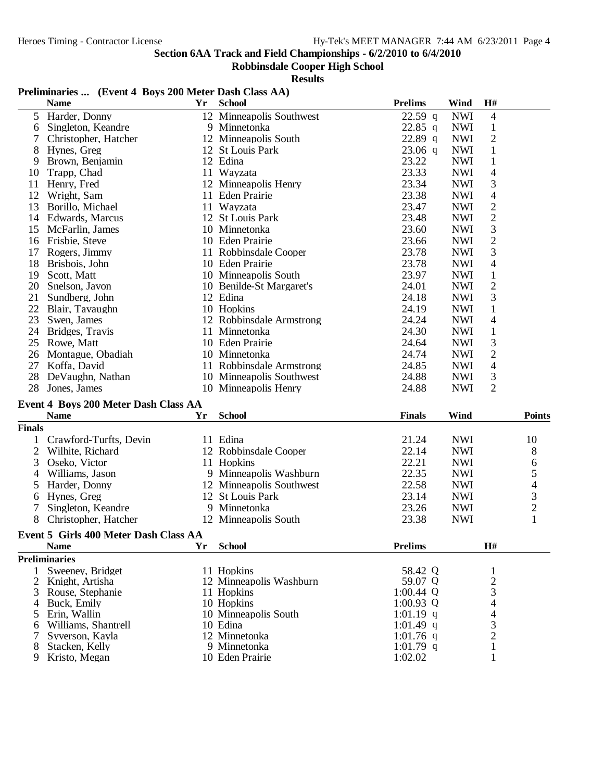## **Robbinsdale Cooper High School**

### **Results**

## **Preliminaries ... (Event 4 Boys 200 Meter Dash Class AA)**

|                | <b>Name</b>                           | Yr        | <b>School</b>            | <b>Prelims</b> | Wind       | H#                      |                          |
|----------------|---------------------------------------|-----------|--------------------------|----------------|------------|-------------------------|--------------------------|
| 5              | Harder, Donny                         |           | 12 Minneapolis Southwest | $22.59$ q      | <b>NWI</b> | $\overline{4}$          |                          |
| 6              | Singleton, Keandre                    |           | 9 Minnetonka             | 22.85 q        | <b>NWI</b> | $\mathbf{1}$            |                          |
|                | Christopher, Hatcher                  |           | 12 Minneapolis South     | 22.89 $q$      | <b>NWI</b> | $\overline{c}$          |                          |
| 8              | Hynes, Greg                           |           | 12 St Louis Park         | $23.06$ q      | <b>NWI</b> | $\mathbf{1}$            |                          |
| 9              | Brown, Benjamin                       |           | 12 Edina                 | 23.22          | <b>NWI</b> | $\mathbf{1}$            |                          |
| 10             | Trapp, Chad                           |           | 11 Wayzata               | 23.33          | <b>NWI</b> | $\overline{4}$          |                          |
| 11             | Henry, Fred                           |           | 12 Minneapolis Henry     | 23.34          | <b>NWI</b> | 3                       |                          |
| 12             | Wright, Sam                           |           | 11 Eden Prairie          | 23.38          | <b>NWI</b> | 4                       |                          |
| 13             | Borillo, Michael                      |           | 11 Wayzata               | 23.47          | <b>NWI</b> | 2                       |                          |
| 14             | Edwards, Marcus                       |           | 12 St Louis Park         | 23.48          | <b>NWI</b> | $\sqrt{2}$              |                          |
| 15             | McFarlin, James                       |           | 10 Minnetonka            | 23.60          | <b>NWI</b> | 3                       |                          |
| 16             | Frisbie, Steve                        |           | 10 Eden Prairie          | 23.66          | <b>NWI</b> | $\overline{\mathbf{c}}$ |                          |
| 17             | Rogers, Jimmy                         |           | 11 Robbinsdale Cooper    | 23.78          | <b>NWI</b> | 3                       |                          |
| 18             | Brisbois, John                        |           | 10 Eden Prairie          | 23.78          | <b>NWI</b> | $\overline{4}$          |                          |
| 19             | Scott, Matt                           |           | 10 Minneapolis South     | 23.97          | <b>NWI</b> | $\,1$                   |                          |
| 20             | Snelson, Javon                        |           | 10 Benilde-St Margaret's | 24.01          | <b>NWI</b> | $\sqrt{2}$              |                          |
| 21             | Sundberg, John                        |           | 12 Edina                 | 24.18          | <b>NWI</b> | 3                       |                          |
| 22             | Blair, Tavaughn                       |           | 10 Hopkins               | 24.19          | <b>NWI</b> | $\mathbf{1}$            |                          |
| 23             | Swen, James                           |           | 12 Robbinsdale Armstrong | 24.24          | <b>NWI</b> | $\overline{4}$          |                          |
| 24             | Bridges, Travis                       |           | 11 Minnetonka            | 24.30          | <b>NWI</b> | $\mathbf{1}$            |                          |
| 25             | Rowe, Matt                            |           | 10 Eden Prairie          | 24.64          | <b>NWI</b> | 3                       |                          |
| 26             | Montague, Obadiah                     |           | 10 Minnetonka            | 24.74          | <b>NWI</b> | $\overline{2}$          |                          |
| 27             | Koffa, David                          |           | 11 Robbinsdale Armstrong | 24.85          | <b>NWI</b> | $\overline{4}$          |                          |
| 28             | DeVaughn, Nathan                      |           | 10 Minneapolis Southwest | 24.88          | <b>NWI</b> | 3                       |                          |
| 28             | Jones, James                          |           | 10 Minneapolis Henry     | 24.88          | <b>NWI</b> | $\overline{2}$          |                          |
|                |                                       |           |                          |                |            |                         |                          |
|                | Event 4 Boys 200 Meter Dash Class AA  |           |                          |                |            |                         |                          |
|                | <b>Name</b>                           | Yr        | <b>School</b>            | <b>Finals</b>  | Wind       |                         | <b>Points</b>            |
| <b>Finals</b>  |                                       |           |                          |                |            |                         |                          |
| 1              | Crawford-Turfts, Devin                |           | 11 Edina                 | 21.24          | <b>NWI</b> |                         | 10                       |
| $\overline{2}$ | Wilhite, Richard                      |           | 12 Robbinsdale Cooper    | 22.14          | <b>NWI</b> |                         | 8                        |
| 3              | Oseko, Victor                         |           | 11 Hopkins               | 22.21          | <b>NWI</b> |                         | 6                        |
| 4              | Williams, Jason                       |           | 9 Minneapolis Washburn   | 22.35          | <b>NWI</b> |                         | 5                        |
| 5              | Harder, Donny                         |           | 12 Minneapolis Southwest | 22.58          | <b>NWI</b> |                         | $\overline{\mathcal{L}}$ |
| 6              | Hynes, Greg                           |           | 12 St Louis Park         | 23.14          | <b>NWI</b> |                         | $\frac{3}{2}$            |
|                | Singleton, Keandre                    |           | 9 Minnetonka             | 23.26          | <b>NWI</b> |                         |                          |
| 8              | Christopher, Hatcher                  |           | 12 Minneapolis South     | 23.38          | <b>NWI</b> |                         | $\mathbf{1}$             |
|                | Event 5 Girls 400 Meter Dash Class AA |           |                          |                |            |                         |                          |
|                | <b>Name</b>                           | <b>Yr</b> | <b>School</b>            | <b>Prelims</b> |            | H#                      |                          |
|                | <b>Preliminaries</b>                  |           |                          |                |            |                         |                          |
| 1              | Sweeney, Bridget                      |           | 11 Hopkins               | 58.42 Q        |            | 1                       |                          |
| 2              | Knight, Artisha                       |           | 12 Minneapolis Washburn  | 59.07 Q        |            |                         |                          |
| 3              | Rouse, Stephanie                      |           | 11 Hopkins               | $1:00.44$ Q    |            |                         |                          |
| 4              | Buck, Emily                           |           | 10 Hopkins               | $1:00.93$ Q    |            | 2<br>3<br>4             |                          |
| 5              | Erin, Wallin                          |           | 10 Minneapolis South     | 1:01.19 q      |            | 4                       |                          |
| 6              | Williams, Shantrell                   |           | 10 Edina                 | $1:01.49$ q    |            |                         |                          |
| 7              | Syverson, Kayla                       |           | 12 Minnetonka            | 1:01.76 q      |            | $\frac{3}{2}$           |                          |
| 8              | Stacken, Kelly                        |           | 9 Minnetonka             | 1:01.79 q      |            | $\mathbf{1}$            |                          |
| 9              | Kristo, Megan                         |           | 10 Eden Prairie          | 1:02.02        |            | 1                       |                          |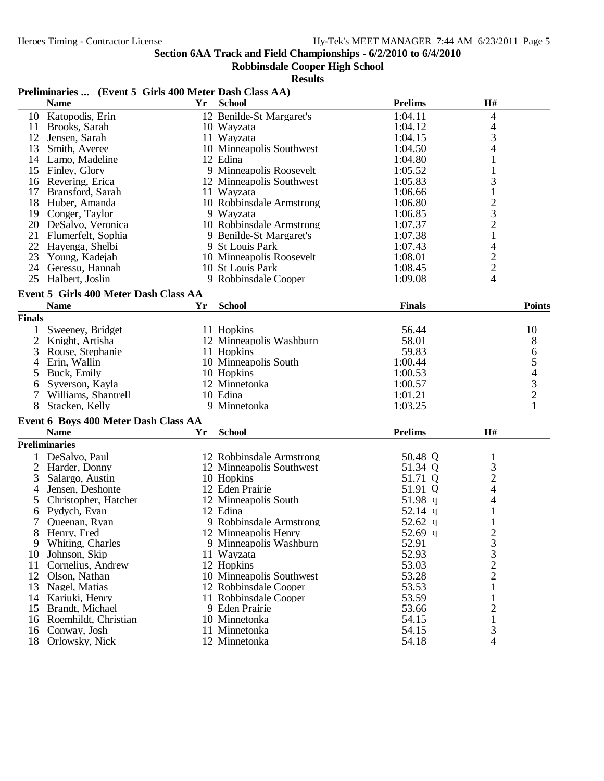## **Robbinsdale Cooper High School**

### **Results**

## **Preliminaries ... (Event 5 Girls 400 Meter Dash Class AA)**

|               | <b>Name</b>                           | Yr | <b>School</b>            | <b>Prelims</b> | $\mathbf{H}$ #                                  |                                            |
|---------------|---------------------------------------|----|--------------------------|----------------|-------------------------------------------------|--------------------------------------------|
| 10            | Katopodis, Erin                       |    | 12 Benilde-St Margaret's | 1:04.11        | 4                                               |                                            |
| 11            | Brooks, Sarah                         |    | 10 Wayzata               | 1:04.12        | 4                                               |                                            |
| 12            | Jensen, Sarah                         |    | 11 Wayzata               | 1:04.15        | 3                                               |                                            |
| 13            | Smith, Averee                         |    | 10 Minneapolis Southwest | 1:04.50        | 4                                               |                                            |
|               | 14 Lamo, Madeline                     |    | 12 Edina                 | 1:04.80        | 1                                               |                                            |
| 15            | Finley, Glory                         |    | 9 Minneapolis Roosevelt  | 1:05.52        | 1                                               |                                            |
| 16            | Revering, Erica                       |    | 12 Minneapolis Southwest | 1:05.83        | 3                                               |                                            |
| 17            | Bransford, Sarah                      |    | 11 Wayzata               | 1:06.66        | $\mathbf{1}$                                    |                                            |
| 18            | Huber, Amanda                         |    | 10 Robbinsdale Armstrong | 1:06.80        |                                                 |                                            |
| 19            | Conger, Taylor                        |    | 9 Wayzata                | 1:06.85        | $\begin{array}{c} 2 \\ 3 \\ 2 \\ 1 \end{array}$ |                                            |
| 20            | DeSalvo, Veronica                     |    | 10 Robbinsdale Armstrong | 1:07.37        |                                                 |                                            |
| 21            | Flumerfelt, Sophia                    |    | 9 Benilde-St Margaret's  | 1:07.38        |                                                 |                                            |
| 22            | Hayenga, Shelbi                       |    | 9 St Louis Park          | 1:07.43        | 4                                               |                                            |
| 23            | Young, Kadejah                        |    | 10 Minneapolis Roosevelt | 1:08.01        |                                                 |                                            |
| 24            | Geressu, Hannah                       |    | 10 St Louis Park         | 1:08.45        | $\frac{2}{2}$                                   |                                            |
| 25            | Halbert, Joslin                       |    | 9 Robbinsdale Cooper     | 1:09.08        | 4                                               |                                            |
|               | Event 5 Girls 400 Meter Dash Class AA |    |                          |                |                                                 |                                            |
|               | <b>Name</b>                           | Yr | <b>School</b>            | <b>Finals</b>  |                                                 | <b>Points</b>                              |
| <b>Finals</b> |                                       |    |                          |                |                                                 |                                            |
|               |                                       |    |                          |                |                                                 |                                            |
|               | Sweeney, Bridget                      |    | 11 Hopkins               | 56.44          |                                                 | 10                                         |
| 2             | Knight, Artisha                       |    | 12 Minneapolis Washburn  | 58.01          |                                                 | 8                                          |
| 3             | Rouse, Stephanie                      |    | 11 Hopkins               | 59.83          |                                                 | 6                                          |
| 4             | Erin, Wallin                          |    | 10 Minneapolis South     | 1:00.44        |                                                 | 5                                          |
| 5             | Buck, Emily                           |    | 10 Hopkins               | 1:00.53        |                                                 | $\begin{array}{c} 4 \\ 3 \\ 2 \end{array}$ |
| 6             | Syverson, Kayla                       |    | 12 Minnetonka            | 1:00.57        |                                                 |                                            |
| 7             | Williams, Shantrell                   |    | 10 Edina                 | 1:01.21        |                                                 |                                            |
| 8             | Stacken, Kelly                        |    | 9 Minnetonka             | 1:03.25        |                                                 | 1                                          |
|               | Event 6 Boys 400 Meter Dash Class AA  |    |                          |                |                                                 |                                            |
|               | <b>Name</b>                           | Yr | <b>School</b>            | <b>Prelims</b> | H#                                              |                                            |
|               | <b>Preliminaries</b>                  |    |                          |                |                                                 |                                            |
|               | DeSalvo, Paul                         |    | 12 Robbinsdale Armstrong | 50.48 Q        | $\mathbf{1}$                                    |                                            |
| 2             | Harder, Donny                         |    | 12 Minneapolis Southwest | 51.34 Q        |                                                 |                                            |
| 3             | Salargo, Austin                       |    | 10 Hopkins               | 51.71 Q        | $\frac{3}{2}$                                   |                                            |
| 4             | Jensen, Deshonte                      |    | 12 Eden Prairie          | 51.91 Q        | $\overline{\mathcal{L}}$                        |                                            |
| 5             | Christopher, Hatcher                  |    | 12 Minneapolis South     | 51.98 q        | 4                                               |                                            |
| 6             | Pydych, Evan                          |    | 12 Edina                 | 52.14 q        | $\mathbf{1}$                                    |                                            |
| 7             | Queenan, Ryan                         |    | 9 Robbinsdale Armstrong  | 52.62 q        |                                                 |                                            |
| 8             | Henry, Fred                           |    | 12 Minneapolis Henry     | 52.69 q        | $\overline{c}$                                  |                                            |
| 9             | Whiting, Charles                      |    | 9 Minneapolis Washburn   | 52.91          | 3                                               |                                            |
| 10            | Johnson, Skip                         |    | 11 Wayzata               | 52.93          | 3                                               |                                            |
| 11            | Cornelius, Andrew                     |    | 12 Hopkins               | 53.03          |                                                 |                                            |
| 12            | Olson, Nathan                         |    | 10 Minneapolis Southwest | 53.28          | $\frac{2}{2}$                                   |                                            |
| 13            | Nagel, Matias                         |    | 12 Robbinsdale Cooper    | 53.53          | $\mathbf 1$                                     |                                            |
| 14            | Kariuki, Henry                        |    | 11 Robbinsdale Cooper    | 53.59          | $\mathbf{1}$                                    |                                            |
| 15            | Brandt, Michael                       |    | 9 Eden Prairie           | 53.66          | $\overline{c}$                                  |                                            |
| 16            | Roemhildt, Christian                  |    | 10 Minnetonka            | 54.15          | $\mathbf{1}$                                    |                                            |
| 16            | Conway, Josh                          |    | 11 Minnetonka            | 54.15          | 3                                               |                                            |
| 18            | Orlowsky, Nick                        |    | 12 Minnetonka            | 54.18          | $\overline{4}$                                  |                                            |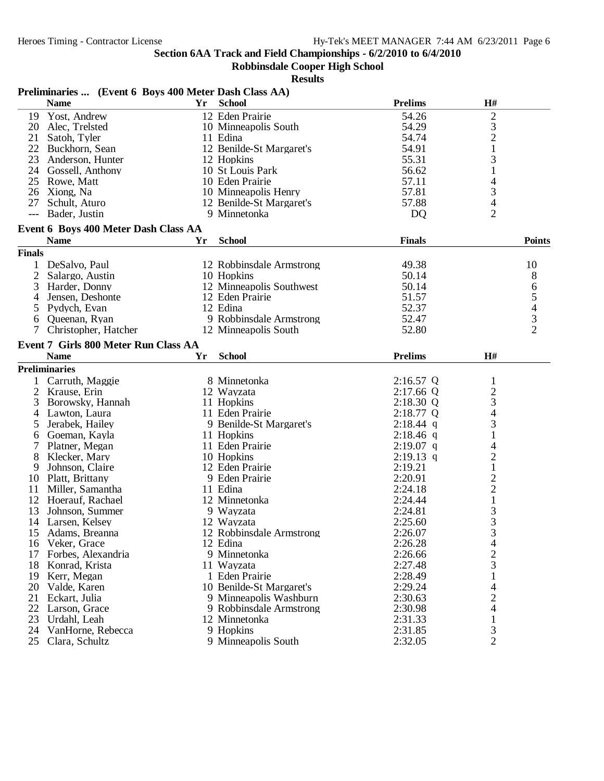#### **Robbinsdale Cooper High School**

|                | Preliminaries  (Event 6 Boys 400 Meter Dash Class AA) |    |                          |                |                          |                |
|----------------|-------------------------------------------------------|----|--------------------------|----------------|--------------------------|----------------|
|                | <b>Name</b>                                           | Yr | <b>School</b>            | <b>Prelims</b> | H#                       |                |
|                | 19 Yost, Andrew                                       |    | 12 Eden Prairie          | 54.26          | $\overline{\mathbf{c}}$  |                |
|                | 20 Alec, Trelsted                                     |    | 10 Minneapolis South     | 54.29          | 3                        |                |
| 21             | Satoh, Tyler                                          |    | 11 Edina                 | 54.74          | $\overline{c}$           |                |
| 22             | Buckhorn, Sean                                        |    | 12 Benilde-St Margaret's | 54.91          | $\mathbf{1}$             |                |
| 23             | Anderson, Hunter                                      |    | 12 Hopkins               | 55.31          | 3                        |                |
|                | 24 Gossell, Anthony                                   |    | 10 St Louis Park         | 56.62          | $\mathbf{1}$             |                |
|                | 25 Rowe, Matt                                         |    | 10 Eden Prairie          | 57.11          | 4                        |                |
|                | 26 Xiong, Na                                          |    | 10 Minneapolis Henry     | 57.81          | 3                        |                |
| 27             | Schult, Aturo                                         |    | 12 Benilde-St Margaret's | 57.88          | 4                        |                |
| $---$          | Bader, Justin                                         |    | 9 Minnetonka             | D <sub>Q</sub> | $\overline{2}$           |                |
|                | Event 6 Boys 400 Meter Dash Class AA                  |    |                          |                |                          |                |
|                | <b>Name</b>                                           | Yr | <b>School</b>            | <b>Finals</b>  |                          | <b>Points</b>  |
| <b>Finals</b>  |                                                       |    |                          |                |                          |                |
|                |                                                       |    |                          |                |                          |                |
|                | 1 DeSalvo, Paul                                       |    | 12 Robbinsdale Armstrong | 49.38          |                          | 10             |
| 2              | Salargo, Austin                                       |    | 10 Hopkins               | 50.14          |                          | 8              |
| 3              | Harder, Donny                                         |    | 12 Minneapolis Southwest | 50.14          |                          | 6              |
| 4              | Jensen, Deshonte                                      |    | 12 Eden Prairie          | 51.57          |                          | 5              |
| 5              | Pydych, Evan                                          |    | 12 Edina                 | 52.37          |                          | $\overline{4}$ |
| 6              | Queenan, Ryan                                         |    | 9 Robbinsdale Armstrong  | 52.47          |                          | 3              |
| 7              | Christopher, Hatcher                                  |    | 12 Minneapolis South     | 52.80          |                          | $\overline{2}$ |
|                | Event 7 Girls 800 Meter Run Class AA                  |    |                          |                |                          |                |
|                | <b>Name</b>                                           | Yr | <b>School</b>            | <b>Prelims</b> | H#                       |                |
|                | <b>Preliminaries</b>                                  |    |                          |                |                          |                |
| $\mathbf{1}$   | Carruth, Maggie                                       |    | 8 Minnetonka             | $2:16.57$ Q    | $\mathbf{1}$             |                |
| $\overline{2}$ | Krause, Erin                                          |    | 12 Wayzata               | $2:17.66$ Q    | $\overline{c}$           |                |
| 3              | Borowsky, Hannah                                      |    | 11 Hopkins               | 2:18.30 Q      | 3                        |                |
| 4              | Lawton, Laura                                         |    | 11 Eden Prairie          | 2:18.77 Q      | $\overline{\mathcal{L}}$ |                |
| 5              | Jerabek, Hailey                                       |    | 9 Benilde-St Margaret's  | $2:18.44$ q    | 3                        |                |
| 6              | Goeman, Kayla                                         |    | 11 Hopkins               | $2:18.46$ q    | 1                        |                |
| 7              | Platner, Megan                                        |    | 11 Eden Prairie          | $2:19.07$ q    | 4                        |                |
| 8              | Klecker, Mary                                         |    | 10 Hopkins               | $2:19.13$ q    | $\mathbf{2}$             |                |
| 9              | Johnson, Claire                                       |    | 12 Eden Prairie          | 2:19.21        | $\mathbf{1}$             |                |
|                | 10 Platt, Brittany                                    |    | 9 Eden Prairie           | 2:20.91        | $\overline{\mathbf{c}}$  |                |
|                | 11 Miller, Samantha                                   |    | 11 Edina                 | 2:24.18        | $\overline{c}$           |                |
|                | 12 Hoerauf, Rachael                                   |    | 12 Minnetonka            | 2:24.44        | $\mathbf{1}$             |                |
| 13             | Johnson, Summer                                       |    | 9 Wayzata                | 2:24.81        | $\mathfrak{Z}$           |                |
|                |                                                       |    |                          |                | 3                        |                |
|                | 14 Larsen, Kelsey                                     |    | 12 Wayzata               | 2:25.60        |                          |                |
|                | 15 Adams, Breanna                                     |    | 12 Robbinsdale Armstrong | 2:26.07        | 3                        |                |
|                | 16 Veker, Grace                                       |    | 12 Edina                 | 2:26.28        | 4                        |                |
|                | 17 Forbes, Alexandria                                 |    | 9 Minnetonka             | 2:26.66        | $\overline{c}$           |                |
|                | 18 Konrad, Krista                                     |    | 11 Wayzata               | 2:27.48        | 3                        |                |
|                | 19 Kerr, Megan                                        |    | 1 Eden Prairie           | 2:28.49        |                          |                |
|                | 20 Valde, Karen                                       |    | 10 Benilde-St Margaret's | 2:29.24        | 4                        |                |
|                | 21 Eckart, Julia                                      |    | 9 Minneapolis Washburn   | 2:30.63        | $\overline{c}$           |                |
|                | 22 Larson, Grace                                      |    | 9 Robbinsdale Armstrong  | 2:30.98        | 4                        |                |
|                | 23 Urdahl, Leah                                       |    | 12 Minnetonka            | 2:31.33        |                          |                |
|                | 24 VanHorne, Rebecca                                  |    | 9 Hopkins                | 2:31.85        | 3                        |                |
|                | 25 Clara, Schultz                                     |    | 9 Minneapolis South      | 2:32.05        | $\overline{2}$           |                |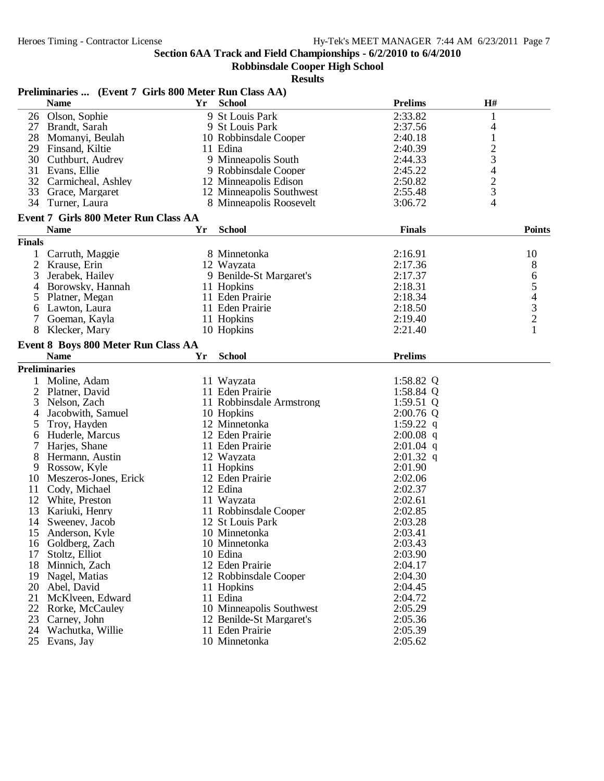#### **Robbinsdale Cooper High School**

|               | Preliminaries  (Event 7 Girls 800 Meter Run Class AA) |    |                          |                |                |
|---------------|-------------------------------------------------------|----|--------------------------|----------------|----------------|
|               | <b>Name</b>                                           | Yr | <b>School</b>            | <b>Prelims</b> | H#             |
|               | 26 Olson, Sophie                                      |    | 9 St Louis Park          | 2:33.82        | 1              |
|               | 27 Brandt, Sarah                                      |    | 9 St Louis Park          | 2:37.56        | 4              |
|               | 28 Momanyi, Beulah                                    |    | 10 Robbinsdale Cooper    | 2:40.18        | $\mathbf{1}$   |
|               | 29 Finsand, Kiltie                                    |    | 11 Edina                 | 2:40.39        | $\overline{c}$ |
| 30            | Cuthburt, Audrey                                      |    | 9 Minneapolis South      | 2:44.33        | 3              |
| 31            | Evans, Ellie                                          |    | 9 Robbinsdale Cooper     | 2:45.22        | 4              |
|               | 32 Carmicheal, Ashley                                 |    | 12 Minneapolis Edison    | 2:50.82        | $\overline{c}$ |
|               | 33 Grace, Margaret                                    |    | 12 Minneapolis Southwest | 2:55.48        | 3              |
|               | 34 Turner, Laura                                      |    | 8 Minneapolis Roosevelt  | 3:06.72        | 4              |
|               | Event 7 Girls 800 Meter Run Class AA                  |    |                          |                |                |
|               | <b>Name</b>                                           | Yr | <b>School</b>            | <b>Finals</b>  | <b>Points</b>  |
| <b>Finals</b> |                                                       |    |                          |                |                |
| 1             | Carruth, Maggie                                       |    | 8 Minnetonka             | 2:16.91        | 10             |
| 2             | Krause, Erin                                          |    | 12 Wayzata               | 2:17.36        | 8              |
| 3             | Jerabek, Hailey                                       |    | 9 Benilde-St Margaret's  | 2:17.37        | 6              |
| 4             | Borowsky, Hannah                                      |    | 11 Hopkins               | 2:18.31        | 5              |
| 5             | Platner, Megan                                        |    | 11 Eden Prairie          | 2:18.34        |                |
| 6             | Lawton, Laura                                         |    | 11 Eden Prairie          | 2:18.50        | $\frac{4}{3}$  |
| 7             | Goeman, Kayla                                         |    | 11 Hopkins               | 2:19.40        |                |
| 8             | Klecker, Mary                                         |    | 10 Hopkins               | 2:21.40        | $\mathbf{1}$   |
|               | Event 8 Boys 800 Meter Run Class AA                   |    |                          |                |                |
|               | <b>Name</b>                                           | Yr | <b>School</b>            | <b>Prelims</b> |                |
|               | <b>Preliminaries</b>                                  |    |                          |                |                |
|               | 1 Moline, Adam                                        |    | 11 Wayzata               | 1:58.82 Q      |                |
|               | 2 Platner, David                                      |    | 11 Eden Prairie          | 1:58.84 $Q$    |                |
| 3             | Nelson, Zach                                          |    | 11 Robbinsdale Armstrong | 1:59.51 $Q$    |                |
| 4             | Jacobwith, Samuel                                     |    | 10 Hopkins               | $2:00.76$ Q    |                |
| 5             | Troy, Hayden                                          |    | 12 Minnetonka            | 1:59.22 q      |                |
| 6             | Huderle, Marcus                                       |    | 12 Eden Prairie          | $2:00.08$ q    |                |
| 7             | Harjes, Shane                                         |    | 11 Eden Prairie          | $2:01.04$ q    |                |
| 8             | Hermann, Austin                                       |    | 12 Wayzata               | $2:01.32$ q    |                |
| 9             | Rossow, Kyle                                          |    | 11 Hopkins               | 2:01.90        |                |
| 10            | Meszeros-Jones, Erick                                 |    | 12 Eden Prairie          | 2:02.06        |                |
| 11            | Cody, Michael                                         |    | 12 Edina                 | 2:02.37        |                |
| 12            | White, Preston                                        |    | 11 Wayzata               | 2:02.61        |                |
| 13            | Kariuki, Henry                                        |    | 11 Robbinsdale Cooper    | 2:02.85        |                |
|               | 14 Sweeney, Jacob                                     |    | 12 St Louis Park         | 2:03.28        |                |
|               | 15 Anderson, Kyle                                     |    | 10 Minnetonka            | 2:03.41        |                |
|               | 16 Goldberg, Zach                                     |    | 10 Minnetonka            | 2:03.43        |                |
| 17            | Stoltz, Elliot                                        |    | 10 Edina                 | 2:03.90        |                |
|               | 18 Minnich, Zach                                      |    | 12 Eden Prairie          | 2:04.17        |                |
|               | 19 Nagel, Matias                                      |    | 12 Robbinsdale Cooper    | 2:04.30        |                |
|               | 20 Abel, David                                        |    | 11 Hopkins               | 2:04.45        |                |
| 21            | McKlveen, Edward                                      |    | 11 Edina                 | 2:04.72        |                |
|               | 22 Rorke, McCauley                                    |    | 10 Minneapolis Southwest | 2:05.29        |                |
|               | 23 Carney, John                                       |    | 12 Benilde-St Margaret's | 2:05.36        |                |
|               | 24 Wachutka, Willie                                   |    | 11 Eden Prairie          | 2:05.39        |                |
|               | 25 Evans, Jay                                         |    | 10 Minnetonka            | 2:05.62        |                |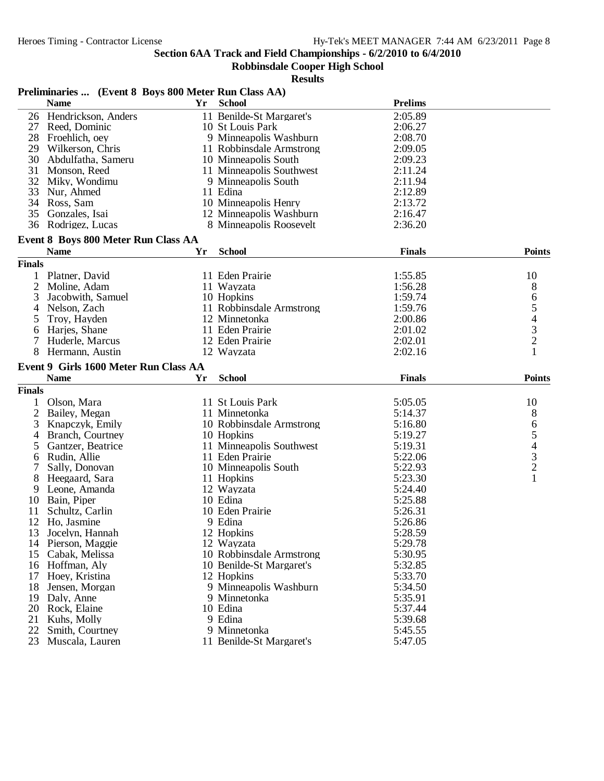# **Robbinsdale Cooper High School**

### **Results**

## **Preliminaries ... (Event 8 Boys 800 Meter Run Class AA)**

|                | <b>Name</b>                           | Yr | <b>School</b>                            | <b>Prelims</b>     |                                                 |
|----------------|---------------------------------------|----|------------------------------------------|--------------------|-------------------------------------------------|
| 26             | Hendrickson, Anders                   |    | 11 Benilde-St Margaret's                 | 2:05.89            |                                                 |
| 27             | Reed, Dominic                         |    | 10 St Louis Park                         | 2:06.27            |                                                 |
| 28             | Froehlich, oey                        |    | 9 Minneapolis Washburn                   | 2:08.70            |                                                 |
| 29             | Wilkerson, Chris                      |    | 11 Robbinsdale Armstrong                 | 2:09.05            |                                                 |
| 30             | Abdulfatha, Sameru                    |    | 10 Minneapolis South                     | 2:09.23            |                                                 |
| 31             | Monson, Reed                          |    | 11 Minneapolis Southwest                 | 2:11.24            |                                                 |
| 32             | Miky, Wondimu                         |    | 9 Minneapolis South                      | 2:11.94            |                                                 |
| 33             | Nur, Ahmed                            |    | 11 Edina                                 | 2:12.89            |                                                 |
| 34             | Ross, Sam                             |    | 10 Minneapolis Henry                     | 2:13.72            |                                                 |
| 35             | Gonzales, Isai                        |    | 12 Minneapolis Washburn                  | 2:16.47            |                                                 |
| 36             | Rodrigez, Lucas                       |    | 8 Minneapolis Roosevelt                  | 2:36.20            |                                                 |
|                |                                       |    |                                          |                    |                                                 |
|                | Event 8 Boys 800 Meter Run Class AA   |    |                                          |                    |                                                 |
|                | <b>Name</b>                           | Yr | <b>School</b>                            | <b>Finals</b>      | <b>Points</b>                                   |
| <b>Finals</b>  |                                       |    |                                          |                    |                                                 |
| 1              | Platner, David                        |    | 11 Eden Prairie                          | 1:55.85            | 10                                              |
| $\overline{c}$ | Moline, Adam                          |    | 11 Wayzata                               | 1:56.28            | 8                                               |
| 3              | Jacobwith, Samuel                     |    | 10 Hopkins                               | 1:59.74            | 6                                               |
| 4              | Nelson, Zach                          |    | 11 Robbinsdale Armstrong                 | 1:59.76            | $\begin{array}{c} 5 \\ 4 \\ 3 \\ 2 \end{array}$ |
| 5              | Troy, Hayden                          |    | 12 Minnetonka                            | 2:00.86            |                                                 |
| 6              | Harjes, Shane                         |    | 11 Eden Prairie                          | 2:01.02            |                                                 |
|                | Huderle, Marcus                       |    | 12 Eden Prairie                          | 2:02.01            |                                                 |
| 8              | Hermann, Austin                       |    | 12 Wayzata                               | 2:02.16            | $\mathbf{1}$                                    |
|                | Event 9 Girls 1600 Meter Run Class AA |    |                                          |                    |                                                 |
|                | <b>Name</b>                           | Yr | <b>School</b>                            | <b>Finals</b>      | <b>Points</b>                                   |
| <b>Finals</b>  |                                       |    |                                          |                    |                                                 |
|                | Olson, Mara                           |    | 11 St Louis Park                         | 5:05.05            | 10                                              |
| $\overline{2}$ | Bailey, Megan                         |    | 11 Minnetonka                            | 5:14.37            | 8                                               |
| 3              | Knapczyk, Emily                       |    | 10 Robbinsdale Armstrong                 | 5:16.80            |                                                 |
| 4              | Branch, Courtney                      |    | 10 Hopkins                               | 5:19.27            |                                                 |
| 5              | Gantzer, Beatrice                     |    | 11 Minneapolis Southwest                 | 5:19.31            |                                                 |
| 6              | Rudin, Allie                          |    | 11 Eden Prairie                          | 5:22.06            | 65432                                           |
|                | Sally, Donovan                        |    | 10 Minneapolis South                     | 5:22.93            |                                                 |
| 8              | Heegaard, Sara                        |    | 11 Hopkins                               | 5:23.30            | $\mathbf{1}$                                    |
| 9              | Leone, Amanda                         |    | 12 Wayzata                               | 5:24.40            |                                                 |
| 10             | Bain, Piper                           |    | 10 Edina                                 | 5:25.88            |                                                 |
| 11             | Schultz, Carlin                       |    | 10 Eden Prairie                          | 5:26.31            |                                                 |
| 12             | Ho, Jasmine                           |    | 9 Edina                                  | 5:26.86            |                                                 |
| 13             | Jocelyn, Hannah                       |    | 12 Hopkins                               | 5:28.59            |                                                 |
|                | Pierson, Maggie                       |    |                                          |                    |                                                 |
| 14             |                                       |    |                                          |                    |                                                 |
| 15             |                                       |    | 12 Wayzata                               | 5:29.78            |                                                 |
|                | Cabak, Melissa                        |    | 10 Robbinsdale Armstrong                 | 5:30.95            |                                                 |
| 16             | Hoffman, Alv                          |    | 10 Benilde-St Margaret's                 | 5:32.85            |                                                 |
| 17             | Hoev, Kristina                        |    | 12 Hopkins                               | 5:33.70            |                                                 |
| 18             | Jensen, Morgan                        |    | 9 Minneapolis Washburn                   | 5:34.50            |                                                 |
| 19             | Daly, Anne                            |    | 9 Minnetonka                             | 5:35.91            |                                                 |
| 20             | Rock, Elaine                          |    | 10 Edina                                 | 5:37.44            |                                                 |
| 21             | Kuhs, Molly                           |    | 9 Edina                                  | 5:39.68            |                                                 |
| 22<br>23       | Smith, Courtney<br>Muscala, Lauren    |    | 9 Minnetonka<br>11 Benilde-St Margaret's | 5:45.55<br>5:47.05 |                                                 |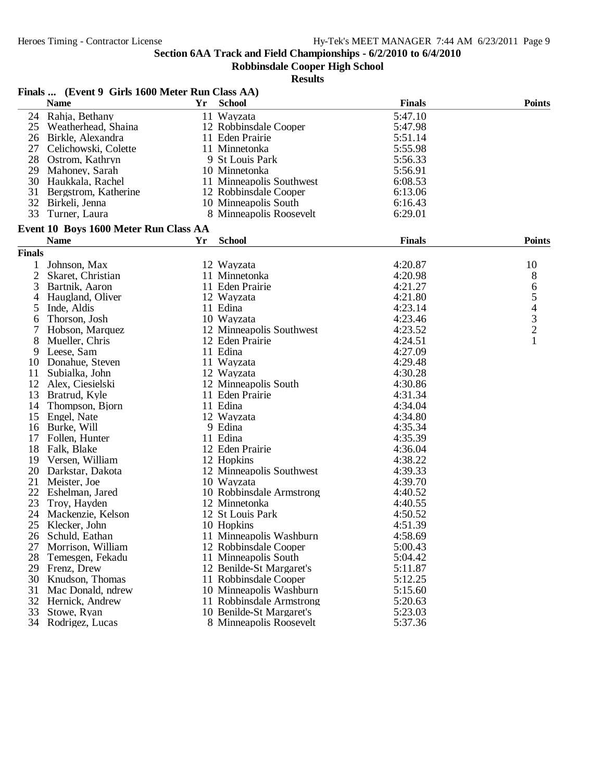#### **Robbinsdale Cooper High School**

|               | Finals  (Event 9 Girls 1600 Meter Run Class AA) |    |                          |               |                          |
|---------------|-------------------------------------------------|----|--------------------------|---------------|--------------------------|
|               | <b>Name</b>                                     | Yr | <b>School</b>            | <b>Finals</b> | <b>Points</b>            |
| 24            | Rahja, Bethany                                  |    | 11 Wayzata               | 5:47.10       |                          |
| 25            | Weatherhead, Shaina                             |    | 12 Robbinsdale Cooper    | 5:47.98       |                          |
| 26            | Birkle, Alexandra                               |    | 11 Eden Prairie          | 5:51.14       |                          |
| 27            | Celichowski, Colette                            |    | 11 Minnetonka            | 5:55.98       |                          |
| 28            | Ostrom, Kathryn                                 |    | 9 St Louis Park          | 5:56.33       |                          |
| 29            | Mahoney, Sarah                                  |    | 10 Minnetonka            | 5:56.91       |                          |
| 30            | Haukkala, Rachel                                |    | 11 Minneapolis Southwest | 6:08.53       |                          |
| 31            | Bergstrom, Katherine                            |    | 12 Robbinsdale Cooper    | 6:13.06       |                          |
| 32            | Birkeli, Jenna                                  |    | 10 Minneapolis South     | 6:16.43       |                          |
| 33            | Turner, Laura                                   |    | 8 Minneapolis Roosevelt  | 6:29.01       |                          |
|               | Event 10 Boys 1600 Meter Run Class AA           |    |                          |               |                          |
|               | <b>Name</b>                                     | Yr | <b>School</b>            | <b>Finals</b> | <b>Points</b>            |
| <b>Finals</b> |                                                 |    |                          |               |                          |
| 1             | Johnson, Max                                    |    | 12 Wayzata               | 4:20.87       | 10                       |
| 2             | Skaret, Christian                               |    | 11 Minnetonka            | 4:20.98       | 8                        |
| 3             | Bartnik, Aaron                                  |    | 11 Eden Prairie          | 4:21.27       | 6                        |
| 4             | Haugland, Oliver                                |    | 12 Wayzata               | 4:21.80       | 5                        |
| 5             | Inde, Aldis                                     |    | 11 Edina                 | 4:23.14       | $\overline{\mathcal{L}}$ |
| 6             | Thorson, Josh                                   |    | 10 Wayzata               | 4:23.46       |                          |
| 7             | Hobson, Marquez                                 |    | 12 Minneapolis Southwest | 4:23.52       | $\frac{3}{2}$            |
| 8             | Mueller, Chris                                  |    | 12 Eden Prairie          | 4:24.51       |                          |
| 9             | Leese, Sam                                      |    | 11 Edina                 | 4:27.09       |                          |
| 10            | Donahue, Steven                                 |    | 11 Wayzata               | 4:29.48       |                          |
| 11            | Subialka, John                                  |    | 12 Wayzata               | 4:30.28       |                          |
| 12            | Alex, Ciesielski                                |    | 12 Minneapolis South     | 4:30.86       |                          |
| 13            | Bratrud, Kyle                                   |    | 11 Eden Prairie          | 4:31.34       |                          |
| 14            | Thompson, Bjorn                                 |    | 11 Edina                 | 4:34.04       |                          |
| 15            | Engel, Nate                                     |    | 12 Wayzata               | 4:34.80       |                          |
| 16            | Burke, Will                                     |    | 9 Edina                  | 4:35.34       |                          |
| 17            | Follen, Hunter                                  |    | 11 Edina                 | 4:35.39       |                          |
| 18            | Falk, Blake                                     |    | 12 Eden Prairie          | 4:36.04       |                          |
| 19            | Versen, William                                 |    | 12 Hopkins               | 4:38.22       |                          |
| 20            | Darkstar, Dakota                                |    | 12 Minneapolis Southwest | 4:39.33       |                          |
| 21            | Meister, Joe                                    |    | 10 Wayzata               | 4:39.70       |                          |
| 22            | Eshelman, Jared                                 |    | 10 Robbinsdale Armstrong | 4:40.52       |                          |
| 23            | Troy, Hayden                                    |    | 12 Minnetonka            | 4:40.55       |                          |
| 24            | Mackenzie, Kelson                               |    | 12 St Louis Park         | 4:50.52       |                          |
|               | 25 Klecker, John                                |    | 10 Hopkins               | 4:51.39       |                          |
| 26            | Schuld, Eathan                                  |    | 11 Minneapolis Washburn  | 4:58.69       |                          |
| 27            | Morrison, William                               |    | 12 Robbinsdale Cooper    | 5:00.43       |                          |
| 28            | Temesgen, Fekadu                                |    | 11 Minneapolis South     | 5:04.42       |                          |
| 29            | Frenz, Drew                                     |    | 12 Benilde-St Margaret's | 5:11.87       |                          |
| 30            | Knudson, Thomas                                 |    | 11 Robbinsdale Cooper    | 5:12.25       |                          |
| 31            | Mac Donald, ndrew                               |    | 10 Minneapolis Washburn  | 5:15.60       |                          |
| 32            | Hernick, Andrew                                 |    | 11 Robbinsdale Armstrong | 5:20.63       |                          |
| 33            | Stowe, Ryan                                     |    | 10 Benilde-St Margaret's | 5:23.03       |                          |
| 34            | Rodrigez, Lucas                                 |    | 8 Minneapolis Roosevelt  | 5:37.36       |                          |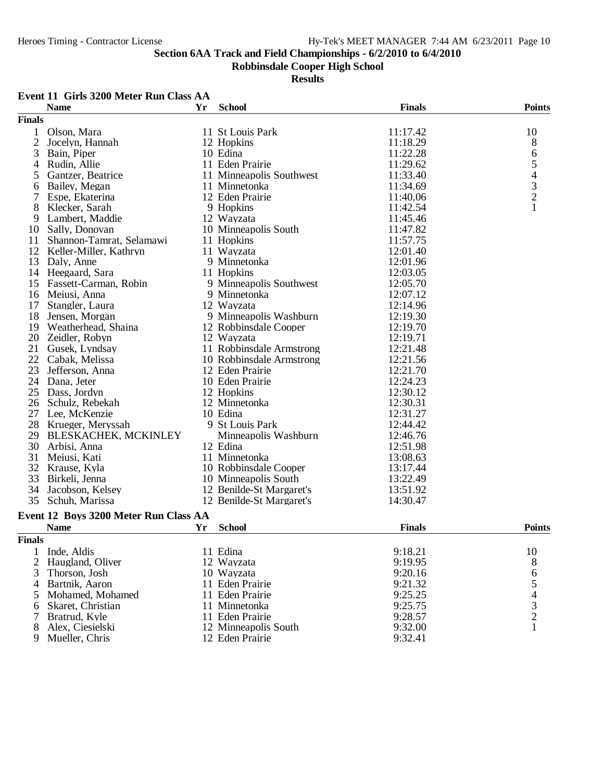### **Robbinsdale Cooper High School**

|                | <b>Name</b>                           | Yr | <b>School</b>            | <b>Finals</b> | <b>Points</b>                                   |
|----------------|---------------------------------------|----|--------------------------|---------------|-------------------------------------------------|
| <b>Finals</b>  |                                       |    |                          |               |                                                 |
| 1              | Olson, Mara                           |    | 11 St Louis Park         | 11:17.42      | 10                                              |
| $\mathfrak{2}$ | Jocelyn, Hannah                       |    | 12 Hopkins               | 11:18.29      | 8                                               |
| 3              | Bain, Piper                           |    | 10 Edina                 | 11:22.28      | 6                                               |
| 4              | Rudin, Allie                          |    | 11 Eden Prairie          | 11:29.62      | 5                                               |
| 5              | Gantzer, Beatrice                     |    | 11 Minneapolis Southwest | 11:33.40      |                                                 |
| 6              | Bailey, Megan                         |    | 11 Minnetonka            | 11:34.69      |                                                 |
| 7              | Espe, Ekaterina                       |    | 12 Eden Prairie          | 11:40.06      | $\begin{array}{c} 4 \\ 3 \\ 2 \\ 1 \end{array}$ |
| 8              | Klecker, Sarah                        |    | 9 Hopkins                | 11:42.54      |                                                 |
| 9              | Lambert, Maddie                       |    | 12 Wayzata               | 11:45.46      |                                                 |
| 10             | Sally, Donovan                        |    | 10 Minneapolis South     | 11:47.82      |                                                 |
| 11             | Shannon-Tamrat, Selamawi              |    | 11 Hopkins               | 11:57.75      |                                                 |
| 12             | Keller-Miller, Kathryn                |    | 11 Wayzata               | 12:01.40      |                                                 |
| 13             | Daly, Anne                            |    | 9 Minnetonka             | 12:01.96      |                                                 |
|                | 14 Heegaard, Sara                     |    | 11 Hopkins               | 12:03.05      |                                                 |
| 15             | Fassett-Carman, Robin                 |    | 9 Minneapolis Southwest  | 12:05.70      |                                                 |
|                |                                       |    | 9 Minnetonka             |               |                                                 |
| 16             | Meiusi, Anna                          |    |                          | 12:07.12      |                                                 |
| 17             | Stangler, Laura                       |    | 12 Wayzata               | 12:14.96      |                                                 |
| 18             | Jensen, Morgan                        |    | 9 Minneapolis Washburn   | 12:19.30      |                                                 |
| 19             | Weatherhead, Shaina                   |    | 12 Robbinsdale Cooper    | 12:19.70      |                                                 |
| 20             | Zeidler, Robyn                        |    | 12 Wayzata               | 12:19.71      |                                                 |
| 21             | Gusek, Lyndsay                        |    | 11 Robbinsdale Armstrong | 12:21.48      |                                                 |
| 22             | Cabak, Melissa                        |    | 10 Robbinsdale Armstrong | 12:21.56      |                                                 |
| 23             | Jefferson, Anna                       |    | 12 Eden Prairie          | 12:21.70      |                                                 |
| 24             | Dana, Jeter                           |    | 10 Eden Prairie          | 12:24.23      |                                                 |
| 25             | Dass, Jordyn                          |    | 12 Hopkins               | 12:30.12      |                                                 |
| 26             | Schulz, Rebekah                       |    | 12 Minnetonka            | 12:30.31      |                                                 |
| 27             | Lee, McKenzie                         |    | 10 Edina                 | 12:31.27      |                                                 |
| 28             | Krueger, Meryssah                     |    | 9 St Louis Park          | 12:44.42      |                                                 |
| 29             | BLESKACHEK, MCKINLEY                  |    | Minneapolis Washburn     | 12:46.76      |                                                 |
| 30             | Arbisi, Anna                          |    | 12 Edina                 | 12:51.98      |                                                 |
| 31             | Meiusi, Kati                          |    | 11 Minnetonka            | 13:08.63      |                                                 |
| 32             | Krause, Kyla                          |    | 10 Robbinsdale Cooper    | 13:17.44      |                                                 |
| 33             | Birkeli, Jenna                        |    | 10 Minneapolis South     | 13:22.49      |                                                 |
| 34             | Jacobson, Kelsey                      |    | 12 Benilde-St Margaret's | 13:51.92      |                                                 |
| 35             | Schuh, Marissa                        |    | 12 Benilde-St Margaret's | 14:30.47      |                                                 |
|                | Event 12 Boys 3200 Meter Run Class AA |    |                          |               |                                                 |
|                | <b>Name</b>                           | Yr | <b>School</b>            | <b>Finals</b> | <b>Points</b>                                   |
|                |                                       |    |                          |               |                                                 |
| <b>Finals</b>  |                                       |    |                          |               |                                                 |
| 1              | Inde, Aldis                           |    | 11 Edina                 | 9:18.21       | 10                                              |
| 2              | Haugland, Oliver                      |    | 12 Wayzata               | 9:19.95       | 8                                               |
| 3              | Thorson, Josh                         |    | 10 Wayzata               | 9:20.16       | 6                                               |
| 4              | Bartnik, Aaron                        |    | 11 Eden Prairie          | 9:21.32       | 5                                               |
| 5              | Mohamed, Mohamed                      |    | 11 Eden Prairie          | 9:25.25       | $rac{4}{3}$                                     |
| 6              | Skaret, Christian                     |    | 11 Minnetonka            | 9:25.75       |                                                 |
| 7              | Bratrud, Kyle                         |    | 11 Eden Prairie          | 9:28.57       | $\overline{c}$                                  |
| 8              | Alex, Ciesielski                      |    | 12 Minneapolis South     | 9:32.00       | $\mathbf{1}$                                    |
| 9              | Mueller, Chris                        |    | 12 Eden Prairie          | 9:32.41       |                                                 |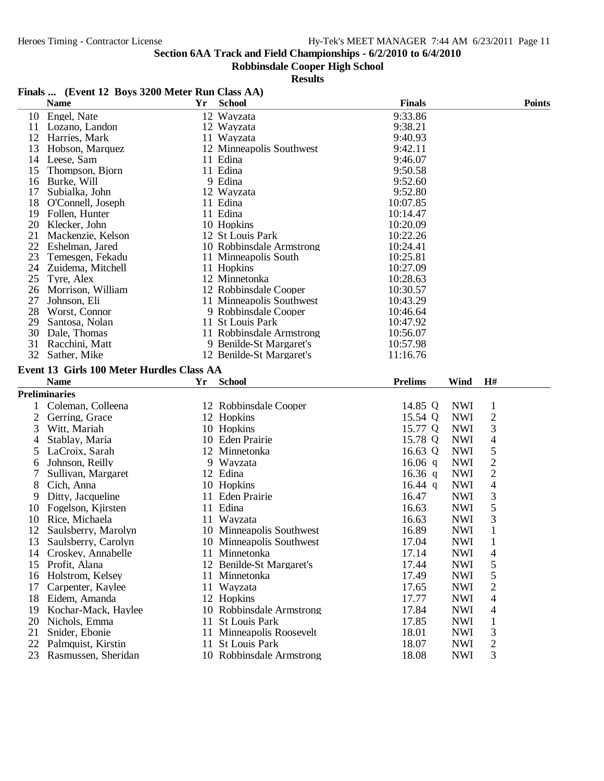### **Robbinsdale Cooper High School**

| <b>Finals</b><br><b>School</b><br><b>Points</b><br><b>Name</b><br>Yr.<br>9:33.86<br>Engel, Nate<br>12 Wayzata<br>10<br>9:38.21<br>11 Lozano, Landon<br>12 Wayzata<br>Harries, Mark<br>12<br>11 Wayzata<br>9:40.93<br>13<br>Hobson, Marquez<br>12 Minneapolis Southwest<br>9:42.11<br>14 Leese, Sam<br>11 Edina<br>9:46.07<br>11 Edina<br>9:50.58<br>15<br>Thompson, Bjorn<br>9 Edina<br>9:52.60<br>Burke, Will<br>16<br>9:52.80<br>17<br>Subialka, John<br>12 Wayzata<br>18<br>11 Edina<br>10:07.85<br>O'Connell, Joseph<br>11 Edina<br>19<br>Follen, Hunter<br>10:14.47<br>20<br>10 Hopkins<br>10:20.09<br>Klecker, John<br>21<br>10:22.26<br>Mackenzie, Kelson<br>12 St Louis Park<br>22<br>10:24.41<br>Eshelman, Jared<br>10 Robbinsdale Armstrong<br>23<br>Temesgen, Fekadu<br>11 Minneapolis South<br>10:25.81<br>24<br>Zuidema, Mitchell<br>11 Hopkins<br>10:27.09<br>25<br>12 Minnetonka<br>Tyre, Alex<br>10:28.63<br>26<br>Morrison, William<br>12 Robbinsdale Cooper<br>10:30.57<br>27<br>Johnson, Eli<br>11 Minneapolis Southwest<br>10:43.29<br>28<br>Worst, Connor<br>9 Robbinsdale Cooper<br>10:46.64<br>29<br>Santosa, Nolan<br>11 St Louis Park<br>10:47.92<br>30<br>11 Robbinsdale Armstrong<br>10:56.07<br>Dale, Thomas<br>31<br>Racchini, Matt<br>9 Benilde-St Margaret's<br>10:57.98<br>32<br>Sather, Mike<br>12 Benilde-St Margaret's<br>11:16.76<br>Event 13 Girls 100 Meter Hurdles Class AA<br><b>Name</b><br><b>School</b><br><b>Prelims</b><br>Wind<br>H#<br>Yr<br><b>Preliminaries</b><br><b>NWI</b><br>Coleman, Colleena<br>12 Robbinsdale Cooper<br>14.85 Q<br>1<br>1<br>$\mathbf{2}$<br>2<br>15.54 Q<br><b>NWI</b><br>Gerring, Grace<br>12 Hopkins<br>10 Hopkins<br>15.77 Q<br><b>NWI</b><br>3<br>Witt, Mariah<br>3<br>4<br>10 Eden Prairie<br>15.78 Q<br><b>NWI</b><br>Stablay, Maria<br>4<br>5<br><b>NWI</b><br>5<br>LaCroix, Sarah<br>12 Minnetonka<br>16.63 Q<br>$\overline{c}$<br><b>NWI</b><br>Johnson, Reilly<br>9 Wayzata<br>16.06 $q$<br>6<br>$\overline{c}$<br>12 Edina<br><b>NWI</b><br>7<br>Sullivan, Margaret<br>16.36 $q$<br>$\overline{\mathcal{L}}$<br>8<br><b>NWI</b><br>Cich, Anna<br>10 Hopkins<br>16.44 $q$<br>3<br><b>NWI</b><br>Ditty, Jacqueline<br>11 Eden Prairie<br>16.47<br>9<br>5<br>11 Edina<br><b>NWI</b><br>10<br>Fogelson, Kjirsten<br>16.63<br>3<br>10<br>16.63<br><b>NWI</b><br>Rice, Michaela<br>11 Wayzata<br>Saulsberry, Marolyn<br>10 Minneapolis Southwest<br>16.89<br><b>NWI</b><br>1<br>12<br><b>NWI</b><br>13<br>Saulsberry, Carolyn<br>10 Minneapolis Southwest<br>17.04<br>$\mathbf{1}$<br>11 Minnetonka<br><b>NWI</b><br>Croskey, Annabelle<br>17.14<br>4<br>14<br>5<br>12 Benilde-St Margaret's<br><b>NWI</b><br>Profit, Alana<br>17.44<br>15<br>5<br>Holstrom, Kelsey<br>11 Minnetonka<br>17.49<br><b>NWI</b><br>16<br>2<br>Carpenter, Kaylee<br>11 Wayzata<br>17.65<br><b>NWI</b><br>17<br>12 Hopkins<br>17.77<br><b>NWI</b><br>4<br>18<br>Eidem, Amanda<br>17.84<br><b>NWI</b><br>4<br>19<br>Kochar-Mack, Haylee<br>10 Robbinsdale Armstrong<br>20<br><b>St Louis Park</b><br>17.85<br><b>NWI</b><br>$\mathbf{1}$<br>Nichols, Emma<br>11<br>3<br>18.01<br>21<br>Snider, Ebonie<br>11 Minneapolis Roosevelt<br><b>NWI</b><br>2<br>22<br>Palmquist, Kirstin<br>11 St Louis Park<br>18.07<br><b>NWI</b><br>3<br>Rasmussen, Sheridan<br>10 Robbinsdale Armstrong<br>18.08<br><b>NWI</b><br>23 | Finals  (Event 12 Boys 3200 Meter Run Class AA) |  |  |  |
|-------------------------------------------------------------------------------------------------------------------------------------------------------------------------------------------------------------------------------------------------------------------------------------------------------------------------------------------------------------------------------------------------------------------------------------------------------------------------------------------------------------------------------------------------------------------------------------------------------------------------------------------------------------------------------------------------------------------------------------------------------------------------------------------------------------------------------------------------------------------------------------------------------------------------------------------------------------------------------------------------------------------------------------------------------------------------------------------------------------------------------------------------------------------------------------------------------------------------------------------------------------------------------------------------------------------------------------------------------------------------------------------------------------------------------------------------------------------------------------------------------------------------------------------------------------------------------------------------------------------------------------------------------------------------------------------------------------------------------------------------------------------------------------------------------------------------------------------------------------------------------------------------------------------------------------------------------------------------------------------------------------------------------------------------------------------------------------------------------------------------------------------------------------------------------------------------------------------------------------------------------------------------------------------------------------------------------------------------------------------------------------------------------------------------------------------------------------------------------------------------------------------------------------------------------------------------------------------------------------------------------------------------------------------------------------------------------------------------------------------------------------------------------------------------------------------------------------------------------------------------------------------------------------------------------------------------------------------------------------------------------------------------------------------------------------------------------------------------------------------------------------------------------------------------------------------------------------------------------------------------------------------------------------------------------------------------------------------------------------------------|-------------------------------------------------|--|--|--|
|                                                                                                                                                                                                                                                                                                                                                                                                                                                                                                                                                                                                                                                                                                                                                                                                                                                                                                                                                                                                                                                                                                                                                                                                                                                                                                                                                                                                                                                                                                                                                                                                                                                                                                                                                                                                                                                                                                                                                                                                                                                                                                                                                                                                                                                                                                                                                                                                                                                                                                                                                                                                                                                                                                                                                                                                                                                                                                                                                                                                                                                                                                                                                                                                                                                                                                                                                                         |                                                 |  |  |  |
|                                                                                                                                                                                                                                                                                                                                                                                                                                                                                                                                                                                                                                                                                                                                                                                                                                                                                                                                                                                                                                                                                                                                                                                                                                                                                                                                                                                                                                                                                                                                                                                                                                                                                                                                                                                                                                                                                                                                                                                                                                                                                                                                                                                                                                                                                                                                                                                                                                                                                                                                                                                                                                                                                                                                                                                                                                                                                                                                                                                                                                                                                                                                                                                                                                                                                                                                                                         |                                                 |  |  |  |
|                                                                                                                                                                                                                                                                                                                                                                                                                                                                                                                                                                                                                                                                                                                                                                                                                                                                                                                                                                                                                                                                                                                                                                                                                                                                                                                                                                                                                                                                                                                                                                                                                                                                                                                                                                                                                                                                                                                                                                                                                                                                                                                                                                                                                                                                                                                                                                                                                                                                                                                                                                                                                                                                                                                                                                                                                                                                                                                                                                                                                                                                                                                                                                                                                                                                                                                                                                         |                                                 |  |  |  |
|                                                                                                                                                                                                                                                                                                                                                                                                                                                                                                                                                                                                                                                                                                                                                                                                                                                                                                                                                                                                                                                                                                                                                                                                                                                                                                                                                                                                                                                                                                                                                                                                                                                                                                                                                                                                                                                                                                                                                                                                                                                                                                                                                                                                                                                                                                                                                                                                                                                                                                                                                                                                                                                                                                                                                                                                                                                                                                                                                                                                                                                                                                                                                                                                                                                                                                                                                                         |                                                 |  |  |  |
|                                                                                                                                                                                                                                                                                                                                                                                                                                                                                                                                                                                                                                                                                                                                                                                                                                                                                                                                                                                                                                                                                                                                                                                                                                                                                                                                                                                                                                                                                                                                                                                                                                                                                                                                                                                                                                                                                                                                                                                                                                                                                                                                                                                                                                                                                                                                                                                                                                                                                                                                                                                                                                                                                                                                                                                                                                                                                                                                                                                                                                                                                                                                                                                                                                                                                                                                                                         |                                                 |  |  |  |
|                                                                                                                                                                                                                                                                                                                                                                                                                                                                                                                                                                                                                                                                                                                                                                                                                                                                                                                                                                                                                                                                                                                                                                                                                                                                                                                                                                                                                                                                                                                                                                                                                                                                                                                                                                                                                                                                                                                                                                                                                                                                                                                                                                                                                                                                                                                                                                                                                                                                                                                                                                                                                                                                                                                                                                                                                                                                                                                                                                                                                                                                                                                                                                                                                                                                                                                                                                         |                                                 |  |  |  |
|                                                                                                                                                                                                                                                                                                                                                                                                                                                                                                                                                                                                                                                                                                                                                                                                                                                                                                                                                                                                                                                                                                                                                                                                                                                                                                                                                                                                                                                                                                                                                                                                                                                                                                                                                                                                                                                                                                                                                                                                                                                                                                                                                                                                                                                                                                                                                                                                                                                                                                                                                                                                                                                                                                                                                                                                                                                                                                                                                                                                                                                                                                                                                                                                                                                                                                                                                                         |                                                 |  |  |  |
|                                                                                                                                                                                                                                                                                                                                                                                                                                                                                                                                                                                                                                                                                                                                                                                                                                                                                                                                                                                                                                                                                                                                                                                                                                                                                                                                                                                                                                                                                                                                                                                                                                                                                                                                                                                                                                                                                                                                                                                                                                                                                                                                                                                                                                                                                                                                                                                                                                                                                                                                                                                                                                                                                                                                                                                                                                                                                                                                                                                                                                                                                                                                                                                                                                                                                                                                                                         |                                                 |  |  |  |
|                                                                                                                                                                                                                                                                                                                                                                                                                                                                                                                                                                                                                                                                                                                                                                                                                                                                                                                                                                                                                                                                                                                                                                                                                                                                                                                                                                                                                                                                                                                                                                                                                                                                                                                                                                                                                                                                                                                                                                                                                                                                                                                                                                                                                                                                                                                                                                                                                                                                                                                                                                                                                                                                                                                                                                                                                                                                                                                                                                                                                                                                                                                                                                                                                                                                                                                                                                         |                                                 |  |  |  |
|                                                                                                                                                                                                                                                                                                                                                                                                                                                                                                                                                                                                                                                                                                                                                                                                                                                                                                                                                                                                                                                                                                                                                                                                                                                                                                                                                                                                                                                                                                                                                                                                                                                                                                                                                                                                                                                                                                                                                                                                                                                                                                                                                                                                                                                                                                                                                                                                                                                                                                                                                                                                                                                                                                                                                                                                                                                                                                                                                                                                                                                                                                                                                                                                                                                                                                                                                                         |                                                 |  |  |  |
|                                                                                                                                                                                                                                                                                                                                                                                                                                                                                                                                                                                                                                                                                                                                                                                                                                                                                                                                                                                                                                                                                                                                                                                                                                                                                                                                                                                                                                                                                                                                                                                                                                                                                                                                                                                                                                                                                                                                                                                                                                                                                                                                                                                                                                                                                                                                                                                                                                                                                                                                                                                                                                                                                                                                                                                                                                                                                                                                                                                                                                                                                                                                                                                                                                                                                                                                                                         |                                                 |  |  |  |
|                                                                                                                                                                                                                                                                                                                                                                                                                                                                                                                                                                                                                                                                                                                                                                                                                                                                                                                                                                                                                                                                                                                                                                                                                                                                                                                                                                                                                                                                                                                                                                                                                                                                                                                                                                                                                                                                                                                                                                                                                                                                                                                                                                                                                                                                                                                                                                                                                                                                                                                                                                                                                                                                                                                                                                                                                                                                                                                                                                                                                                                                                                                                                                                                                                                                                                                                                                         |                                                 |  |  |  |
|                                                                                                                                                                                                                                                                                                                                                                                                                                                                                                                                                                                                                                                                                                                                                                                                                                                                                                                                                                                                                                                                                                                                                                                                                                                                                                                                                                                                                                                                                                                                                                                                                                                                                                                                                                                                                                                                                                                                                                                                                                                                                                                                                                                                                                                                                                                                                                                                                                                                                                                                                                                                                                                                                                                                                                                                                                                                                                                                                                                                                                                                                                                                                                                                                                                                                                                                                                         |                                                 |  |  |  |
|                                                                                                                                                                                                                                                                                                                                                                                                                                                                                                                                                                                                                                                                                                                                                                                                                                                                                                                                                                                                                                                                                                                                                                                                                                                                                                                                                                                                                                                                                                                                                                                                                                                                                                                                                                                                                                                                                                                                                                                                                                                                                                                                                                                                                                                                                                                                                                                                                                                                                                                                                                                                                                                                                                                                                                                                                                                                                                                                                                                                                                                                                                                                                                                                                                                                                                                                                                         |                                                 |  |  |  |
|                                                                                                                                                                                                                                                                                                                                                                                                                                                                                                                                                                                                                                                                                                                                                                                                                                                                                                                                                                                                                                                                                                                                                                                                                                                                                                                                                                                                                                                                                                                                                                                                                                                                                                                                                                                                                                                                                                                                                                                                                                                                                                                                                                                                                                                                                                                                                                                                                                                                                                                                                                                                                                                                                                                                                                                                                                                                                                                                                                                                                                                                                                                                                                                                                                                                                                                                                                         |                                                 |  |  |  |
|                                                                                                                                                                                                                                                                                                                                                                                                                                                                                                                                                                                                                                                                                                                                                                                                                                                                                                                                                                                                                                                                                                                                                                                                                                                                                                                                                                                                                                                                                                                                                                                                                                                                                                                                                                                                                                                                                                                                                                                                                                                                                                                                                                                                                                                                                                                                                                                                                                                                                                                                                                                                                                                                                                                                                                                                                                                                                                                                                                                                                                                                                                                                                                                                                                                                                                                                                                         |                                                 |  |  |  |
|                                                                                                                                                                                                                                                                                                                                                                                                                                                                                                                                                                                                                                                                                                                                                                                                                                                                                                                                                                                                                                                                                                                                                                                                                                                                                                                                                                                                                                                                                                                                                                                                                                                                                                                                                                                                                                                                                                                                                                                                                                                                                                                                                                                                                                                                                                                                                                                                                                                                                                                                                                                                                                                                                                                                                                                                                                                                                                                                                                                                                                                                                                                                                                                                                                                                                                                                                                         |                                                 |  |  |  |
|                                                                                                                                                                                                                                                                                                                                                                                                                                                                                                                                                                                                                                                                                                                                                                                                                                                                                                                                                                                                                                                                                                                                                                                                                                                                                                                                                                                                                                                                                                                                                                                                                                                                                                                                                                                                                                                                                                                                                                                                                                                                                                                                                                                                                                                                                                                                                                                                                                                                                                                                                                                                                                                                                                                                                                                                                                                                                                                                                                                                                                                                                                                                                                                                                                                                                                                                                                         |                                                 |  |  |  |
|                                                                                                                                                                                                                                                                                                                                                                                                                                                                                                                                                                                                                                                                                                                                                                                                                                                                                                                                                                                                                                                                                                                                                                                                                                                                                                                                                                                                                                                                                                                                                                                                                                                                                                                                                                                                                                                                                                                                                                                                                                                                                                                                                                                                                                                                                                                                                                                                                                                                                                                                                                                                                                                                                                                                                                                                                                                                                                                                                                                                                                                                                                                                                                                                                                                                                                                                                                         |                                                 |  |  |  |
|                                                                                                                                                                                                                                                                                                                                                                                                                                                                                                                                                                                                                                                                                                                                                                                                                                                                                                                                                                                                                                                                                                                                                                                                                                                                                                                                                                                                                                                                                                                                                                                                                                                                                                                                                                                                                                                                                                                                                                                                                                                                                                                                                                                                                                                                                                                                                                                                                                                                                                                                                                                                                                                                                                                                                                                                                                                                                                                                                                                                                                                                                                                                                                                                                                                                                                                                                                         |                                                 |  |  |  |
|                                                                                                                                                                                                                                                                                                                                                                                                                                                                                                                                                                                                                                                                                                                                                                                                                                                                                                                                                                                                                                                                                                                                                                                                                                                                                                                                                                                                                                                                                                                                                                                                                                                                                                                                                                                                                                                                                                                                                                                                                                                                                                                                                                                                                                                                                                                                                                                                                                                                                                                                                                                                                                                                                                                                                                                                                                                                                                                                                                                                                                                                                                                                                                                                                                                                                                                                                                         |                                                 |  |  |  |
|                                                                                                                                                                                                                                                                                                                                                                                                                                                                                                                                                                                                                                                                                                                                                                                                                                                                                                                                                                                                                                                                                                                                                                                                                                                                                                                                                                                                                                                                                                                                                                                                                                                                                                                                                                                                                                                                                                                                                                                                                                                                                                                                                                                                                                                                                                                                                                                                                                                                                                                                                                                                                                                                                                                                                                                                                                                                                                                                                                                                                                                                                                                                                                                                                                                                                                                                                                         |                                                 |  |  |  |
|                                                                                                                                                                                                                                                                                                                                                                                                                                                                                                                                                                                                                                                                                                                                                                                                                                                                                                                                                                                                                                                                                                                                                                                                                                                                                                                                                                                                                                                                                                                                                                                                                                                                                                                                                                                                                                                                                                                                                                                                                                                                                                                                                                                                                                                                                                                                                                                                                                                                                                                                                                                                                                                                                                                                                                                                                                                                                                                                                                                                                                                                                                                                                                                                                                                                                                                                                                         |                                                 |  |  |  |
|                                                                                                                                                                                                                                                                                                                                                                                                                                                                                                                                                                                                                                                                                                                                                                                                                                                                                                                                                                                                                                                                                                                                                                                                                                                                                                                                                                                                                                                                                                                                                                                                                                                                                                                                                                                                                                                                                                                                                                                                                                                                                                                                                                                                                                                                                                                                                                                                                                                                                                                                                                                                                                                                                                                                                                                                                                                                                                                                                                                                                                                                                                                                                                                                                                                                                                                                                                         |                                                 |  |  |  |
|                                                                                                                                                                                                                                                                                                                                                                                                                                                                                                                                                                                                                                                                                                                                                                                                                                                                                                                                                                                                                                                                                                                                                                                                                                                                                                                                                                                                                                                                                                                                                                                                                                                                                                                                                                                                                                                                                                                                                                                                                                                                                                                                                                                                                                                                                                                                                                                                                                                                                                                                                                                                                                                                                                                                                                                                                                                                                                                                                                                                                                                                                                                                                                                                                                                                                                                                                                         |                                                 |  |  |  |
|                                                                                                                                                                                                                                                                                                                                                                                                                                                                                                                                                                                                                                                                                                                                                                                                                                                                                                                                                                                                                                                                                                                                                                                                                                                                                                                                                                                                                                                                                                                                                                                                                                                                                                                                                                                                                                                                                                                                                                                                                                                                                                                                                                                                                                                                                                                                                                                                                                                                                                                                                                                                                                                                                                                                                                                                                                                                                                                                                                                                                                                                                                                                                                                                                                                                                                                                                                         |                                                 |  |  |  |
|                                                                                                                                                                                                                                                                                                                                                                                                                                                                                                                                                                                                                                                                                                                                                                                                                                                                                                                                                                                                                                                                                                                                                                                                                                                                                                                                                                                                                                                                                                                                                                                                                                                                                                                                                                                                                                                                                                                                                                                                                                                                                                                                                                                                                                                                                                                                                                                                                                                                                                                                                                                                                                                                                                                                                                                                                                                                                                                                                                                                                                                                                                                                                                                                                                                                                                                                                                         |                                                 |  |  |  |
|                                                                                                                                                                                                                                                                                                                                                                                                                                                                                                                                                                                                                                                                                                                                                                                                                                                                                                                                                                                                                                                                                                                                                                                                                                                                                                                                                                                                                                                                                                                                                                                                                                                                                                                                                                                                                                                                                                                                                                                                                                                                                                                                                                                                                                                                                                                                                                                                                                                                                                                                                                                                                                                                                                                                                                                                                                                                                                                                                                                                                                                                                                                                                                                                                                                                                                                                                                         |                                                 |  |  |  |
|                                                                                                                                                                                                                                                                                                                                                                                                                                                                                                                                                                                                                                                                                                                                                                                                                                                                                                                                                                                                                                                                                                                                                                                                                                                                                                                                                                                                                                                                                                                                                                                                                                                                                                                                                                                                                                                                                                                                                                                                                                                                                                                                                                                                                                                                                                                                                                                                                                                                                                                                                                                                                                                                                                                                                                                                                                                                                                                                                                                                                                                                                                                                                                                                                                                                                                                                                                         |                                                 |  |  |  |
|                                                                                                                                                                                                                                                                                                                                                                                                                                                                                                                                                                                                                                                                                                                                                                                                                                                                                                                                                                                                                                                                                                                                                                                                                                                                                                                                                                                                                                                                                                                                                                                                                                                                                                                                                                                                                                                                                                                                                                                                                                                                                                                                                                                                                                                                                                                                                                                                                                                                                                                                                                                                                                                                                                                                                                                                                                                                                                                                                                                                                                                                                                                                                                                                                                                                                                                                                                         |                                                 |  |  |  |
|                                                                                                                                                                                                                                                                                                                                                                                                                                                                                                                                                                                                                                                                                                                                                                                                                                                                                                                                                                                                                                                                                                                                                                                                                                                                                                                                                                                                                                                                                                                                                                                                                                                                                                                                                                                                                                                                                                                                                                                                                                                                                                                                                                                                                                                                                                                                                                                                                                                                                                                                                                                                                                                                                                                                                                                                                                                                                                                                                                                                                                                                                                                                                                                                                                                                                                                                                                         |                                                 |  |  |  |
|                                                                                                                                                                                                                                                                                                                                                                                                                                                                                                                                                                                                                                                                                                                                                                                                                                                                                                                                                                                                                                                                                                                                                                                                                                                                                                                                                                                                                                                                                                                                                                                                                                                                                                                                                                                                                                                                                                                                                                                                                                                                                                                                                                                                                                                                                                                                                                                                                                                                                                                                                                                                                                                                                                                                                                                                                                                                                                                                                                                                                                                                                                                                                                                                                                                                                                                                                                         |                                                 |  |  |  |
|                                                                                                                                                                                                                                                                                                                                                                                                                                                                                                                                                                                                                                                                                                                                                                                                                                                                                                                                                                                                                                                                                                                                                                                                                                                                                                                                                                                                                                                                                                                                                                                                                                                                                                                                                                                                                                                                                                                                                                                                                                                                                                                                                                                                                                                                                                                                                                                                                                                                                                                                                                                                                                                                                                                                                                                                                                                                                                                                                                                                                                                                                                                                                                                                                                                                                                                                                                         |                                                 |  |  |  |
|                                                                                                                                                                                                                                                                                                                                                                                                                                                                                                                                                                                                                                                                                                                                                                                                                                                                                                                                                                                                                                                                                                                                                                                                                                                                                                                                                                                                                                                                                                                                                                                                                                                                                                                                                                                                                                                                                                                                                                                                                                                                                                                                                                                                                                                                                                                                                                                                                                                                                                                                                                                                                                                                                                                                                                                                                                                                                                                                                                                                                                                                                                                                                                                                                                                                                                                                                                         |                                                 |  |  |  |
|                                                                                                                                                                                                                                                                                                                                                                                                                                                                                                                                                                                                                                                                                                                                                                                                                                                                                                                                                                                                                                                                                                                                                                                                                                                                                                                                                                                                                                                                                                                                                                                                                                                                                                                                                                                                                                                                                                                                                                                                                                                                                                                                                                                                                                                                                                                                                                                                                                                                                                                                                                                                                                                                                                                                                                                                                                                                                                                                                                                                                                                                                                                                                                                                                                                                                                                                                                         |                                                 |  |  |  |
|                                                                                                                                                                                                                                                                                                                                                                                                                                                                                                                                                                                                                                                                                                                                                                                                                                                                                                                                                                                                                                                                                                                                                                                                                                                                                                                                                                                                                                                                                                                                                                                                                                                                                                                                                                                                                                                                                                                                                                                                                                                                                                                                                                                                                                                                                                                                                                                                                                                                                                                                                                                                                                                                                                                                                                                                                                                                                                                                                                                                                                                                                                                                                                                                                                                                                                                                                                         |                                                 |  |  |  |
|                                                                                                                                                                                                                                                                                                                                                                                                                                                                                                                                                                                                                                                                                                                                                                                                                                                                                                                                                                                                                                                                                                                                                                                                                                                                                                                                                                                                                                                                                                                                                                                                                                                                                                                                                                                                                                                                                                                                                                                                                                                                                                                                                                                                                                                                                                                                                                                                                                                                                                                                                                                                                                                                                                                                                                                                                                                                                                                                                                                                                                                                                                                                                                                                                                                                                                                                                                         |                                                 |  |  |  |
|                                                                                                                                                                                                                                                                                                                                                                                                                                                                                                                                                                                                                                                                                                                                                                                                                                                                                                                                                                                                                                                                                                                                                                                                                                                                                                                                                                                                                                                                                                                                                                                                                                                                                                                                                                                                                                                                                                                                                                                                                                                                                                                                                                                                                                                                                                                                                                                                                                                                                                                                                                                                                                                                                                                                                                                                                                                                                                                                                                                                                                                                                                                                                                                                                                                                                                                                                                         |                                                 |  |  |  |
|                                                                                                                                                                                                                                                                                                                                                                                                                                                                                                                                                                                                                                                                                                                                                                                                                                                                                                                                                                                                                                                                                                                                                                                                                                                                                                                                                                                                                                                                                                                                                                                                                                                                                                                                                                                                                                                                                                                                                                                                                                                                                                                                                                                                                                                                                                                                                                                                                                                                                                                                                                                                                                                                                                                                                                                                                                                                                                                                                                                                                                                                                                                                                                                                                                                                                                                                                                         |                                                 |  |  |  |
|                                                                                                                                                                                                                                                                                                                                                                                                                                                                                                                                                                                                                                                                                                                                                                                                                                                                                                                                                                                                                                                                                                                                                                                                                                                                                                                                                                                                                                                                                                                                                                                                                                                                                                                                                                                                                                                                                                                                                                                                                                                                                                                                                                                                                                                                                                                                                                                                                                                                                                                                                                                                                                                                                                                                                                                                                                                                                                                                                                                                                                                                                                                                                                                                                                                                                                                                                                         |                                                 |  |  |  |
|                                                                                                                                                                                                                                                                                                                                                                                                                                                                                                                                                                                                                                                                                                                                                                                                                                                                                                                                                                                                                                                                                                                                                                                                                                                                                                                                                                                                                                                                                                                                                                                                                                                                                                                                                                                                                                                                                                                                                                                                                                                                                                                                                                                                                                                                                                                                                                                                                                                                                                                                                                                                                                                                                                                                                                                                                                                                                                                                                                                                                                                                                                                                                                                                                                                                                                                                                                         |                                                 |  |  |  |
|                                                                                                                                                                                                                                                                                                                                                                                                                                                                                                                                                                                                                                                                                                                                                                                                                                                                                                                                                                                                                                                                                                                                                                                                                                                                                                                                                                                                                                                                                                                                                                                                                                                                                                                                                                                                                                                                                                                                                                                                                                                                                                                                                                                                                                                                                                                                                                                                                                                                                                                                                                                                                                                                                                                                                                                                                                                                                                                                                                                                                                                                                                                                                                                                                                                                                                                                                                         |                                                 |  |  |  |
|                                                                                                                                                                                                                                                                                                                                                                                                                                                                                                                                                                                                                                                                                                                                                                                                                                                                                                                                                                                                                                                                                                                                                                                                                                                                                                                                                                                                                                                                                                                                                                                                                                                                                                                                                                                                                                                                                                                                                                                                                                                                                                                                                                                                                                                                                                                                                                                                                                                                                                                                                                                                                                                                                                                                                                                                                                                                                                                                                                                                                                                                                                                                                                                                                                                                                                                                                                         |                                                 |  |  |  |
|                                                                                                                                                                                                                                                                                                                                                                                                                                                                                                                                                                                                                                                                                                                                                                                                                                                                                                                                                                                                                                                                                                                                                                                                                                                                                                                                                                                                                                                                                                                                                                                                                                                                                                                                                                                                                                                                                                                                                                                                                                                                                                                                                                                                                                                                                                                                                                                                                                                                                                                                                                                                                                                                                                                                                                                                                                                                                                                                                                                                                                                                                                                                                                                                                                                                                                                                                                         |                                                 |  |  |  |
|                                                                                                                                                                                                                                                                                                                                                                                                                                                                                                                                                                                                                                                                                                                                                                                                                                                                                                                                                                                                                                                                                                                                                                                                                                                                                                                                                                                                                                                                                                                                                                                                                                                                                                                                                                                                                                                                                                                                                                                                                                                                                                                                                                                                                                                                                                                                                                                                                                                                                                                                                                                                                                                                                                                                                                                                                                                                                                                                                                                                                                                                                                                                                                                                                                                                                                                                                                         |                                                 |  |  |  |
|                                                                                                                                                                                                                                                                                                                                                                                                                                                                                                                                                                                                                                                                                                                                                                                                                                                                                                                                                                                                                                                                                                                                                                                                                                                                                                                                                                                                                                                                                                                                                                                                                                                                                                                                                                                                                                                                                                                                                                                                                                                                                                                                                                                                                                                                                                                                                                                                                                                                                                                                                                                                                                                                                                                                                                                                                                                                                                                                                                                                                                                                                                                                                                                                                                                                                                                                                                         |                                                 |  |  |  |
|                                                                                                                                                                                                                                                                                                                                                                                                                                                                                                                                                                                                                                                                                                                                                                                                                                                                                                                                                                                                                                                                                                                                                                                                                                                                                                                                                                                                                                                                                                                                                                                                                                                                                                                                                                                                                                                                                                                                                                                                                                                                                                                                                                                                                                                                                                                                                                                                                                                                                                                                                                                                                                                                                                                                                                                                                                                                                                                                                                                                                                                                                                                                                                                                                                                                                                                                                                         |                                                 |  |  |  |
|                                                                                                                                                                                                                                                                                                                                                                                                                                                                                                                                                                                                                                                                                                                                                                                                                                                                                                                                                                                                                                                                                                                                                                                                                                                                                                                                                                                                                                                                                                                                                                                                                                                                                                                                                                                                                                                                                                                                                                                                                                                                                                                                                                                                                                                                                                                                                                                                                                                                                                                                                                                                                                                                                                                                                                                                                                                                                                                                                                                                                                                                                                                                                                                                                                                                                                                                                                         |                                                 |  |  |  |
|                                                                                                                                                                                                                                                                                                                                                                                                                                                                                                                                                                                                                                                                                                                                                                                                                                                                                                                                                                                                                                                                                                                                                                                                                                                                                                                                                                                                                                                                                                                                                                                                                                                                                                                                                                                                                                                                                                                                                                                                                                                                                                                                                                                                                                                                                                                                                                                                                                                                                                                                                                                                                                                                                                                                                                                                                                                                                                                                                                                                                                                                                                                                                                                                                                                                                                                                                                         |                                                 |  |  |  |
|                                                                                                                                                                                                                                                                                                                                                                                                                                                                                                                                                                                                                                                                                                                                                                                                                                                                                                                                                                                                                                                                                                                                                                                                                                                                                                                                                                                                                                                                                                                                                                                                                                                                                                                                                                                                                                                                                                                                                                                                                                                                                                                                                                                                                                                                                                                                                                                                                                                                                                                                                                                                                                                                                                                                                                                                                                                                                                                                                                                                                                                                                                                                                                                                                                                                                                                                                                         |                                                 |  |  |  |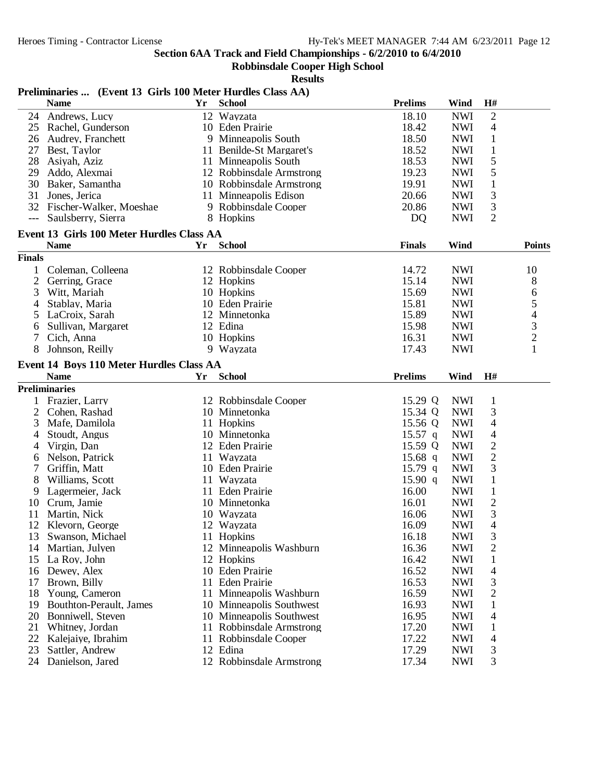**Robbinsdale Cooper High School**

**Results**

| <b>School</b><br><b>Wind</b><br>H#<br><b>Name</b><br>Yr<br>Andrews, Lucy<br>$\mathbf{2}$<br>24<br>18.10<br>12 Wayzata<br><b>NWI</b><br>18.42<br><b>NWI</b><br>4<br>25 Rachel, Gunderson<br>10 Eden Prairie<br>18.50<br><b>NWI</b><br>26 Audrey, Franchett<br>9 Minneapolis South<br>$\mathbf{1}$<br>27<br>11 Benilde-St Margaret's<br>18.52<br><b>NWI</b><br>$\mathbf{1}$<br>Best, Taylor<br>5<br>18.53<br><b>NWI</b><br>28<br>Asiyah, Aziz<br>11 Minneapolis South<br>5<br>19.23<br>29<br>Addo, Alexmai<br>12 Robbinsdale Armstrong<br><b>NWI</b><br>Baker, Samantha<br>$\mathbf{1}$<br>30<br>10 Robbinsdale Armstrong<br>19.91<br><b>NWI</b><br>3<br>20.66<br>31<br>Jones, Jerica<br>11 Minneapolis Edison<br><b>NWI</b><br>3<br>32<br>Fischer-Walker, Moeshae<br>20.86<br><b>NWI</b><br>9 Robbinsdale Cooper<br>$\overline{2}$<br><b>NWI</b><br>Saulsberry, Sierra<br>8 Hopkins<br>DQ<br>$---$<br>Event 13 Girls 100 Meter Hurdles Class AA<br><b>School</b><br><b>Finals</b><br>Wind<br><b>Name</b><br>Yr<br><b>Points</b><br><b>Finals</b><br>14.72<br>Coleman, Colleena<br>12 Robbinsdale Cooper<br><b>NWI</b><br>10<br>$\mathbf{1}$<br>$\overline{2}$<br>15.14<br><b>NWI</b><br>8<br>Gerring, Grace<br>12 Hopkins<br>3<br>Witt, Mariah<br>10 Hopkins<br>15.69<br><b>NWI</b><br>6<br>5<br>15.81<br><b>NWI</b><br>Stablay, Maria<br>10 Eden Prairie<br>4<br>15.89<br>4<br>LaCroix, Sarah<br>12 Minnetonka<br><b>NWI</b><br>5<br>3<br>15.98<br>Sullivan, Margaret<br>12 Edina<br><b>NWI</b><br>6<br>$\overline{c}$<br>10 Hopkins<br>16.31<br><b>NWI</b><br>Cich, Anna<br>1<br>8<br>Johnson, Reilly<br>9 Wayzata<br>17.43<br><b>NWI</b><br>Event 14 Boys 110 Meter Hurdles Class AA<br><b>Name</b><br><b>Prelims</b><br>Yr<br><b>School</b><br>Wind<br>H#<br><b>Preliminaries</b><br>1 Frazier, Larry<br>12 Robbinsdale Cooper<br>15.29 Q<br><b>NWI</b><br>$\mathbf{1}$<br>3<br>15.34 Q<br>2<br>Cohen, Rashad<br>10 Minnetonka<br><b>NWI</b><br>15.56 Q<br>11 Hopkins<br><b>NWI</b><br>4<br>3<br>Mafe, Damilola<br>$15.57$ q<br><b>NWI</b><br>$\overline{4}$<br>Stoudt, Angus<br>10 Minnetonka<br>4<br>$\overline{2}$<br>Virgin, Dan<br>12 Eden Prairie<br>15.59 Q<br><b>NWI</b><br>4<br>$\overline{2}$<br>Nelson, Patrick<br>11 Wayzata<br>$15.68$ q<br><b>NWI</b><br>6<br>3<br>7<br>Griffin, Matt<br>10 Eden Prairie<br>$15.79$ q<br><b>NWI</b><br>8<br>Williams, Scott<br>11 Wayzata<br>$\mathbf{1}$<br>15.90 q<br><b>NWI</b><br>11 Eden Prairie<br>16.00<br><b>NWI</b><br>$\mathbf{1}$<br>9<br>Lagermeier, Jack<br>$\overline{c}$<br>16.01<br><b>NWI</b><br>10<br>Crum, Jamie<br>10 Minnetonka<br>3<br>Martin, Nick<br>16.06<br><b>NWI</b><br>11<br>10 Wayzata<br>4<br>12<br>16.09<br><b>NWI</b><br>Klevorn, George<br>12 Wayzata<br>11 Hopkins<br>16.18<br><b>NWI</b><br>3<br>Swanson, Michael<br>13<br>$\overline{2}$<br>16.36<br><b>NWI</b><br>Martian, Julyen<br>12 Minneapolis Washburn<br>14<br>16.42<br><b>NWI</b><br>La Roy, John<br>12 Hopkins<br>$\mathbf{1}$<br>15<br>16.52<br><b>NWI</b><br>Dewey, Alex<br>10 Eden Prairie<br>4<br>16<br>Brown, Billy<br>16.53<br><b>NWI</b><br>3<br>17<br>11<br>Eden Prairie<br>16.59<br>2<br>Young, Cameron<br>11 Minneapolis Washburn<br><b>NWI</b><br>18<br>16.93<br>Bouthton-Perault, James<br>10 Minneapolis Southwest<br><b>NWI</b><br>19<br>1<br>10 Minneapolis Southwest<br>20<br>Bonniwell, Steven<br>16.95<br><b>NWI</b><br>4<br>17.20<br>21<br>Whitney, Jordan<br>11 Robbinsdale Armstrong<br><b>NWI</b><br>1<br>22<br>17.22<br>Kalejaiye, Ibrahim<br>11 Robbinsdale Cooper<br><b>NWI</b><br>4<br>12 Edina |    | Preliminaries  (Event 13 Girls 100 Meter Hurdles Class AA) |  |                |            |   |  |
|---------------------------------------------------------------------------------------------------------------------------------------------------------------------------------------------------------------------------------------------------------------------------------------------------------------------------------------------------------------------------------------------------------------------------------------------------------------------------------------------------------------------------------------------------------------------------------------------------------------------------------------------------------------------------------------------------------------------------------------------------------------------------------------------------------------------------------------------------------------------------------------------------------------------------------------------------------------------------------------------------------------------------------------------------------------------------------------------------------------------------------------------------------------------------------------------------------------------------------------------------------------------------------------------------------------------------------------------------------------------------------------------------------------------------------------------------------------------------------------------------------------------------------------------------------------------------------------------------------------------------------------------------------------------------------------------------------------------------------------------------------------------------------------------------------------------------------------------------------------------------------------------------------------------------------------------------------------------------------------------------------------------------------------------------------------------------------------------------------------------------------------------------------------------------------------------------------------------------------------------------------------------------------------------------------------------------------------------------------------------------------------------------------------------------------------------------------------------------------------------------------------------------------------------------------------------------------------------------------------------------------------------------------------------------------------------------------------------------------------------------------------------------------------------------------------------------------------------------------------------------------------------------------------------------------------------------------------------------------------------------------------------------------------------------------------------------------------------------------------------------------------------------------------------------------------------------------------------------------------------------------------------------------------------------------------------------------------------------------------------------------------------------------------------------------------------------------------------------------------------------------------------------------------------------------------------------|----|------------------------------------------------------------|--|----------------|------------|---|--|
|                                                                                                                                                                                                                                                                                                                                                                                                                                                                                                                                                                                                                                                                                                                                                                                                                                                                                                                                                                                                                                                                                                                                                                                                                                                                                                                                                                                                                                                                                                                                                                                                                                                                                                                                                                                                                                                                                                                                                                                                                                                                                                                                                                                                                                                                                                                                                                                                                                                                                                                                                                                                                                                                                                                                                                                                                                                                                                                                                                                                                                                                                                                                                                                                                                                                                                                                                                                                                                                                                                                                                                           |    |                                                            |  | <b>Prelims</b> |            |   |  |
|                                                                                                                                                                                                                                                                                                                                                                                                                                                                                                                                                                                                                                                                                                                                                                                                                                                                                                                                                                                                                                                                                                                                                                                                                                                                                                                                                                                                                                                                                                                                                                                                                                                                                                                                                                                                                                                                                                                                                                                                                                                                                                                                                                                                                                                                                                                                                                                                                                                                                                                                                                                                                                                                                                                                                                                                                                                                                                                                                                                                                                                                                                                                                                                                                                                                                                                                                                                                                                                                                                                                                                           |    |                                                            |  |                |            |   |  |
|                                                                                                                                                                                                                                                                                                                                                                                                                                                                                                                                                                                                                                                                                                                                                                                                                                                                                                                                                                                                                                                                                                                                                                                                                                                                                                                                                                                                                                                                                                                                                                                                                                                                                                                                                                                                                                                                                                                                                                                                                                                                                                                                                                                                                                                                                                                                                                                                                                                                                                                                                                                                                                                                                                                                                                                                                                                                                                                                                                                                                                                                                                                                                                                                                                                                                                                                                                                                                                                                                                                                                                           |    |                                                            |  |                |            |   |  |
|                                                                                                                                                                                                                                                                                                                                                                                                                                                                                                                                                                                                                                                                                                                                                                                                                                                                                                                                                                                                                                                                                                                                                                                                                                                                                                                                                                                                                                                                                                                                                                                                                                                                                                                                                                                                                                                                                                                                                                                                                                                                                                                                                                                                                                                                                                                                                                                                                                                                                                                                                                                                                                                                                                                                                                                                                                                                                                                                                                                                                                                                                                                                                                                                                                                                                                                                                                                                                                                                                                                                                                           |    |                                                            |  |                |            |   |  |
|                                                                                                                                                                                                                                                                                                                                                                                                                                                                                                                                                                                                                                                                                                                                                                                                                                                                                                                                                                                                                                                                                                                                                                                                                                                                                                                                                                                                                                                                                                                                                                                                                                                                                                                                                                                                                                                                                                                                                                                                                                                                                                                                                                                                                                                                                                                                                                                                                                                                                                                                                                                                                                                                                                                                                                                                                                                                                                                                                                                                                                                                                                                                                                                                                                                                                                                                                                                                                                                                                                                                                                           |    |                                                            |  |                |            |   |  |
|                                                                                                                                                                                                                                                                                                                                                                                                                                                                                                                                                                                                                                                                                                                                                                                                                                                                                                                                                                                                                                                                                                                                                                                                                                                                                                                                                                                                                                                                                                                                                                                                                                                                                                                                                                                                                                                                                                                                                                                                                                                                                                                                                                                                                                                                                                                                                                                                                                                                                                                                                                                                                                                                                                                                                                                                                                                                                                                                                                                                                                                                                                                                                                                                                                                                                                                                                                                                                                                                                                                                                                           |    |                                                            |  |                |            |   |  |
|                                                                                                                                                                                                                                                                                                                                                                                                                                                                                                                                                                                                                                                                                                                                                                                                                                                                                                                                                                                                                                                                                                                                                                                                                                                                                                                                                                                                                                                                                                                                                                                                                                                                                                                                                                                                                                                                                                                                                                                                                                                                                                                                                                                                                                                                                                                                                                                                                                                                                                                                                                                                                                                                                                                                                                                                                                                                                                                                                                                                                                                                                                                                                                                                                                                                                                                                                                                                                                                                                                                                                                           |    |                                                            |  |                |            |   |  |
|                                                                                                                                                                                                                                                                                                                                                                                                                                                                                                                                                                                                                                                                                                                                                                                                                                                                                                                                                                                                                                                                                                                                                                                                                                                                                                                                                                                                                                                                                                                                                                                                                                                                                                                                                                                                                                                                                                                                                                                                                                                                                                                                                                                                                                                                                                                                                                                                                                                                                                                                                                                                                                                                                                                                                                                                                                                                                                                                                                                                                                                                                                                                                                                                                                                                                                                                                                                                                                                                                                                                                                           |    |                                                            |  |                |            |   |  |
|                                                                                                                                                                                                                                                                                                                                                                                                                                                                                                                                                                                                                                                                                                                                                                                                                                                                                                                                                                                                                                                                                                                                                                                                                                                                                                                                                                                                                                                                                                                                                                                                                                                                                                                                                                                                                                                                                                                                                                                                                                                                                                                                                                                                                                                                                                                                                                                                                                                                                                                                                                                                                                                                                                                                                                                                                                                                                                                                                                                                                                                                                                                                                                                                                                                                                                                                                                                                                                                                                                                                                                           |    |                                                            |  |                |            |   |  |
|                                                                                                                                                                                                                                                                                                                                                                                                                                                                                                                                                                                                                                                                                                                                                                                                                                                                                                                                                                                                                                                                                                                                                                                                                                                                                                                                                                                                                                                                                                                                                                                                                                                                                                                                                                                                                                                                                                                                                                                                                                                                                                                                                                                                                                                                                                                                                                                                                                                                                                                                                                                                                                                                                                                                                                                                                                                                                                                                                                                                                                                                                                                                                                                                                                                                                                                                                                                                                                                                                                                                                                           |    |                                                            |  |                |            |   |  |
|                                                                                                                                                                                                                                                                                                                                                                                                                                                                                                                                                                                                                                                                                                                                                                                                                                                                                                                                                                                                                                                                                                                                                                                                                                                                                                                                                                                                                                                                                                                                                                                                                                                                                                                                                                                                                                                                                                                                                                                                                                                                                                                                                                                                                                                                                                                                                                                                                                                                                                                                                                                                                                                                                                                                                                                                                                                                                                                                                                                                                                                                                                                                                                                                                                                                                                                                                                                                                                                                                                                                                                           |    |                                                            |  |                |            |   |  |
|                                                                                                                                                                                                                                                                                                                                                                                                                                                                                                                                                                                                                                                                                                                                                                                                                                                                                                                                                                                                                                                                                                                                                                                                                                                                                                                                                                                                                                                                                                                                                                                                                                                                                                                                                                                                                                                                                                                                                                                                                                                                                                                                                                                                                                                                                                                                                                                                                                                                                                                                                                                                                                                                                                                                                                                                                                                                                                                                                                                                                                                                                                                                                                                                                                                                                                                                                                                                                                                                                                                                                                           |    |                                                            |  |                |            |   |  |
|                                                                                                                                                                                                                                                                                                                                                                                                                                                                                                                                                                                                                                                                                                                                                                                                                                                                                                                                                                                                                                                                                                                                                                                                                                                                                                                                                                                                                                                                                                                                                                                                                                                                                                                                                                                                                                                                                                                                                                                                                                                                                                                                                                                                                                                                                                                                                                                                                                                                                                                                                                                                                                                                                                                                                                                                                                                                                                                                                                                                                                                                                                                                                                                                                                                                                                                                                                                                                                                                                                                                                                           |    |                                                            |  |                |            |   |  |
|                                                                                                                                                                                                                                                                                                                                                                                                                                                                                                                                                                                                                                                                                                                                                                                                                                                                                                                                                                                                                                                                                                                                                                                                                                                                                                                                                                                                                                                                                                                                                                                                                                                                                                                                                                                                                                                                                                                                                                                                                                                                                                                                                                                                                                                                                                                                                                                                                                                                                                                                                                                                                                                                                                                                                                                                                                                                                                                                                                                                                                                                                                                                                                                                                                                                                                                                                                                                                                                                                                                                                                           |    |                                                            |  |                |            |   |  |
|                                                                                                                                                                                                                                                                                                                                                                                                                                                                                                                                                                                                                                                                                                                                                                                                                                                                                                                                                                                                                                                                                                                                                                                                                                                                                                                                                                                                                                                                                                                                                                                                                                                                                                                                                                                                                                                                                                                                                                                                                                                                                                                                                                                                                                                                                                                                                                                                                                                                                                                                                                                                                                                                                                                                                                                                                                                                                                                                                                                                                                                                                                                                                                                                                                                                                                                                                                                                                                                                                                                                                                           |    |                                                            |  |                |            |   |  |
|                                                                                                                                                                                                                                                                                                                                                                                                                                                                                                                                                                                                                                                                                                                                                                                                                                                                                                                                                                                                                                                                                                                                                                                                                                                                                                                                                                                                                                                                                                                                                                                                                                                                                                                                                                                                                                                                                                                                                                                                                                                                                                                                                                                                                                                                                                                                                                                                                                                                                                                                                                                                                                                                                                                                                                                                                                                                                                                                                                                                                                                                                                                                                                                                                                                                                                                                                                                                                                                                                                                                                                           |    |                                                            |  |                |            |   |  |
|                                                                                                                                                                                                                                                                                                                                                                                                                                                                                                                                                                                                                                                                                                                                                                                                                                                                                                                                                                                                                                                                                                                                                                                                                                                                                                                                                                                                                                                                                                                                                                                                                                                                                                                                                                                                                                                                                                                                                                                                                                                                                                                                                                                                                                                                                                                                                                                                                                                                                                                                                                                                                                                                                                                                                                                                                                                                                                                                                                                                                                                                                                                                                                                                                                                                                                                                                                                                                                                                                                                                                                           |    |                                                            |  |                |            |   |  |
|                                                                                                                                                                                                                                                                                                                                                                                                                                                                                                                                                                                                                                                                                                                                                                                                                                                                                                                                                                                                                                                                                                                                                                                                                                                                                                                                                                                                                                                                                                                                                                                                                                                                                                                                                                                                                                                                                                                                                                                                                                                                                                                                                                                                                                                                                                                                                                                                                                                                                                                                                                                                                                                                                                                                                                                                                                                                                                                                                                                                                                                                                                                                                                                                                                                                                                                                                                                                                                                                                                                                                                           |    |                                                            |  |                |            |   |  |
|                                                                                                                                                                                                                                                                                                                                                                                                                                                                                                                                                                                                                                                                                                                                                                                                                                                                                                                                                                                                                                                                                                                                                                                                                                                                                                                                                                                                                                                                                                                                                                                                                                                                                                                                                                                                                                                                                                                                                                                                                                                                                                                                                                                                                                                                                                                                                                                                                                                                                                                                                                                                                                                                                                                                                                                                                                                                                                                                                                                                                                                                                                                                                                                                                                                                                                                                                                                                                                                                                                                                                                           |    |                                                            |  |                |            |   |  |
|                                                                                                                                                                                                                                                                                                                                                                                                                                                                                                                                                                                                                                                                                                                                                                                                                                                                                                                                                                                                                                                                                                                                                                                                                                                                                                                                                                                                                                                                                                                                                                                                                                                                                                                                                                                                                                                                                                                                                                                                                                                                                                                                                                                                                                                                                                                                                                                                                                                                                                                                                                                                                                                                                                                                                                                                                                                                                                                                                                                                                                                                                                                                                                                                                                                                                                                                                                                                                                                                                                                                                                           |    |                                                            |  |                |            |   |  |
|                                                                                                                                                                                                                                                                                                                                                                                                                                                                                                                                                                                                                                                                                                                                                                                                                                                                                                                                                                                                                                                                                                                                                                                                                                                                                                                                                                                                                                                                                                                                                                                                                                                                                                                                                                                                                                                                                                                                                                                                                                                                                                                                                                                                                                                                                                                                                                                                                                                                                                                                                                                                                                                                                                                                                                                                                                                                                                                                                                                                                                                                                                                                                                                                                                                                                                                                                                                                                                                                                                                                                                           |    |                                                            |  |                |            |   |  |
|                                                                                                                                                                                                                                                                                                                                                                                                                                                                                                                                                                                                                                                                                                                                                                                                                                                                                                                                                                                                                                                                                                                                                                                                                                                                                                                                                                                                                                                                                                                                                                                                                                                                                                                                                                                                                                                                                                                                                                                                                                                                                                                                                                                                                                                                                                                                                                                                                                                                                                                                                                                                                                                                                                                                                                                                                                                                                                                                                                                                                                                                                                                                                                                                                                                                                                                                                                                                                                                                                                                                                                           |    |                                                            |  |                |            |   |  |
|                                                                                                                                                                                                                                                                                                                                                                                                                                                                                                                                                                                                                                                                                                                                                                                                                                                                                                                                                                                                                                                                                                                                                                                                                                                                                                                                                                                                                                                                                                                                                                                                                                                                                                                                                                                                                                                                                                                                                                                                                                                                                                                                                                                                                                                                                                                                                                                                                                                                                                                                                                                                                                                                                                                                                                                                                                                                                                                                                                                                                                                                                                                                                                                                                                                                                                                                                                                                                                                                                                                                                                           |    |                                                            |  |                |            |   |  |
|                                                                                                                                                                                                                                                                                                                                                                                                                                                                                                                                                                                                                                                                                                                                                                                                                                                                                                                                                                                                                                                                                                                                                                                                                                                                                                                                                                                                                                                                                                                                                                                                                                                                                                                                                                                                                                                                                                                                                                                                                                                                                                                                                                                                                                                                                                                                                                                                                                                                                                                                                                                                                                                                                                                                                                                                                                                                                                                                                                                                                                                                                                                                                                                                                                                                                                                                                                                                                                                                                                                                                                           |    |                                                            |  |                |            |   |  |
|                                                                                                                                                                                                                                                                                                                                                                                                                                                                                                                                                                                                                                                                                                                                                                                                                                                                                                                                                                                                                                                                                                                                                                                                                                                                                                                                                                                                                                                                                                                                                                                                                                                                                                                                                                                                                                                                                                                                                                                                                                                                                                                                                                                                                                                                                                                                                                                                                                                                                                                                                                                                                                                                                                                                                                                                                                                                                                                                                                                                                                                                                                                                                                                                                                                                                                                                                                                                                                                                                                                                                                           |    |                                                            |  |                |            |   |  |
|                                                                                                                                                                                                                                                                                                                                                                                                                                                                                                                                                                                                                                                                                                                                                                                                                                                                                                                                                                                                                                                                                                                                                                                                                                                                                                                                                                                                                                                                                                                                                                                                                                                                                                                                                                                                                                                                                                                                                                                                                                                                                                                                                                                                                                                                                                                                                                                                                                                                                                                                                                                                                                                                                                                                                                                                                                                                                                                                                                                                                                                                                                                                                                                                                                                                                                                                                                                                                                                                                                                                                                           |    |                                                            |  |                |            |   |  |
|                                                                                                                                                                                                                                                                                                                                                                                                                                                                                                                                                                                                                                                                                                                                                                                                                                                                                                                                                                                                                                                                                                                                                                                                                                                                                                                                                                                                                                                                                                                                                                                                                                                                                                                                                                                                                                                                                                                                                                                                                                                                                                                                                                                                                                                                                                                                                                                                                                                                                                                                                                                                                                                                                                                                                                                                                                                                                                                                                                                                                                                                                                                                                                                                                                                                                                                                                                                                                                                                                                                                                                           |    |                                                            |  |                |            |   |  |
|                                                                                                                                                                                                                                                                                                                                                                                                                                                                                                                                                                                                                                                                                                                                                                                                                                                                                                                                                                                                                                                                                                                                                                                                                                                                                                                                                                                                                                                                                                                                                                                                                                                                                                                                                                                                                                                                                                                                                                                                                                                                                                                                                                                                                                                                                                                                                                                                                                                                                                                                                                                                                                                                                                                                                                                                                                                                                                                                                                                                                                                                                                                                                                                                                                                                                                                                                                                                                                                                                                                                                                           |    |                                                            |  |                |            |   |  |
|                                                                                                                                                                                                                                                                                                                                                                                                                                                                                                                                                                                                                                                                                                                                                                                                                                                                                                                                                                                                                                                                                                                                                                                                                                                                                                                                                                                                                                                                                                                                                                                                                                                                                                                                                                                                                                                                                                                                                                                                                                                                                                                                                                                                                                                                                                                                                                                                                                                                                                                                                                                                                                                                                                                                                                                                                                                                                                                                                                                                                                                                                                                                                                                                                                                                                                                                                                                                                                                                                                                                                                           |    |                                                            |  |                |            |   |  |
|                                                                                                                                                                                                                                                                                                                                                                                                                                                                                                                                                                                                                                                                                                                                                                                                                                                                                                                                                                                                                                                                                                                                                                                                                                                                                                                                                                                                                                                                                                                                                                                                                                                                                                                                                                                                                                                                                                                                                                                                                                                                                                                                                                                                                                                                                                                                                                                                                                                                                                                                                                                                                                                                                                                                                                                                                                                                                                                                                                                                                                                                                                                                                                                                                                                                                                                                                                                                                                                                                                                                                                           |    |                                                            |  |                |            |   |  |
|                                                                                                                                                                                                                                                                                                                                                                                                                                                                                                                                                                                                                                                                                                                                                                                                                                                                                                                                                                                                                                                                                                                                                                                                                                                                                                                                                                                                                                                                                                                                                                                                                                                                                                                                                                                                                                                                                                                                                                                                                                                                                                                                                                                                                                                                                                                                                                                                                                                                                                                                                                                                                                                                                                                                                                                                                                                                                                                                                                                                                                                                                                                                                                                                                                                                                                                                                                                                                                                                                                                                                                           |    |                                                            |  |                |            |   |  |
|                                                                                                                                                                                                                                                                                                                                                                                                                                                                                                                                                                                                                                                                                                                                                                                                                                                                                                                                                                                                                                                                                                                                                                                                                                                                                                                                                                                                                                                                                                                                                                                                                                                                                                                                                                                                                                                                                                                                                                                                                                                                                                                                                                                                                                                                                                                                                                                                                                                                                                                                                                                                                                                                                                                                                                                                                                                                                                                                                                                                                                                                                                                                                                                                                                                                                                                                                                                                                                                                                                                                                                           |    |                                                            |  |                |            |   |  |
|                                                                                                                                                                                                                                                                                                                                                                                                                                                                                                                                                                                                                                                                                                                                                                                                                                                                                                                                                                                                                                                                                                                                                                                                                                                                                                                                                                                                                                                                                                                                                                                                                                                                                                                                                                                                                                                                                                                                                                                                                                                                                                                                                                                                                                                                                                                                                                                                                                                                                                                                                                                                                                                                                                                                                                                                                                                                                                                                                                                                                                                                                                                                                                                                                                                                                                                                                                                                                                                                                                                                                                           |    |                                                            |  |                |            |   |  |
|                                                                                                                                                                                                                                                                                                                                                                                                                                                                                                                                                                                                                                                                                                                                                                                                                                                                                                                                                                                                                                                                                                                                                                                                                                                                                                                                                                                                                                                                                                                                                                                                                                                                                                                                                                                                                                                                                                                                                                                                                                                                                                                                                                                                                                                                                                                                                                                                                                                                                                                                                                                                                                                                                                                                                                                                                                                                                                                                                                                                                                                                                                                                                                                                                                                                                                                                                                                                                                                                                                                                                                           |    |                                                            |  |                |            |   |  |
|                                                                                                                                                                                                                                                                                                                                                                                                                                                                                                                                                                                                                                                                                                                                                                                                                                                                                                                                                                                                                                                                                                                                                                                                                                                                                                                                                                                                                                                                                                                                                                                                                                                                                                                                                                                                                                                                                                                                                                                                                                                                                                                                                                                                                                                                                                                                                                                                                                                                                                                                                                                                                                                                                                                                                                                                                                                                                                                                                                                                                                                                                                                                                                                                                                                                                                                                                                                                                                                                                                                                                                           |    |                                                            |  |                |            |   |  |
|                                                                                                                                                                                                                                                                                                                                                                                                                                                                                                                                                                                                                                                                                                                                                                                                                                                                                                                                                                                                                                                                                                                                                                                                                                                                                                                                                                                                                                                                                                                                                                                                                                                                                                                                                                                                                                                                                                                                                                                                                                                                                                                                                                                                                                                                                                                                                                                                                                                                                                                                                                                                                                                                                                                                                                                                                                                                                                                                                                                                                                                                                                                                                                                                                                                                                                                                                                                                                                                                                                                                                                           |    |                                                            |  |                |            |   |  |
|                                                                                                                                                                                                                                                                                                                                                                                                                                                                                                                                                                                                                                                                                                                                                                                                                                                                                                                                                                                                                                                                                                                                                                                                                                                                                                                                                                                                                                                                                                                                                                                                                                                                                                                                                                                                                                                                                                                                                                                                                                                                                                                                                                                                                                                                                                                                                                                                                                                                                                                                                                                                                                                                                                                                                                                                                                                                                                                                                                                                                                                                                                                                                                                                                                                                                                                                                                                                                                                                                                                                                                           |    |                                                            |  |                |            |   |  |
|                                                                                                                                                                                                                                                                                                                                                                                                                                                                                                                                                                                                                                                                                                                                                                                                                                                                                                                                                                                                                                                                                                                                                                                                                                                                                                                                                                                                                                                                                                                                                                                                                                                                                                                                                                                                                                                                                                                                                                                                                                                                                                                                                                                                                                                                                                                                                                                                                                                                                                                                                                                                                                                                                                                                                                                                                                                                                                                                                                                                                                                                                                                                                                                                                                                                                                                                                                                                                                                                                                                                                                           |    |                                                            |  |                |            |   |  |
|                                                                                                                                                                                                                                                                                                                                                                                                                                                                                                                                                                                                                                                                                                                                                                                                                                                                                                                                                                                                                                                                                                                                                                                                                                                                                                                                                                                                                                                                                                                                                                                                                                                                                                                                                                                                                                                                                                                                                                                                                                                                                                                                                                                                                                                                                                                                                                                                                                                                                                                                                                                                                                                                                                                                                                                                                                                                                                                                                                                                                                                                                                                                                                                                                                                                                                                                                                                                                                                                                                                                                                           |    |                                                            |  |                |            |   |  |
|                                                                                                                                                                                                                                                                                                                                                                                                                                                                                                                                                                                                                                                                                                                                                                                                                                                                                                                                                                                                                                                                                                                                                                                                                                                                                                                                                                                                                                                                                                                                                                                                                                                                                                                                                                                                                                                                                                                                                                                                                                                                                                                                                                                                                                                                                                                                                                                                                                                                                                                                                                                                                                                                                                                                                                                                                                                                                                                                                                                                                                                                                                                                                                                                                                                                                                                                                                                                                                                                                                                                                                           |    |                                                            |  |                |            |   |  |
|                                                                                                                                                                                                                                                                                                                                                                                                                                                                                                                                                                                                                                                                                                                                                                                                                                                                                                                                                                                                                                                                                                                                                                                                                                                                                                                                                                                                                                                                                                                                                                                                                                                                                                                                                                                                                                                                                                                                                                                                                                                                                                                                                                                                                                                                                                                                                                                                                                                                                                                                                                                                                                                                                                                                                                                                                                                                                                                                                                                                                                                                                                                                                                                                                                                                                                                                                                                                                                                                                                                                                                           |    |                                                            |  |                |            |   |  |
|                                                                                                                                                                                                                                                                                                                                                                                                                                                                                                                                                                                                                                                                                                                                                                                                                                                                                                                                                                                                                                                                                                                                                                                                                                                                                                                                                                                                                                                                                                                                                                                                                                                                                                                                                                                                                                                                                                                                                                                                                                                                                                                                                                                                                                                                                                                                                                                                                                                                                                                                                                                                                                                                                                                                                                                                                                                                                                                                                                                                                                                                                                                                                                                                                                                                                                                                                                                                                                                                                                                                                                           |    |                                                            |  |                |            |   |  |
|                                                                                                                                                                                                                                                                                                                                                                                                                                                                                                                                                                                                                                                                                                                                                                                                                                                                                                                                                                                                                                                                                                                                                                                                                                                                                                                                                                                                                                                                                                                                                                                                                                                                                                                                                                                                                                                                                                                                                                                                                                                                                                                                                                                                                                                                                                                                                                                                                                                                                                                                                                                                                                                                                                                                                                                                                                                                                                                                                                                                                                                                                                                                                                                                                                                                                                                                                                                                                                                                                                                                                                           |    |                                                            |  |                |            |   |  |
|                                                                                                                                                                                                                                                                                                                                                                                                                                                                                                                                                                                                                                                                                                                                                                                                                                                                                                                                                                                                                                                                                                                                                                                                                                                                                                                                                                                                                                                                                                                                                                                                                                                                                                                                                                                                                                                                                                                                                                                                                                                                                                                                                                                                                                                                                                                                                                                                                                                                                                                                                                                                                                                                                                                                                                                                                                                                                                                                                                                                                                                                                                                                                                                                                                                                                                                                                                                                                                                                                                                                                                           |    |                                                            |  |                |            |   |  |
|                                                                                                                                                                                                                                                                                                                                                                                                                                                                                                                                                                                                                                                                                                                                                                                                                                                                                                                                                                                                                                                                                                                                                                                                                                                                                                                                                                                                                                                                                                                                                                                                                                                                                                                                                                                                                                                                                                                                                                                                                                                                                                                                                                                                                                                                                                                                                                                                                                                                                                                                                                                                                                                                                                                                                                                                                                                                                                                                                                                                                                                                                                                                                                                                                                                                                                                                                                                                                                                                                                                                                                           |    |                                                            |  |                |            |   |  |
|                                                                                                                                                                                                                                                                                                                                                                                                                                                                                                                                                                                                                                                                                                                                                                                                                                                                                                                                                                                                                                                                                                                                                                                                                                                                                                                                                                                                                                                                                                                                                                                                                                                                                                                                                                                                                                                                                                                                                                                                                                                                                                                                                                                                                                                                                                                                                                                                                                                                                                                                                                                                                                                                                                                                                                                                                                                                                                                                                                                                                                                                                                                                                                                                                                                                                                                                                                                                                                                                                                                                                                           |    |                                                            |  |                |            |   |  |
|                                                                                                                                                                                                                                                                                                                                                                                                                                                                                                                                                                                                                                                                                                                                                                                                                                                                                                                                                                                                                                                                                                                                                                                                                                                                                                                                                                                                                                                                                                                                                                                                                                                                                                                                                                                                                                                                                                                                                                                                                                                                                                                                                                                                                                                                                                                                                                                                                                                                                                                                                                                                                                                                                                                                                                                                                                                                                                                                                                                                                                                                                                                                                                                                                                                                                                                                                                                                                                                                                                                                                                           |    |                                                            |  |                |            |   |  |
|                                                                                                                                                                                                                                                                                                                                                                                                                                                                                                                                                                                                                                                                                                                                                                                                                                                                                                                                                                                                                                                                                                                                                                                                                                                                                                                                                                                                                                                                                                                                                                                                                                                                                                                                                                                                                                                                                                                                                                                                                                                                                                                                                                                                                                                                                                                                                                                                                                                                                                                                                                                                                                                                                                                                                                                                                                                                                                                                                                                                                                                                                                                                                                                                                                                                                                                                                                                                                                                                                                                                                                           |    |                                                            |  |                |            |   |  |
|                                                                                                                                                                                                                                                                                                                                                                                                                                                                                                                                                                                                                                                                                                                                                                                                                                                                                                                                                                                                                                                                                                                                                                                                                                                                                                                                                                                                                                                                                                                                                                                                                                                                                                                                                                                                                                                                                                                                                                                                                                                                                                                                                                                                                                                                                                                                                                                                                                                                                                                                                                                                                                                                                                                                                                                                                                                                                                                                                                                                                                                                                                                                                                                                                                                                                                                                                                                                                                                                                                                                                                           |    |                                                            |  |                |            |   |  |
|                                                                                                                                                                                                                                                                                                                                                                                                                                                                                                                                                                                                                                                                                                                                                                                                                                                                                                                                                                                                                                                                                                                                                                                                                                                                                                                                                                                                                                                                                                                                                                                                                                                                                                                                                                                                                                                                                                                                                                                                                                                                                                                                                                                                                                                                                                                                                                                                                                                                                                                                                                                                                                                                                                                                                                                                                                                                                                                                                                                                                                                                                                                                                                                                                                                                                                                                                                                                                                                                                                                                                                           | 23 | Sattler, Andrew                                            |  | 17.29          | <b>NWI</b> | 3 |  |

Danielson, Jared 12 Robbinsdale Armstrong 17.34 NWI 3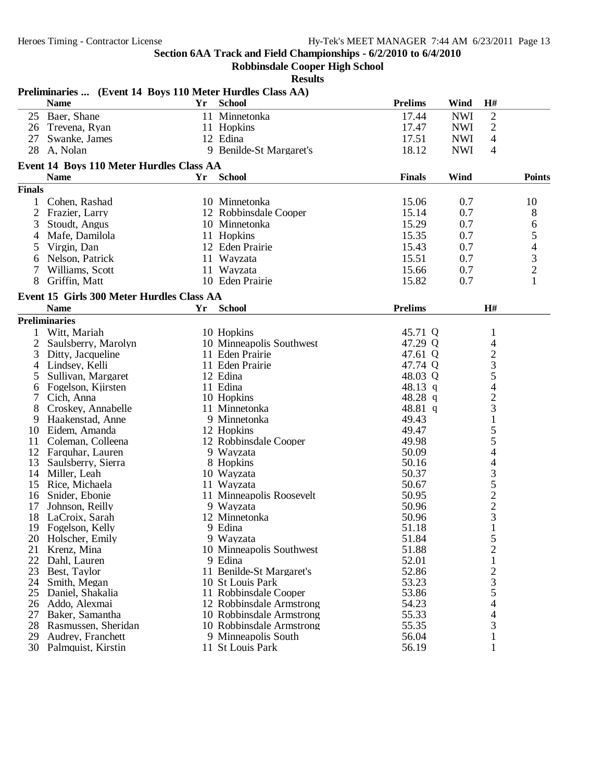$\frac{1}{2}$  Section 64/2010 to 6/4/2010

|               |                                                           |    | Section 6AA Track and Field Championships - 6/2/2010 to 6/4/2010<br><b>Robbinsdale Cooper High School</b> |                    |            |                         |                         |
|---------------|-----------------------------------------------------------|----|-----------------------------------------------------------------------------------------------------------|--------------------|------------|-------------------------|-------------------------|
|               |                                                           |    | <b>Results</b>                                                                                            |                    |            |                         |                         |
|               | Preliminaries  (Event 14 Boys 110 Meter Hurdles Class AA) |    |                                                                                                           |                    |            |                         |                         |
|               | <b>Name</b>                                               | Yr | <b>School</b>                                                                                             | <b>Prelims</b>     | Wind       | H#                      |                         |
|               | 25 Baer, Shane                                            |    | 11 Minnetonka                                                                                             | 17.44              | <b>NWI</b> | $\overline{2}$          |                         |
|               | 26 Trevena, Ryan                                          |    | 11 Hopkins                                                                                                | 17.47              | <b>NWI</b> | $\overline{2}$          |                         |
| 27            | Swanke, James                                             |    | 12 Edina                                                                                                  | 17.51              | <b>NWI</b> | $\overline{4}$          |                         |
|               | 28 A, Nolan                                               |    | 9 Benilde-St Margaret's                                                                                   | 18.12              | <b>NWI</b> | $\overline{4}$          |                         |
|               | Event 14 Boys 110 Meter Hurdles Class AA                  |    |                                                                                                           |                    |            |                         |                         |
|               | <b>Name</b>                                               | Yr | <b>School</b>                                                                                             | <b>Finals</b>      | Wind       |                         | <b>Points</b>           |
| <b>Finals</b> |                                                           |    |                                                                                                           |                    |            |                         |                         |
|               | Cohen, Rashad                                             |    | 10 Minnetonka                                                                                             | 15.06              | 0.7        |                         | 10                      |
| 2             | Frazier, Larry                                            |    | 12 Robbinsdale Cooper                                                                                     | 15.14              | 0.7        |                         | 8                       |
| 3             | Stoudt, Angus                                             |    | 10 Minnetonka                                                                                             | 15.29              | 0.7        |                         | 6                       |
| 4             | Mafe, Damilola                                            |    | 11 Hopkins                                                                                                | 15.35              | 0.7        |                         | $\mathfrak s$           |
| $\mathcal{L}$ | Virgin, Dan                                               |    | 12 Eden Prairie                                                                                           | 15.43              | 0.7        |                         | 4                       |
| 6             | Nelson, Patrick                                           |    | 11 Wayzata                                                                                                | 15.51              | 0.7        |                         | 3                       |
| 7             | Williams, Scott                                           |    | 11 Wayzata                                                                                                | 15.66              | 0.7        |                         | $\overline{\mathbf{c}}$ |
| 8             | Griffin, Matt                                             |    | 10 Eden Prairie                                                                                           | 15.82              | 0.7        |                         | 1                       |
|               |                                                           |    |                                                                                                           |                    |            |                         |                         |
|               | Event 15 Girls 300 Meter Hurdles Class AA<br><b>Name</b>  | Yr |                                                                                                           | <b>Prelims</b>     |            | H#                      |                         |
|               |                                                           |    | <b>School</b>                                                                                             |                    |            |                         |                         |
|               | <b>Preliminaries</b>                                      |    |                                                                                                           |                    |            |                         |                         |
|               | Witt, Mariah                                              |    | 10 Hopkins                                                                                                | 45.71 Q            |            | 1                       |                         |
| 2             | Saulsberry, Marolyn                                       |    | 10 Minneapolis Southwest                                                                                  | 47.29 Q            |            | 4                       |                         |
| 3             | Ditty, Jacqueline                                         |    | 11 Eden Prairie                                                                                           | 47.61 Q<br>47.74 Q |            | $\overline{c}$<br>3     |                         |
| 4             | Lindsey, Kelli                                            |    | 11 Eden Prairie<br>12 Edina                                                                               |                    |            |                         |                         |
| 5             | Sullivan, Margaret                                        |    | 11 Edina                                                                                                  | 48.03 Q<br>48.13 q |            | 5<br>4                  |                         |
| 6             | Fogelson, Kjirsten<br>Cich, Anna                          |    | 10 Hopkins                                                                                                | 48.28 q            |            |                         |                         |
| 8             | Croskey, Annabelle                                        |    | 11 Minnetonka                                                                                             | 48.81 q            |            | $\overline{c}$<br>3     |                         |
| 9             | Haakenstad, Anne                                          |    | 9 Minnetonka                                                                                              | 49.43              |            | $\mathbf{1}$            |                         |
| 10            | Eidem, Amanda                                             |    | 12 Hopkins                                                                                                | 49.47              |            | 5                       |                         |
| 11            | Coleman, Colleena                                         |    | 12 Robbinsdale Cooper                                                                                     | 49.98              |            | 5                       |                         |
|               | 12 Farquhar, Lauren                                       |    | 9 Wayzata                                                                                                 | 50.09              |            | 4                       |                         |
| 13            | Saulsberry, Sierra                                        |    | 8 Hopkins                                                                                                 | 50.16              |            | 4                       |                         |
| 14            | Miller, Leah                                              |    | 10 Wayzata                                                                                                | 50.37              |            | 3                       |                         |
| 15            | Rice, Michaela                                            |    | 11 Wayzata                                                                                                | 50.67              |            | 5                       |                         |
|               | 16 Snider, Ebonie                                         |    | 11 Minneapolis Roosevelt                                                                                  | 50.95              |            | $\overline{c}$          |                         |
| 17            | Johnson, Reilly                                           |    | 9 Wayzata                                                                                                 | 50.96              |            | $\overline{\mathbf{c}}$ |                         |
| 18            | LaCroix, Sarah                                            |    | 12 Minnetonka                                                                                             | 50.96              |            | 3                       |                         |
| 19            | Fogelson, Kelly                                           |    | 9 Edina                                                                                                   | 51.18              |            |                         |                         |
| 20            | Holscher, Emily                                           |    | 9 Wayzata                                                                                                 | 51.84              |            | 5                       |                         |
| 21            | Krenz, Mina                                               |    | 10 Minneapolis Southwest                                                                                  | 51.88              |            | $\overline{c}$          |                         |
| 22            | Dahl, Lauren                                              |    | 9 Edina                                                                                                   | 52.01              |            | 1                       |                         |
| 23            | Best, Taylor                                              |    | 11 Benilde-St Margaret's                                                                                  | 52.86              |            | $\overline{\mathbf{c}}$ |                         |
| 24            | Smith, Megan                                              |    | 10 St Louis Park                                                                                          | 53.23              |            | 3                       |                         |
| 25            | Daniel, Shakalia                                          |    | 11 Robbinsdale Cooper                                                                                     | 53.86              |            | 5                       |                         |
| 26            | Addo, Alexmai                                             |    | 12 Robbinsdale Armstrong                                                                                  | 54.23              |            | 4                       |                         |
| 27            | Baker, Samantha                                           |    | 10 Robbinsdale Armstrong                                                                                  | 55.33              |            | 4                       |                         |
| 28            | Rasmussen, Sheridan                                       |    | 10 Robbinsdale Armstrong                                                                                  | 55.35              |            | 3                       |                         |
| 29            | Audrey, Franchett                                         |    | 9 Minneapolis South                                                                                       | 56.04              |            |                         |                         |
|               | 30 Palmquist, Kirstin                                     |    | 11 St Louis Park                                                                                          | 56.19              |            |                         |                         |

- 28 Rasmussen, Sheridan 10 Robbinsdale Armstrong 55.35 35
- 
- 30 Palmquist, Kirstin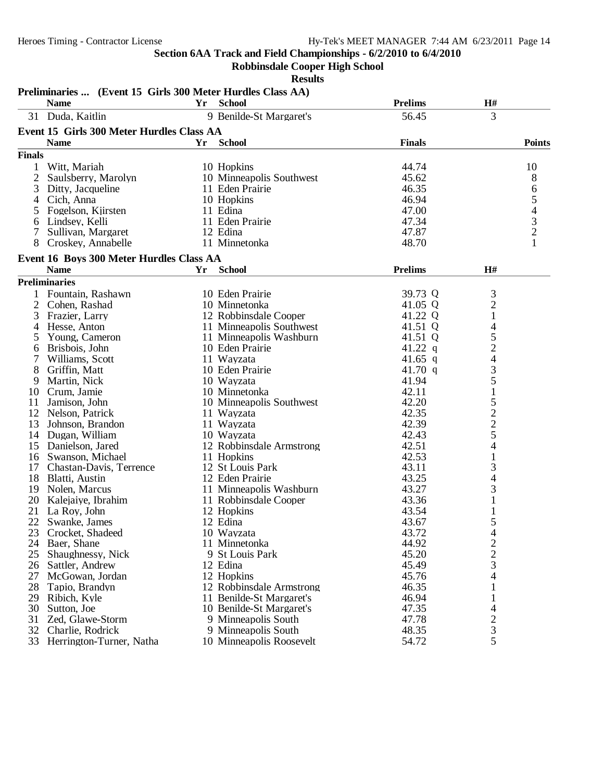**Robbinsdale Cooper High School**

|               | Preliminaries  (Event 15 Girls 300 Meter Hurdles Class AA)<br><b>Name</b> | Yr. | <b>School</b>               | <b>Prelims</b> | H#                      |               |
|---------------|---------------------------------------------------------------------------|-----|-----------------------------|----------------|-------------------------|---------------|
|               | 31 Duda, Kaitlin                                                          |     | 9 Benilde-St Margaret's     | 56.45          | 3                       |               |
|               | Event 15 Girls 300 Meter Hurdles Class AA                                 |     |                             |                |                         |               |
|               |                                                                           |     | <b>School</b>               | <b>Finals</b>  |                         |               |
|               | <b>Name</b>                                                               | Yr  |                             |                |                         | <b>Points</b> |
| <b>Finals</b> |                                                                           |     |                             |                |                         |               |
| 1             | Witt, Mariah                                                              |     | 10 Hopkins                  | 44.74          |                         | 10            |
| 2             | Saulsberry, Marolyn                                                       |     | 10 Minneapolis Southwest    | 45.62          |                         | 8             |
| 3             | Ditty, Jacqueline                                                         |     | 11 Eden Prairie             | 46.35          |                         | 6             |
| 4             | Cich, Anna                                                                |     | 10 Hopkins                  | 46.94<br>47.00 |                         | 5             |
| 5             | Fogelson, Kjirsten<br>Lindsey, Kelli                                      |     | 11 Edina<br>11 Eden Prairie | 47.34          |                         | $\frac{4}{3}$ |
| 6<br>7        | Sullivan, Margaret                                                        |     | 12 Edina                    | 47.87          |                         |               |
|               | Croskey, Annabelle                                                        |     | 11 Minnetonka               | 48.70          |                         | $\mathbf{1}$  |
|               |                                                                           |     |                             |                |                         |               |
|               | Event 16 Boys 300 Meter Hurdles Class AA<br><b>Name</b>                   | Yr  | <b>School</b>               | <b>Prelims</b> | H#                      |               |
|               | <b>Preliminaries</b>                                                      |     |                             |                |                         |               |
|               | 1 Fountain, Rashawn                                                       |     | 10 Eden Prairie             | 39.73 Q        | 3                       |               |
| 2             | Cohen, Rashad                                                             |     | 10 Minnetonka               | 41.05 Q        | $\overline{2}$          |               |
| 3             | Frazier, Larry                                                            |     | 12 Robbinsdale Cooper       | 41.22 Q        | $\mathbf{1}$            |               |
| 4             | Hesse, Anton                                                              |     | 11 Minneapolis Southwest    | 41.51 Q        | 4                       |               |
| $\mathcal{L}$ | Young, Cameron                                                            |     | 11 Minneapolis Washburn     | 41.51 Q        | 5                       |               |
| 6             | Brisbois, John                                                            |     | 10 Eden Prairie             | 41.22 $q$      | $\overline{c}$          |               |
| 7             | Williams, Scott                                                           |     | 11 Wayzata                  | 41.65 q        | 4                       |               |
| 8             | Griffin, Matt                                                             |     | 10 Eden Prairie             | 41.70 $q$      | 3                       |               |
| 9             | Martin, Nick                                                              |     | 10 Wayzata                  | 41.94          | 5                       |               |
| 10            | Crum, Jamie                                                               |     | 10 Minnetonka               | 42.11          | $\mathbf{1}$            |               |
| 11            | Jamison, John                                                             |     | 10 Minneapolis Southwest    | 42.20          | 5                       |               |
| 12            | Nelson, Patrick                                                           |     | 11 Wayzata                  | 42.35          | $\overline{c}$          |               |
| 13            | Johnson, Brandon                                                          |     | 11 Wayzata                  | 42.39          |                         |               |
| 14            | Dugan, William                                                            |     | 10 Wayzata                  | 42.43          | $\frac{2}{5}$           |               |
| 15            | Danielson, Jared                                                          |     | 12 Robbinsdale Armstrong    | 42.51          | 4                       |               |
| 16            | Swanson, Michael                                                          |     | 11 Hopkins                  | 42.53          | $\mathbf{1}$            |               |
|               | 17 Chastan-Davis, Terrence                                                |     | 12 St Louis Park            | 43.11          | 3                       |               |
| 18            | Blatti, Austin                                                            |     | 12 Eden Prairie             | 43.25          | 4                       |               |
|               | 19 Nolen, Marcus                                                          |     | 11 Minneapolis Washburn     | 43.27          | 3                       |               |
| 20            | Kalejaiye, Ibrahim                                                        |     | 11 Robbinsdale Cooper       | 43.36          |                         |               |
| 21            | La Roy, John                                                              |     | 12 Hopkins                  | 43.54          |                         |               |
| 22            | Swanke, James                                                             |     | 12 Edina                    | 43.67          | 5                       |               |
| 23            | Crocket, Shadeed                                                          |     | 10 Wayzata                  | 43.72          | 4                       |               |
| 24            | Baer, Shane                                                               |     | 11 Minnetonka               | 44.92          | $\overline{\mathbf{c}}$ |               |
| 25            | Shaughnessy, Nick                                                         |     | 9 St Louis Park             | 45.20          | $\overline{c}$          |               |
| 26            | Sattler, Andrew                                                           |     | 12 Edina                    | 45.49          | 3                       |               |
| 27            | McGowan, Jordan                                                           |     | 12 Hopkins                  | 45.76          | 4                       |               |
| 28            | Tapio, Brandyn                                                            |     | 12 Robbinsdale Armstrong    | 46.35          | 1                       |               |
| 29            | Ribich, Kyle                                                              |     | 11 Benilde-St Margaret's    | 46.94          | $\mathbf 1$             |               |
| 30            | Sutton, Joe                                                               |     | 10 Benilde-St Margaret's    | 47.35          | 4                       |               |
| 31            | Zed, Glawe-Storm                                                          |     | 9 Minneapolis South         | 47.78          | $\overline{c}$          |               |
| 32            | Charlie, Rodrick                                                          |     | 9 Minneapolis South         | 48.35          | 3                       |               |
|               | 33 Herrington-Turner, Natha                                               |     | 10 Minneapolis Roosevelt    | 54.72          | 5                       |               |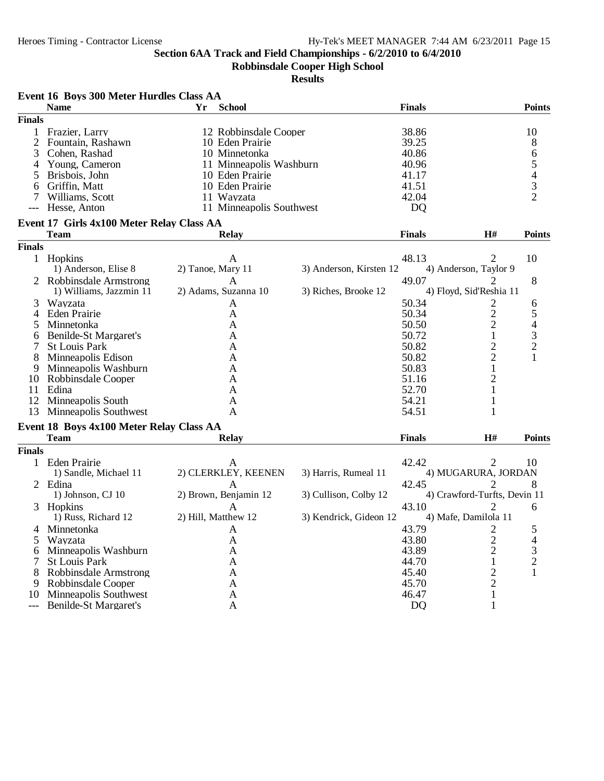**Robbinsdale Cooper High School**

|               | Event 16 Boys 300 Meter Hurdles Class AA  |                   |                          |                         |                |                              |                |
|---------------|-------------------------------------------|-------------------|--------------------------|-------------------------|----------------|------------------------------|----------------|
|               | <b>Name</b>                               | Yr                | <b>School</b>            |                         | <b>Finals</b>  |                              | <b>Points</b>  |
| <b>Finals</b> |                                           |                   |                          |                         |                |                              |                |
|               | Frazier, Larry                            |                   | 12 Robbinsdale Cooper    |                         | 38.86          |                              | 10             |
|               | Fountain, Rashawn                         |                   | 10 Eden Prairie          |                         | 39.25          |                              | $8\phantom{1}$ |
| 3             | Cohen, Rashad                             |                   | 10 Minnetonka            |                         | 40.86          |                              | $\sqrt{6}$     |
| 4             | Young, Cameron                            |                   | 11 Minneapolis Washburn  |                         | 40.96          |                              | 5              |
| 5             | Brisbois, John                            |                   | 10 Eden Prairie          |                         | 41.17          |                              | 4              |
| 6             | Griffin, Matt                             |                   | 10 Eden Prairie          |                         | 41.51          |                              | 3              |
|               | Williams, Scott                           |                   | 11 Wayzata               |                         | 42.04          |                              | $\overline{2}$ |
|               | Hesse, Anton                              |                   | 11 Minneapolis Southwest |                         | D <sub>Q</sub> |                              |                |
|               | Event 17 Girls 4x100 Meter Relay Class AA |                   |                          |                         |                |                              |                |
|               | <b>Team</b>                               |                   | <b>Relay</b>             |                         | <b>Finals</b>  | H#                           | <b>Points</b>  |
| <b>Finals</b> |                                           |                   |                          |                         |                |                              |                |
|               | 1 Hopkins                                 |                   | A                        |                         | 48.13          | 2                            | 10             |
|               | 1) Anderson, Elise 8                      | 2) Tanoe, Mary 11 |                          | 3) Anderson, Kirsten 12 |                | 4) Anderson, Taylor 9        |                |
|               | 2 Robbinsdale Armstrong                   |                   | A                        |                         | 49.07          | $\overline{2}$               | 8              |
|               | 1) Williams, Jazzmin 11                   |                   | 2) Adams, Suzanna 10     | 3) Riches, Brooke 12    |                | 4) Floyd, Sid'Reshia 11      |                |
| 3             | Wayzata                                   |                   | A                        |                         | 50.34          |                              | 6              |
| 4             | <b>Eden Prairie</b>                       |                   | A                        |                         | 50.34          | $\frac{2}{2}$                | 5              |
| 5             | Minnetonka                                |                   | A                        |                         | 50.50          | $\overline{c}$               | 4              |
| 6             | Benilde-St Margaret's                     |                   | A                        |                         | 50.72          | $\,1$                        | 3              |
| 7             | <b>St Louis Park</b>                      |                   | A                        |                         | 50.82          | $\overline{c}$               | $\overline{c}$ |
| 8             | Minneapolis Edison                        |                   | A                        |                         | 50.82          | $\overline{2}$               | 1              |
| 9             | Minneapolis Washburn                      |                   | A                        |                         | 50.83          | $\mathbf{1}$                 |                |
| 10            | Robbinsdale Cooper                        |                   | A                        |                         | 51.16          | $\mathbf{2}$                 |                |
| 11            | Edina                                     |                   | A                        |                         | 52.70          | $\mathbf{1}$                 |                |
|               | 12 Minneapolis South                      |                   | A                        |                         | 54.21          | $\mathbf{1}$                 |                |
|               | 13 Minneapolis Southwest                  |                   | A                        |                         | 54.51          |                              |                |
|               | Event 18 Boys 4x100 Meter Relay Class AA  |                   |                          |                         |                |                              |                |
|               | <b>Team</b>                               |                   | <b>Relay</b>             |                         | <b>Finals</b>  | H#                           | <b>Points</b>  |
| <b>Finals</b> |                                           |                   |                          |                         |                |                              |                |
|               | 1 Eden Prairie                            |                   | A                        |                         | 42.42          | 2                            | 10             |
|               | 1) Sandle, Michael 11                     |                   | 2) CLERKLEY, KEENEN      | 3) Harris, Rumeal 11    |                | 4) MUGARURA, JORDAN          |                |
|               | 2 Edina                                   |                   | A                        |                         | 42.45          | 2                            | 8              |
|               | 1) Johnson, CJ 10                         |                   | 2) Brown, Benjamin 12    | 3) Cullison, Colby 12   |                | 4) Crawford-Turfts, Devin 11 |                |
|               | 3 Hopkins                                 |                   | A                        |                         | 43.10          | 2                            | 6              |
|               | 1) Russ, Richard 12                       |                   | 2) Hill, Matthew 12      | 3) Kendrick, Gideon 12  |                | 4) Mafe, Damilola 11         |                |
|               | 4 Minnetonka                              |                   | $\mathsf{A}$             |                         | 43.79          |                              |                |
|               | Wayzata                                   |                   | A                        |                         | 43.80          | $\overline{c}$               | 4              |
| 6             | Minneapolis Washburn                      |                   | A                        |                         | 43.89          | $\overline{2}$               | 3              |
|               | <b>St Louis Park</b>                      |                   | A                        |                         | 44.70          |                              | $\overline{c}$ |
| 8             | Robbinsdale Armstrong                     |                   | A                        |                         | 45.40          | $\overline{c}$               |                |
| 9             | Robbinsdale Cooper                        |                   | A                        |                         | 45.70          | $\overline{2}$               |                |
| 10            | Minneapolis Southwest                     |                   | A                        |                         | 46.47          |                              |                |
|               | <b>Benilde-St Margaret's</b>              |                   | A                        |                         | D <sub>Q</sub> | 1                            |                |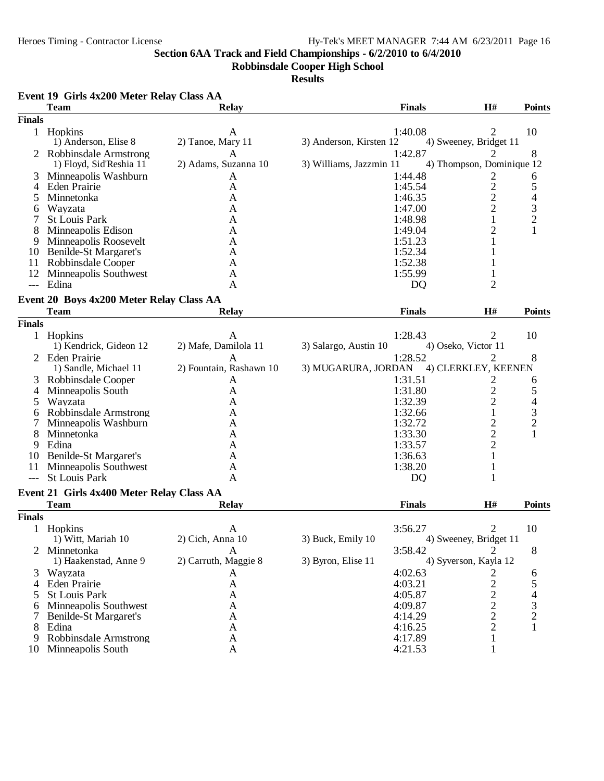**Robbinsdale Cooper High School**

**Results**

|                | <b>Team</b>                                      | <b>Relay</b>              | <b>Finals</b>                      | H#                        | <b>Points</b>            |
|----------------|--------------------------------------------------|---------------------------|------------------------------------|---------------------------|--------------------------|
| <b>Finals</b>  |                                                  |                           |                                    |                           |                          |
|                | 1 Hopkins                                        | A                         | 1:40.08                            | 2                         | 10                       |
|                | 1) Anderson, Elise 8                             | 2) Tanoe, Mary 11         | 3) Anderson, Kirsten 12            | 4) Sweeney, Bridget 11    |                          |
|                | Robbinsdale Armstrong<br>1) Floyd, Sid'Reshia 11 | A<br>2) Adams, Suzanna 10 | 1:42.87<br>3) Williams, Jazzmin 11 | 4) Thompson, Dominique 12 | 8                        |
| 3              | Minneapolis Washburn                             | A                         | 1:44.48                            | 2                         | 6                        |
| 4              | Eden Prairie                                     | A                         | 1:45.54                            |                           | 5                        |
| 5              | Minnetonka                                       | A                         | 1:46.35                            | $\frac{2}{2}$             | 4                        |
| 6              | Wayzata                                          | A                         | 1:47.00                            | $\overline{c}$            | 3                        |
|                | <b>St Louis Park</b>                             | A                         | 1:48.98                            | $\mathbf{1}$              | $\overline{2}$           |
| 8              | Minneapolis Edison                               | A                         | 1:49.04                            | $\overline{2}$            |                          |
| 9              | Minneapolis Roosevelt                            | A                         | 1:51.23                            | 1                         |                          |
| 10             | Benilde-St Margaret's                            | A                         | 1:52.34                            |                           |                          |
| 11             | Robbinsdale Cooper                               | A                         | 1:52.38                            |                           |                          |
| 12             | Minneapolis Southwest                            | A                         | 1:55.99                            |                           |                          |
| $---$          | Edina                                            | A                         | <b>DQ</b>                          | 2                         |                          |
|                |                                                  |                           |                                    |                           |                          |
|                | Event 20 Boys 4x200 Meter Relay Class AA         |                           |                                    |                           |                          |
|                | <b>Team</b>                                      | <b>Relay</b>              | <b>Finals</b>                      | H#                        | <b>Points</b>            |
| <b>Finals</b>  |                                                  |                           |                                    |                           |                          |
|                | 1 Hopkins                                        | A                         | 1:28.43                            | 2                         | 10                       |
|                | 1) Kendrick, Gideon 12                           | 2) Mafe, Damilola 11      | 3) Salargo, Austin 10              | 4) Oseko, Victor 11       |                          |
| 2              | <b>Eden Prairie</b>                              | A                         | 1:28.52                            | 2                         | 8                        |
|                | 1) Sandle, Michael 11                            | 2) Fountain, Rashawn 10   | 3) MUGARURA, JORDAN                | 4) CLERKLEY, KEENEN       |                          |
| 3              | Robbinsdale Cooper                               | A                         | 1:31.51                            | $\overline{c}$            | 6                        |
| $\overline{4}$ | Minneapolis South                                | A                         | 1:31.80                            | $\overline{c}$            | 5                        |
| 5              | Wayzata                                          | A                         | 1:32.39                            | $\overline{c}$            | $\overline{\mathcal{L}}$ |
| 6              | Robbinsdale Armstrong                            | A                         | 1:32.66                            | $\mathbf{1}$              |                          |
|                | Minneapolis Washburn                             | Α                         | 1:32.72                            |                           | $\frac{3}{2}$            |
| 8              | Minnetonka                                       | A                         | 1:33.30                            |                           |                          |
| 9              | Edina                                            | A                         | 1:33.57                            | $\frac{2}{2}$             |                          |
| 10             | Benilde-St Margaret's                            | A                         | 1:36.63                            | $\mathbf{1}$              |                          |
| 11             | Minneapolis Southwest                            | A                         | 1:38.20                            | 1                         |                          |
| $---$          | <b>St Louis Park</b>                             | A                         | DQ                                 | 1                         |                          |
|                |                                                  |                           |                                    |                           |                          |
|                | Event 21 Girls 4x400 Meter Relay Class AA        |                           |                                    |                           |                          |
|                | <b>Team</b>                                      | <b>Relay</b>              | <b>Finals</b>                      | H#                        | <b>Points</b>            |
| <b>Finals</b>  |                                                  |                           |                                    |                           |                          |
|                | Hopkins                                          | $\mathbf{A}$              | 3:56.27                            | 2                         | 10                       |
|                | 1) Witt, Mariah 10                               | 2) Cich, Anna 10          | 3) Buck, Emily 10                  | 4) Sweeney, Bridget 11    |                          |
| 2              | Minnetonka                                       | $\mathbf{A}$              | 3:58.42                            | $\overline{2}$            | 8                        |
|                | 1) Haakenstad, Anne 9                            | 2) Carruth, Maggie 8      | 3) Byron, Elise 11                 | 4) Syverson, Kayla 12     |                          |
| 3              | Wayzata                                          | A                         | 4:02.63                            | 2                         | 6                        |
| 4              | Eden Prairie                                     | A                         | 4:03.21                            | 2                         | 5                        |
| 5              | <b>St Louis Park</b>                             | A                         | 4:05.87                            |                           | 4                        |
| 6              | Minneapolis Southwest                            | A                         | 4:09.87                            | $\frac{2}{2}$             | 3                        |
|                | Benilde-St Margaret's                            | A                         | 4:14.29                            | $\overline{c}$            | $\overline{c}$           |
| 8              | Edina                                            | A                         | 4:16.25                            | $\overline{c}$            | 1                        |
| 9              | Robbinsdale Armstrong                            | A                         | 4:17.89                            | 1                         |                          |
| 10             | Minneapolis South                                | A                         | 4:21.53                            | 1                         |                          |
|                |                                                  |                           |                                    |                           |                          |

## **Event 19 Girls 4x200 Meter Relay Class AA**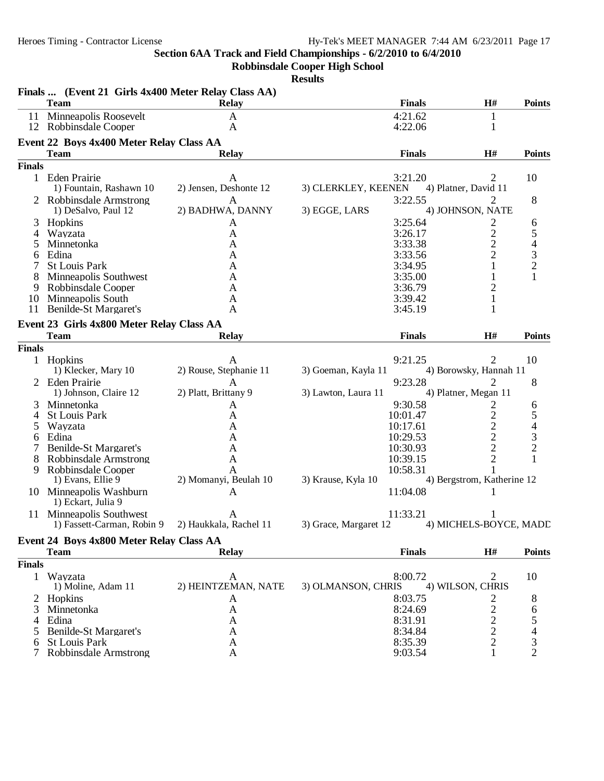**Robbinsdale Cooper High School**

|               | Finals  (Event 21 Girls 4x400 Meter Relay Class AA)<br><b>Team</b> | Relay                                             |                       | <b>Finals</b> | H#                         | <b>Points</b>  |
|---------------|--------------------------------------------------------------------|---------------------------------------------------|-----------------------|---------------|----------------------------|----------------|
|               | 11 Minneapolis Roosevelt                                           | A                                                 |                       | 4:21.62       | 1                          |                |
|               | 12 Robbinsdale Cooper                                              | A                                                 |                       | 4:22.06       | $\mathbf{1}$               |                |
|               | Event 22 Boys 4x400 Meter Relay Class AA                           |                                                   |                       |               |                            |                |
|               | <b>Team</b>                                                        | <b>Relay</b>                                      |                       | <b>Finals</b> | H#                         | <b>Points</b>  |
| <b>Finals</b> |                                                                    |                                                   |                       |               |                            |                |
|               |                                                                    |                                                   |                       |               |                            |                |
|               | 1 Eden Prairie                                                     | A<br>2) Jensen, Deshonte 12                       |                       | 3:21.20       | 2<br>4) Platner, David 11  | 10             |
|               | 1) Fountain, Rashawn 10                                            |                                                   | 3) CLERKLEY, KEENEN   |               |                            |                |
|               | 2 Robbinsdale Armstrong                                            | $\mathbf{A}$<br>2) BADHWA, DANNY                  | 3) EGGE, LARS         | 3:22.55       | 2                          | 8              |
|               | 1) DeSalvo, Paul 12                                                |                                                   |                       |               | 4) JOHNSON, NATE           |                |
| 3             | Hopkins                                                            | A                                                 |                       | 3:25.64       | 2                          | 6              |
| 4             | Wayzata                                                            | A                                                 |                       | 3:26.17       | $\overline{c}$             | 5              |
| 5             | Minnetonka                                                         | A                                                 |                       | 3:33.38       | $\overline{2}$             | $\overline{4}$ |
| 6             | Edina                                                              | A                                                 |                       | 3:33.56       | $\overline{2}$             | 3              |
|               | <b>St Louis Park</b>                                               | A                                                 |                       | 3:34.95       | 1                          | $\overline{2}$ |
|               | Minneapolis Southwest                                              | A                                                 |                       | 3:35.00       | 1                          | 1              |
| 9             | Robbinsdale Cooper                                                 | A                                                 |                       | 3:36.79       | $\overline{c}$             |                |
|               | 10 Minneapolis South                                               | A                                                 |                       | 3:39.42       | $\mathbf{1}$               |                |
|               | 11 Benilde-St Margaret's                                           | A                                                 |                       | 3:45.19       | 1                          |                |
|               | Event 23 Girls 4x800 Meter Relay Class AA                          |                                                   |                       |               |                            |                |
|               | <b>Team</b>                                                        | <b>Relay</b>                                      |                       | <b>Finals</b> | H#                         | <b>Points</b>  |
| <b>Finals</b> |                                                                    |                                                   |                       |               |                            |                |
|               | 1 Hopkins                                                          | A                                                 |                       | 9:21.25       | 2                          | 10             |
|               | 1) Klecker, Mary 10                                                | 2) Rouse, Stephanie 11                            | 3) Goeman, Kayla 11   |               | 4) Borowsky, Hannah 11     |                |
|               | <b>Eden Prairie</b>                                                | A                                                 |                       | 9:23.28       | 2                          | 8              |
|               | 1) Johnson, Claire 12                                              | 2) Platt, Brittany 9                              | 3) Lawton, Laura 11   |               | 4) Platner, Megan 11       |                |
| 3             | Minnetonka                                                         | A                                                 |                       | 9:30.58       | 2                          | 6              |
| 4             | <b>St Louis Park</b>                                               | A                                                 |                       | 10:01.47      | $\overline{c}$             | 5              |
| $\mathcal{D}$ | Wayzata                                                            | A                                                 |                       | 10:17.61      | $\overline{2}$             | 4              |
| 6             | Edina                                                              | A                                                 |                       | 10:29.53      | $\overline{c}$             | 3              |
|               | Benilde-St Margaret's                                              | A                                                 |                       | 10:30.93      | $\overline{2}$             | $\overline{2}$ |
| 8             | Robbinsdale Armstrong                                              | A                                                 |                       | 10:39.15      | $\overline{2}$             | 1              |
| 9             | Robbinsdale Cooper                                                 | A                                                 |                       | 10:58.31      |                            |                |
|               | 1) Evans, Ellie 9                                                  | 2) Momanyi, Beulah 10                             | 3) Krause, Kyla 10    |               | 4) Bergstrom, Katherine 12 |                |
|               | 10 Minneapolis Washburn                                            | A                                                 |                       | 11:04.08      |                            |                |
|               | 1) Eckart, Julia 9                                                 |                                                   |                       |               |                            |                |
|               | 11 Minneapolis Southwest                                           | A                                                 |                       | 11:33.21      |                            |                |
|               |                                                                    | 1) Fassett-Carman, Robin 9 2) Haukkala, Rachel 11 | 3) Grace, Margaret 12 |               | 4) MICHELS-BOYCE, MADD     |                |
|               |                                                                    |                                                   |                       |               |                            |                |
|               | Event 24 Boys 4x800 Meter Relay Class AA<br><b>Team</b>            | <b>Relay</b>                                      |                       | <b>Finals</b> | H#                         | <b>Points</b>  |
|               |                                                                    |                                                   |                       |               |                            |                |
| <b>Finals</b> |                                                                    |                                                   |                       |               |                            |                |
|               | 1 Wayzata                                                          | $\mathbf{A}$                                      |                       | 8:00.72       | 2                          | 10             |
|               | 1) Moline, Adam 11                                                 | 2) HEINTZEMAN, NATE                               | 3) OLMANSON, CHRIS    |               | 4) WILSON, CHRIS           |                |
|               | 2 Hopkins                                                          | A                                                 |                       | 8:03.75       | 2                          | 8              |
| 3             | Minnetonka                                                         | A                                                 |                       | 8:24.69       | $\overline{c}$             | 6              |
| 4             | Edina                                                              | A                                                 |                       | 8:31.91       | $\overline{c}$             | 5              |
| 5             | Benilde-St Margaret's                                              | A                                                 |                       | 8:34.84       | $\overline{c}$             | $\overline{4}$ |
| 6             | <b>St Louis Park</b>                                               | A                                                 |                       | 8:35.39       | $\overline{2}$             | 3              |
|               | 7 Robbinsdale Armstrong                                            | A                                                 |                       | 9:03.54       |                            | $\overline{2}$ |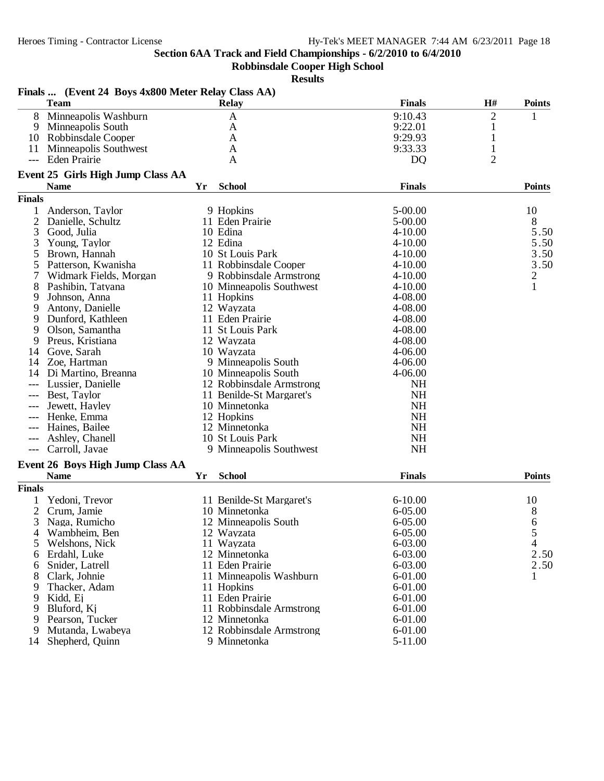**Robbinsdale Cooper High School**

|                | Finals  (Event 24 Boys 4x800 Meter Relay Class AA) |    |                          |                |                |                |
|----------------|----------------------------------------------------|----|--------------------------|----------------|----------------|----------------|
|                | <b>Team</b>                                        |    | <b>Relay</b>             | <b>Finals</b>  | H#             | <b>Points</b>  |
| 8              | Minneapolis Washburn                               |    | A                        | 9:10.43        | $\overline{2}$ | 1              |
| 9              | Minneapolis South                                  |    | A                        | 9:22.01        | $\mathbf{1}$   |                |
|                | 10 Robbinsdale Cooper                              |    | A                        | 9:29.93        | 1              |                |
| 11             | Minneapolis Southwest                              |    | A                        | 9:33.33        | 1              |                |
| ---            | Eden Prairie                                       |    | A                        | D <sub>Q</sub> | $\overline{2}$ |                |
|                | Event 25 Girls High Jump Class AA                  |    |                          |                |                |                |
|                | <b>Name</b>                                        | Yr | <b>School</b>            | <b>Finals</b>  |                | <b>Points</b>  |
| <b>Finals</b>  |                                                    |    |                          |                |                |                |
|                | Anderson, Taylor                                   |    | 9 Hopkins                | 5-00.00        |                | 10             |
| 2              | Danielle, Schultz                                  |    | 11 Eden Prairie          | 5-00.00        |                | 8              |
| 3              | Good, Julia                                        |    | 10 Edina                 | $4 - 10.00$    |                | 5.50           |
| 3              | Young, Taylor                                      |    | 12 Edina                 | $4 - 10.00$    |                | 5.50           |
| 5              | Brown, Hannah                                      |    | 10 St Louis Park         | $4 - 10.00$    |                | 3.50           |
| 5              | Patterson, Kwanisha                                |    | 11 Robbinsdale Cooper    | $4 - 10.00$    |                | 3.50           |
|                | Widmark Fields, Morgan                             |    | 9 Robbinsdale Armstrong  | $4 - 10.00$    |                | $\overline{c}$ |
| 8              | Pashibin, Tatyana                                  |    | 10 Minneapolis Southwest | $4 - 10.00$    |                | $\mathbf{1}$   |
| 9              | Johnson, Anna                                      |    | 11 Hopkins               | 4-08.00        |                |                |
| 9              | Antony, Danielle                                   |    | 12 Wayzata               | 4-08.00        |                |                |
| 9              | Dunford, Kathleen                                  |    | 11 Eden Prairie          | 4-08.00        |                |                |
| 9              | Olson, Samantha                                    |    | 11 St Louis Park         | 4-08.00        |                |                |
| 9              | Preus, Kristiana                                   |    | 12 Wayzata               | 4-08.00        |                |                |
| 14             | Gove, Sarah                                        |    | 10 Wayzata               | $4 - 06.00$    |                |                |
| 14             | Zoe, Hartman                                       |    | 9 Minneapolis South      | $4 - 06.00$    |                |                |
| 14             | Di Martino, Breanna                                |    | 10 Minneapolis South     | 4-06.00        |                |                |
|                | Lussier, Danielle                                  |    | 12 Robbinsdale Armstrong | <b>NH</b>      |                |                |
|                | Best, Taylor                                       |    | 11 Benilde-St Margaret's | <b>NH</b>      |                |                |
| $---$          | Jewett, Hayley                                     |    | 10 Minnetonka            | <b>NH</b>      |                |                |
| ---            | Henke, Emma                                        |    | 12 Hopkins               | <b>NH</b>      |                |                |
| $---$          | Haines, Bailee                                     |    | 12 Minnetonka            | <b>NH</b>      |                |                |
| ---            | Ashley, Chanell                                    |    | 10 St Louis Park         | <b>NH</b>      |                |                |
| $---$          | Carroll, Javae                                     |    | 9 Minneapolis Southwest  | <b>NH</b>      |                |                |
|                | Event 26 Boys High Jump Class AA                   |    |                          |                |                |                |
|                | <b>Name</b>                                        | Yr | <b>School</b>            | <b>Finals</b>  |                | <b>Points</b>  |
| <b>Finals</b>  |                                                    |    |                          |                |                |                |
|                | Yedoni, Trevor                                     |    | 11 Benilde-St Margaret's | $6 - 10.00$    |                | 10             |
| $\overline{2}$ | Crum, Jamie                                        |    | 10 Minnetonka            | 6-05.00        |                | 8              |
|                | 3 Naga, Rumicho                                    |    | 12 Minneapolis South     | $6 - 05.00$    |                | 6              |
| 4              | Wambheim, Ben                                      |    | 12 Wayzata               | 6-05.00        |                | 5              |
| 5              | Welshons, Nick                                     |    | 11 Wayzata               | 6-03.00        |                | 4              |
| 6              | Erdahl, Luke                                       |    | 12 Minnetonka            | 6-03.00        |                | 2.50           |
| 6              | Snider, Latrell                                    |    | 11 Eden Prairie          | 6-03.00        |                | 2.50           |
|                | Clark, Johnie                                      |    | 11 Minneapolis Washburn  | $6 - 01.00$    |                | 1              |
| 9              | Thacker, Adam                                      |    | 11 Hopkins               | 6-01.00        |                |                |
| 9              | Kidd, Ej                                           |    | 11 Eden Prairie          | 6-01.00        |                |                |
| 9              | Bluford, Kj                                        |    | 11 Robbinsdale Armstrong | 6-01.00        |                |                |
| 9              | Pearson, Tucker                                    |    | 12 Minnetonka            | 6-01.00        |                |                |
| 9              | Mutanda, Lwabeya                                   |    | 12 Robbinsdale Armstrong | 6-01.00        |                |                |
| 14             | Shepherd, Quinn                                    |    | 9 Minnetonka             | 5-11.00        |                |                |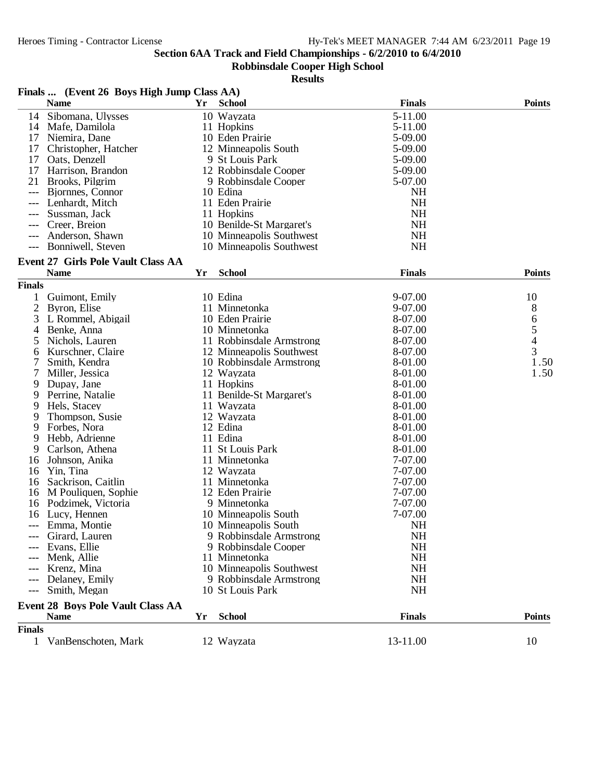**Robbinsdale Cooper High School**

|                                                                                                | Finals  (Event 26 Boys High Jump Class AA)              |    |                          |               |               |
|------------------------------------------------------------------------------------------------|---------------------------------------------------------|----|--------------------------|---------------|---------------|
|                                                                                                | <b>Name</b>                                             | Yr | <b>School</b>            | <b>Finals</b> | <b>Points</b> |
| 14                                                                                             | Sibomana, Ulysses                                       |    | 10 Wayzata               | 5-11.00       |               |
| 14                                                                                             | Mafe, Damilola                                          |    | 11 Hopkins               | 5-11.00       |               |
| 17                                                                                             | Niemira, Dane                                           |    | 10 Eden Prairie          | 5-09.00       |               |
| 17                                                                                             | Christopher, Hatcher                                    |    | 12 Minneapolis South     | 5-09.00       |               |
| 17                                                                                             | Oats, Denzell                                           |    | 9 St Louis Park          | 5-09.00       |               |
| 17                                                                                             | Harrison, Brandon                                       |    | 12 Robbinsdale Cooper    | 5-09.00       |               |
| 21                                                                                             | Brooks, Pilgrim                                         |    | 9 Robbinsdale Cooper     | 5-07.00       |               |
| $---$                                                                                          | Bjornnes, Connor                                        |    | 10 Edina                 | NH            |               |
| $---$                                                                                          | Lenhardt, Mitch                                         |    | 11 Eden Prairie          | <b>NH</b>     |               |
|                                                                                                | Sussman, Jack                                           |    | 11 Hopkins               | <b>NH</b>     |               |
|                                                                                                | Creer, Breion                                           |    | 10 Benilde-St Margaret's | <b>NH</b>     |               |
| $---$                                                                                          | Anderson, Shawn                                         |    | 10 Minneapolis Southwest | <b>NH</b>     |               |
| $---$                                                                                          | Bonniwell, Steven                                       |    | 10 Minneapolis Southwest | <b>NH</b>     |               |
|                                                                                                | <b>Event 27 Girls Pole Vault Class AA</b>               |    |                          |               |               |
|                                                                                                | <b>Name</b>                                             | Yr | <b>School</b>            | <b>Finals</b> | <b>Points</b> |
| <b>Finals</b>                                                                                  |                                                         |    |                          |               |               |
| 1                                                                                              | Guimont, Emily                                          |    | 10 Edina                 | 9-07.00       | 10            |
| $\overline{c}$                                                                                 | Byron, Elise                                            |    | 11 Minnetonka            | 9-07.00       | 8             |
| 3                                                                                              | L Rommel, Abigail                                       |    | 10 Eden Prairie          | 8-07.00       | 6             |
| 4                                                                                              | Benke, Anna                                             |    | 10 Minnetonka            | 8-07.00       |               |
| 5                                                                                              | Nichols, Lauren                                         |    | 11 Robbinsdale Armstrong | 8-07.00       | $\frac{5}{4}$ |
| 6                                                                                              | Kurschner, Claire                                       |    | 12 Minneapolis Southwest | 8-07.00       | 3             |
| 7                                                                                              | Smith, Kendra                                           |    | 10 Robbinsdale Armstrong | 8-01.00       | 1.50          |
| 7                                                                                              | Miller, Jessica                                         |    | 12 Wayzata               | 8-01.00       | 1.50          |
| 9                                                                                              | Dupay, Jane                                             |    | 11 Hopkins               | 8-01.00       |               |
| 9                                                                                              | Perrine, Natalie                                        |    | 11 Benilde-St Margaret's | 8-01.00       |               |
| 9                                                                                              | Hels, Stacey                                            |    | 11 Wayzata               | 8-01.00       |               |
| 9                                                                                              | Thompson, Susie                                         |    | 12 Wayzata               | 8-01.00       |               |
| 9                                                                                              | Forbes, Nora                                            |    | 12 Edina                 | 8-01.00       |               |
| 9                                                                                              | Hebb, Adrienne                                          |    | 11 Edina                 | 8-01.00       |               |
| 9                                                                                              | Carlson, Athena                                         |    | 11 St Louis Park         | 8-01.00       |               |
| 16                                                                                             | Johnson, Anika                                          |    | 11 Minnetonka            | 7-07.00       |               |
| 16                                                                                             | Yin, Tina                                               |    | 12 Wayzata               | 7-07.00       |               |
| 16                                                                                             | Sackrison, Caitlin                                      |    | 11 Minnetonka            | 7-07.00       |               |
| 16                                                                                             | M Pouliquen, Sophie                                     |    | 12 Eden Prairie          | 7-07.00       |               |
| 16                                                                                             | Podzimek, Victoria                                      |    | 9 Minnetonka             | 7-07.00       |               |
| 16                                                                                             | Lucy, Hennen                                            |    | 10 Minneapolis South     | 7-07.00       |               |
|                                                                                                | Emma, Montie                                            |    | 10 Minneapolis South     | <b>NH</b>     |               |
|                                                                                                | Girard, Lauren                                          |    | 9 Robbinsdale Armstrong  | NH            |               |
|                                                                                                | Evans, Ellie                                            |    | 9 Robbinsdale Cooper     | <b>NH</b>     |               |
| ---                                                                                            | Menk, Allie                                             |    | 11 Minnetonka            | <b>NH</b>     |               |
|                                                                                                | Krenz, Mina                                             |    | 10 Minneapolis Southwest | <b>NH</b>     |               |
|                                                                                                | Delaney, Emily                                          |    | 9 Robbinsdale Armstrong  | <b>NH</b>     |               |
| $\frac{1}{2} \left( \frac{1}{2} \right) \left( \frac{1}{2} \right) \left( \frac{1}{2} \right)$ | Smith, Megan                                            |    | 10 St Louis Park         | <b>NH</b>     |               |
|                                                                                                |                                                         |    |                          |               |               |
|                                                                                                | <b>Event 28 Boys Pole Vault Class AA</b><br><b>Name</b> | Yr | <b>School</b>            | <b>Finals</b> | <b>Points</b> |
| <b>Finals</b>                                                                                  |                                                         |    |                          |               |               |
|                                                                                                | 1 VanBenschoten, Mark                                   |    |                          | 13-11.00      |               |
|                                                                                                |                                                         |    | 12 Wayzata               |               | 10            |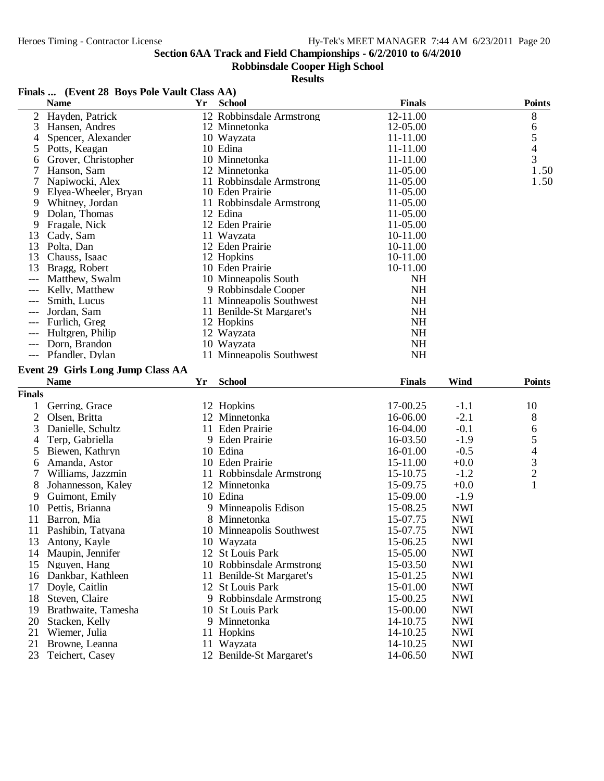## **Robbinsdale Cooper High School**

|                | Finals  (Event 28 Boys Pole Vault Class AA) |    |                                        |                      |                          |                                                 |
|----------------|---------------------------------------------|----|----------------------------------------|----------------------|--------------------------|-------------------------------------------------|
|                | <b>Name</b>                                 | Yr | <b>School</b>                          | <b>Finals</b>        |                          | <b>Points</b>                                   |
| 2              | Hayden, Patrick                             |    | 12 Robbinsdale Armstrong               | 12-11.00             |                          | 8                                               |
| 3              | Hansen, Andres                              |    | 12 Minnetonka                          | 12-05.00             |                          | 6                                               |
| 4              | Spencer, Alexander                          |    | 10 Wayzata                             | 11-11.00             |                          |                                                 |
| 5              | Potts, Keagan                               |    | 10 Edina                               | 11-11.00             |                          | $\frac{5}{4}$                                   |
| 6              | Grover, Christopher                         |    | 10 Minnetonka                          | 11-11.00             |                          |                                                 |
|                | Hanson, Sam                                 |    | 12 Minnetonka                          | 11-05.00             |                          | 1.50                                            |
| 7              | Napiwocki, Alex                             |    | 11 Robbinsdale Armstrong               | 11-05.00             |                          | 1.50                                            |
| 9              | Elyea-Wheeler, Bryan                        |    | 10 Eden Prairie                        | 11-05.00             |                          |                                                 |
| 9              | Whitney, Jordan                             |    | 11 Robbinsdale Armstrong               | 11-05.00             |                          |                                                 |
| 9              | Dolan, Thomas                               |    | 12 Edina                               | 11-05.00             |                          |                                                 |
| 9              | Fragale, Nick                               |    | 12 Eden Prairie                        | 11-05.00             |                          |                                                 |
| 13             | Cady, Sam                                   |    | 11 Wayzata                             | 10-11.00             |                          |                                                 |
| 13             | Polta, Dan                                  |    | 12 Eden Prairie                        | 10-11.00             |                          |                                                 |
| 13             | Chauss, Isaac                               |    | 12 Hopkins                             | 10-11.00             |                          |                                                 |
| 13             | Bragg, Robert                               |    | 10 Eden Prairie                        | 10-11.00             |                          |                                                 |
|                | Matthew, Swalm                              |    | 10 Minneapolis South                   | <b>NH</b>            |                          |                                                 |
|                | Kelly, Matthew                              |    | 9 Robbinsdale Cooper                   | <b>NH</b>            |                          |                                                 |
| ---            | Smith, Lucus                                |    | 11 Minneapolis Southwest               | <b>NH</b>            |                          |                                                 |
|                | Jordan, Sam                                 |    | 11 Benilde-St Margaret's               | <b>NH</b>            |                          |                                                 |
|                | Furlich, Greg                               |    | 12 Hopkins                             | <b>NH</b>            |                          |                                                 |
| ---            | Hultgren, Philip                            |    | 12 Wayzata                             | <b>NH</b>            |                          |                                                 |
| $---$          | Dorn, Brandon                               |    | 10 Wayzata                             | <b>NH</b>            |                          |                                                 |
| $---$          | Pfandler, Dylan                             |    | 11 Minneapolis Southwest               | <b>NH</b>            |                          |                                                 |
|                | <b>Event 29 Girls Long Jump Class AA</b>    |    |                                        |                      |                          |                                                 |
|                |                                             |    |                                        |                      |                          |                                                 |
|                |                                             |    |                                        |                      |                          |                                                 |
|                | <b>Name</b>                                 | Yr | <b>School</b>                          | <b>Finals</b>        | Wind                     | <b>Points</b>                                   |
| <b>Finals</b>  |                                             |    |                                        |                      |                          |                                                 |
| 1              | Gerring, Grace                              |    | 12 Hopkins                             | 17-00.25             | $-1.1$                   | 10                                              |
| $\overline{2}$ | Olsen, Britta                               |    | 12 Minnetonka                          | 16-06.00             | $-2.1$                   | 8                                               |
| 3              | Danielle, Schultz                           |    | 11 Eden Prairie                        | 16-04.00             | $-0.1$                   | 6                                               |
| 4              | Terp, Gabriella                             |    | 9 Eden Prairie                         | 16-03.50             | $-1.9$                   |                                                 |
| 5              | Biewen, Kathryn                             |    | 10 Edina                               | 16-01.00             | $-0.5$                   |                                                 |
| 6              | Amanda, Astor                               |    | 10 Eden Prairie                        | 15-11.00             | $+0.0$                   |                                                 |
| 7              | Williams, Jazzmin                           |    | 11 Robbinsdale Armstrong               | 15-10.75             | $-1.2$                   | $\begin{array}{c} 5 \\ 4 \\ 3 \\ 2 \end{array}$ |
| 8              | Johannesson, Kaley                          |    | 12 Minnetonka                          | 15-09.75             | $+0.0$                   | $\mathbf{1}$                                    |
| 9              | Guimont, Emily                              |    | 10 Edina                               | 15-09.00             | $-1.9$                   |                                                 |
| 10             | Pettis, Brianna                             |    | 9 Minneapolis Edison                   | 15-08.25             | <b>NWI</b>               |                                                 |
| 11             | Barron, Mia                                 |    | 8 Minnetonka                           | 15-07.75             | <b>NWI</b>               |                                                 |
| 11             | Pashibin, Tatyana                           |    | 10 Minneapolis Southwest               | 15-07.75             | <b>NWI</b>               |                                                 |
| 13             | Antony, Kayle                               |    | 10 Wayzata                             | 15-06.25             | <b>NWI</b>               |                                                 |
|                | 14 Maupin, Jennifer                         |    | 12 St Louis Park                       | 15-05.00             | <b>NWI</b>               |                                                 |
| 15             | Nguyen, Hang                                |    | 10 Robbinsdale Armstrong               | 15-03.50             | <b>NWI</b>               |                                                 |
|                | 16 Dankbar, Kathleen                        |    | 11 Benilde-St Margaret's               | 15-01.25             | <b>NWI</b>               |                                                 |
| 17             | Doyle, Caitlin                              |    | 12 St Louis Park                       | 15-01.00             | <b>NWI</b>               |                                                 |
| 18             | Steven, Claire                              |    | 9 Robbinsdale Armstrong                | 15-00.25             | <b>NWI</b>               |                                                 |
| 19             | Brathwaite, Tamesha                         | 10 | <b>St Louis Park</b>                   | 15-00.00             | <b>NWI</b>               |                                                 |
| 20             | Stacken, Kelly                              |    | 9 Minnetonka                           | 14-10.75             | <b>NWI</b>               |                                                 |
| 21             | Wiemer, Julia                               |    | 11 Hopkins                             | 14-10.25             | <b>NWI</b>               |                                                 |
| 21             | Browne, Leanna<br>Teichert, Casey           |    | 11 Wayzata<br>12 Benilde-St Margaret's | 14-10.25<br>14-06.50 | <b>NWI</b><br><b>NWI</b> |                                                 |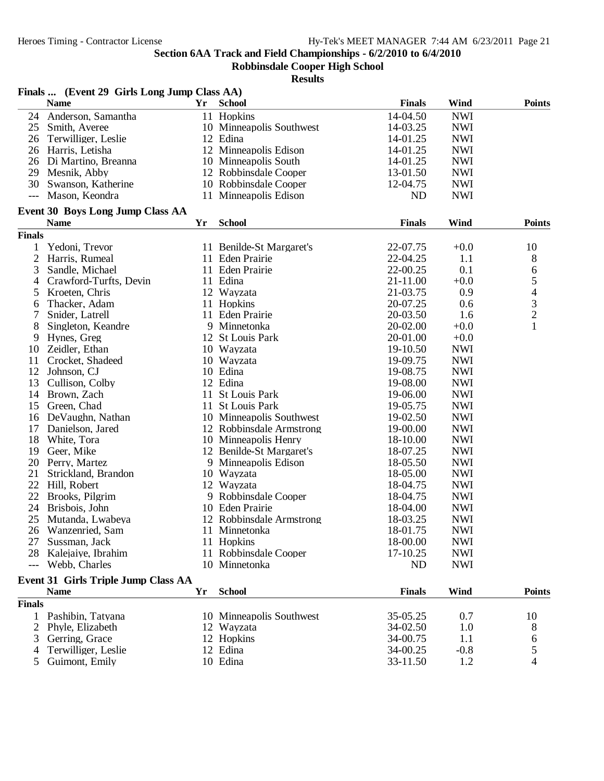**Robbinsdale Cooper High School**

|                | Finals  (Event 29 Girls Long Jump Class AA) |    |                          |                |            |                                                 |
|----------------|---------------------------------------------|----|--------------------------|----------------|------------|-------------------------------------------------|
|                | <b>Name</b>                                 | Yr | <b>School</b>            | <b>Finals</b>  | Wind       | <b>Points</b>                                   |
| 24             | Anderson, Samantha                          |    | 11 Hopkins               | 14-04.50       | <b>NWI</b> |                                                 |
| 25             | Smith, Averee                               |    | 10 Minneapolis Southwest | 14-03.25       | <b>NWI</b> |                                                 |
| 26             | Terwilliger, Leslie                         |    | 12 Edina                 | 14-01.25       | <b>NWI</b> |                                                 |
| 26             | Harris, Letisha                             |    | 12 Minneapolis Edison    | 14-01.25       | <b>NWI</b> |                                                 |
|                | 26 Di Martino, Breanna                      |    | 10 Minneapolis South     | 14-01.25       | <b>NWI</b> |                                                 |
| 29             | Mesnik, Abby                                |    | 12 Robbinsdale Cooper    | 13-01.50       | <b>NWI</b> |                                                 |
| 30             | Swanson, Katherine                          |    | 10 Robbinsdale Cooper    | 12-04.75       | <b>NWI</b> |                                                 |
| $---$          | Mason, Keondra                              |    | 11 Minneapolis Edison    | N <sub>D</sub> | <b>NWI</b> |                                                 |
|                | Event 30 Boys Long Jump Class AA            |    |                          |                |            |                                                 |
|                | <b>Name</b>                                 | Yr | <b>School</b>            | <b>Finals</b>  | Wind       | <b>Points</b>                                   |
| <b>Finals</b>  |                                             |    |                          |                |            |                                                 |
| 1              | Yedoni, Trevor                              |    | 11 Benilde-St Margaret's | 22-07.75       | $+0.0$     | 10                                              |
| $\overline{c}$ | Harris, Rumeal                              |    | 11 Eden Prairie          | 22-04.25       | 1.1        | 8                                               |
| 3              | Sandle, Michael                             |    | 11 Eden Prairie          | 22-00.25       | 0.1        | 6                                               |
| 4              | Crawford-Turfts, Devin                      |    | 11 Edina                 | 21-11.00       | $+0.0$     |                                                 |
| 5              | Kroeten, Chris                              |    | 12 Wayzata               | 21-03.75       | 0.9        | $\begin{array}{c} 5 \\ 4 \\ 3 \\ 2 \end{array}$ |
| 6              | Thacker, Adam                               |    | 11 Hopkins               | 20-07.25       | 0.6        |                                                 |
| 7              | Snider, Latrell                             |    | 11 Eden Prairie          | 20-03.50       | 1.6        |                                                 |
| 8              | Singleton, Keandre                          |    | 9 Minnetonka             | 20-02.00       | $+0.0$     | $\mathbf{1}$                                    |
| 9              | Hynes, Greg                                 |    | 12 St Louis Park         | 20-01.00       | $+0.0$     |                                                 |
| 10             | Zeidler, Ethan                              |    | 10 Wayzata               | 19-10.50       | <b>NWI</b> |                                                 |
| 11             | Crocket, Shadeed                            |    | 10 Wayzata               | 19-09.75       | <b>NWI</b> |                                                 |
| 12             | Johnson, CJ                                 |    | 10 Edina                 | 19-08.75       | <b>NWI</b> |                                                 |
| 13             | Cullison, Colby                             |    | 12 Edina                 | 19-08.00       | <b>NWI</b> |                                                 |
| 14             | Brown, Zach                                 |    | 11 St Louis Park         | 19-06.00       | <b>NWI</b> |                                                 |
| 15             | Green, Chad                                 |    | 11 St Louis Park         | 19-05.75       | <b>NWI</b> |                                                 |
| 16             | DeVaughn, Nathan                            |    | 10 Minneapolis Southwest | 19-02.50       | <b>NWI</b> |                                                 |
| 17             | Danielson, Jared                            |    | 12 Robbinsdale Armstrong | 19-00.00       | <b>NWI</b> |                                                 |
| 18             | White, Tora                                 |    | 10 Minneapolis Henry     | 18-10.00       | <b>NWI</b> |                                                 |
| 19             | Geer, Mike                                  |    | 12 Benilde-St Margaret's | 18-07.25       | <b>NWI</b> |                                                 |
| 20             | Perry, Martez                               |    | 9 Minneapolis Edison     | 18-05.50       | <b>NWI</b> |                                                 |
| 21             | Strickland, Brandon                         |    | 10 Wayzata               | 18-05.00       | <b>NWI</b> |                                                 |
| 22             | Hill, Robert                                |    | 12 Wayzata               | 18-04.75       | <b>NWI</b> |                                                 |
| 22             | Brooks, Pilgrim                             |    | 9 Robbinsdale Cooper     | 18-04.75       | <b>NWI</b> |                                                 |
| 24             | Brisbois, John                              |    | 10 Eden Prairie          | 18-04.00       | <b>NWI</b> |                                                 |
| 25             | Mutanda, Lwabeya                            |    | 12 Robbinsdale Armstrong | 18-03.25       | <b>NWI</b> |                                                 |
|                | 26 Wanzenried, Sam                          |    | 11 Minnetonka            | 18-01.75       | <b>NWI</b> |                                                 |
| 27             | Sussman, Jack                               |    | 11 Hopkins               | 18-00.00       | <b>NWI</b> |                                                 |
| 28             | Kalejaiye, Ibrahim                          |    | 11 Robbinsdale Cooper    | 17-10.25       | <b>NWI</b> |                                                 |
| $---$          | Webb, Charles                               |    | 10 Minnetonka            | <b>ND</b>      | <b>NWI</b> |                                                 |
|                | Event 31 Girls Triple Jump Class AA         |    |                          |                |            |                                                 |
|                | <b>Name</b>                                 | Yr | <b>School</b>            | <b>Finals</b>  | Wind       | <b>Points</b>                                   |
| <b>Finals</b>  |                                             |    |                          |                |            |                                                 |
| 1              | Pashibin, Tatyana                           |    | 10 Minneapolis Southwest | 35-05.25       | 0.7        | 10                                              |
| 2              | Phyle, Elizabeth                            |    | 12 Wayzata               | 34-02.50       | 1.0        | 8                                               |
| 3              | Gerring, Grace                              |    | 12 Hopkins               | 34-00.75       | 1.1        | 6                                               |
| 4              | Terwilliger, Leslie                         |    | 12 Edina                 | 34-00.25       | $-0.8$     | 5                                               |
| 5              | Guimont, Emily                              |    | 10 Edina                 | 33-11.50       | 1.2        | 4                                               |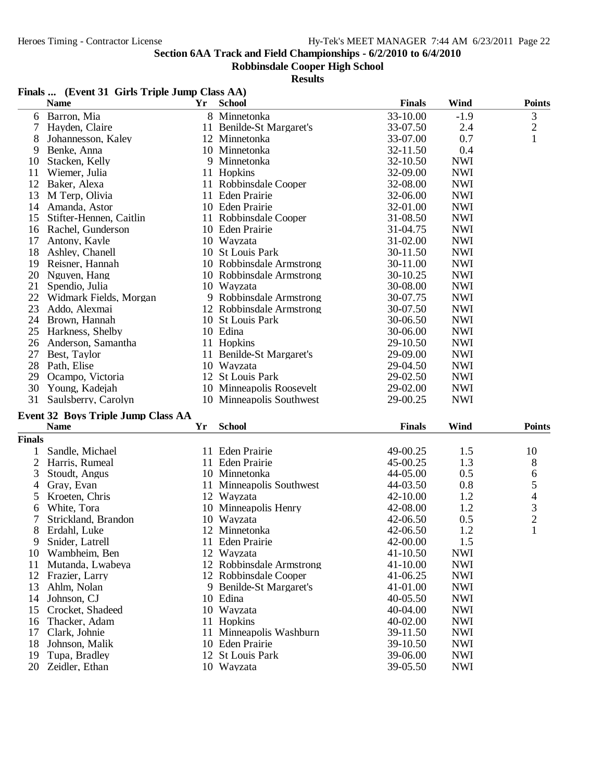## **Robbinsdale Cooper High School**

#### **Results**

|    | <b>Name</b>             | <b>Yr</b> | <b>School</b>            | <b>Finals</b> | Wind       | <b>Points</b> |
|----|-------------------------|-----------|--------------------------|---------------|------------|---------------|
| 6  | Barron, Mia             |           | 8 Minnetonka             | 33-10.00      | $-1.9$     | 3             |
|    | Hayden, Claire          |           | 11 Benilde-St Margaret's | 33-07.50      | 2.4        | $\sqrt{2}$    |
| 8  | Johannesson, Kaley      |           | 12 Minnetonka            | 33-07.00      | 0.7        | $\mathbf{1}$  |
| 9  | Benke, Anna             |           | 10 Minnetonka            | 32-11.50      | 0.4        |               |
| 10 | Stacken, Kelly          |           | 9 Minnetonka             | 32-10.50      | <b>NWI</b> |               |
| 11 | Wiemer, Julia           |           | 11 Hopkins               | 32-09.00      | <b>NWI</b> |               |
| 12 | Baker, Alexa            |           | 11 Robbinsdale Cooper    | 32-08.00      | <b>NWI</b> |               |
| 13 | M Terp, Olivia          |           | 11 Eden Prairie          | 32-06.00      | <b>NWI</b> |               |
| 14 | Amanda, Astor           |           | 10 Eden Prairie          | 32-01.00      | <b>NWI</b> |               |
| 15 | Stifter-Hennen, Caitlin |           | 11 Robbinsdale Cooper    | 31-08.50      | <b>NWI</b> |               |
| 16 | Rachel, Gunderson       |           | 10 Eden Prairie          | 31-04.75      | <b>NWI</b> |               |
| 17 | Antony, Kayle           |           | 10 Wayzata               | 31-02.00      | <b>NWI</b> |               |
| 18 | Ashley, Chanell         |           | 10 St Louis Park         | 30-11.50      | <b>NWI</b> |               |
| 19 | Reisner, Hannah         |           | 10 Robbinsdale Armstrong | 30-11.00      | <b>NWI</b> |               |
| 20 | Nguyen, Hang            |           | 10 Robbinsdale Armstrong | 30-10.25      | <b>NWI</b> |               |
| 21 | Spendio, Julia          |           | 10 Wayzata               | 30-08.00      | <b>NWI</b> |               |
| 22 | Widmark Fields, Morgan  |           | 9 Robbinsdale Armstrong  | 30-07.75      | <b>NWI</b> |               |
| 23 | Addo, Alexmai           |           | 12 Robbinsdale Armstrong | 30-07.50      | <b>NWI</b> |               |
| 24 | Brown, Hannah           |           | 10 St Louis Park         | 30-06.50      | <b>NWI</b> |               |
| 25 | Harkness, Shelby        |           | 10 Edina                 | 30-06.00      | <b>NWI</b> |               |
| 26 | Anderson, Samantha      |           | 11 Hopkins               | 29-10.50      | <b>NWI</b> |               |
| 27 | Best, Taylor            |           | 11 Benilde-St Margaret's | 29-09.00      | <b>NWI</b> |               |
| 28 | Path, Elise             |           | 10 Wayzata               | 29-04.50      | <b>NWI</b> |               |
| 29 | Ocampo, Victoria        |           | 12 St Louis Park         | 29-02.50      | <b>NWI</b> |               |
| 30 | Young, Kadejah          |           | 10 Minneapolis Roosevelt | 29-02.00      | <b>NWI</b> |               |
| 31 | Saulsberry, Carolyn     |           | 10 Minneapolis Southwest | 29-00.25      | <b>NWI</b> |               |

## **Event 32 Boys Triple Jump Class AA**

|               | <b>Name</b>         | Yr | <b>School</b>            | <b>Finals</b> | Wind       | <b>Points</b>  |
|---------------|---------------------|----|--------------------------|---------------|------------|----------------|
| <b>Finals</b> |                     |    |                          |               |            |                |
|               | Sandle, Michael     | 11 | Eden Prairie             | 49-00.25      | 1.5        | 10             |
| 2             | Harris, Rumeal      |    | 11 Eden Prairie          | $45-00.25$    | 1.3        | 8              |
| 3             | Stoudt, Angus       |    | 10 Minnetonka            | 44-05.00      | 0.5        | 6              |
| 4             | Gray, Evan          |    | 11 Minneapolis Southwest | 44-03.50      | 0.8        | 5              |
| 5.            | Kroeten, Chris      |    | 12 Wayzata               | 42-10.00      | 1.2        | 4              |
| 6             | White, Tora         |    | 10 Minneapolis Henry     | 42-08.00      | 1.2        | 3              |
|               | Strickland, Brandon |    | 10 Wayzata               | 42-06.50      | 0.5        | $\overline{2}$ |
| 8             | Erdahl, Luke        |    | 12 Minnetonka            | 42-06.50      | 1.2        | 1              |
| 9             | Snider, Latrell     |    | 11 Eden Prairie          | 42-00.00      | 1.5        |                |
| 10            | Wambheim, Ben       |    | 12 Wayzata               | 41-10.50      | <b>NWI</b> |                |
| 11            | Mutanda, Lwabeya    |    | 12 Robbinsdale Armstrong | 41-10.00      | <b>NWI</b> |                |
| 12            | Frazier, Larry      |    | 12 Robbinsdale Cooper    | 41-06.25      | <b>NWI</b> |                |
| 13            | Ahlm, Nolan         |    | 9 Benilde-St Margaret's  | 41-01.00      | <b>NWI</b> |                |
| 14            | Johnson, CJ         |    | 10 Edina                 | 40-05.50      | <b>NWI</b> |                |
| 15            | Crocket, Shadeed    |    | 10 Wayzata               | 40-04.00      | <b>NWI</b> |                |
| 16            | Thacker, Adam       |    | 11 Hopkins               | $40 - 02.00$  | <b>NWI</b> |                |
| 17            | Clark, Johnie       |    | 11 Minneapolis Washburn  | 39-11.50      | <b>NWI</b> |                |
| 18            | Johnson, Malik      | 10 | Eden Prairie             | 39-10.50      | <b>NWI</b> |                |
| 19            | Tupa, Bradley       |    | 12 St Louis Park         | 39-06.00      | <b>NWI</b> |                |
| 20            | Zeidler, Ethan      |    | 10 Wayzata               | 39-05.50      | <b>NWI</b> |                |

#### **Finals ... (Event 31 Girls Triple Jump Class AA)**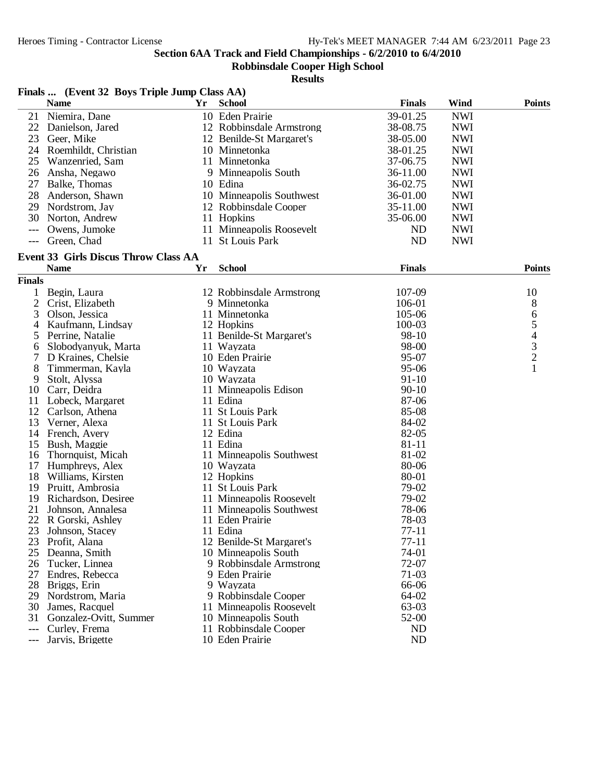**Robbinsdale Cooper High School**

| Finals  (Event 32 Boys Triple Jump Class AA) |                                             |    |                              |                |            |                                            |
|----------------------------------------------|---------------------------------------------|----|------------------------------|----------------|------------|--------------------------------------------|
|                                              | <b>Name</b>                                 | Yr | School                       | <b>Finals</b>  | Wind       | <b>Points</b>                              |
| 21                                           | Niemira, Dane                               |    | 10 Eden Prairie              | 39-01.25       | <b>NWI</b> |                                            |
| 22                                           | Danielson, Jared                            |    | 12 Robbinsdale Armstrong     | 38-08.75       | <b>NWI</b> |                                            |
| 23                                           | Geer, Mike                                  |    | 12 Benilde-St Margaret's     | 38-05.00       | <b>NWI</b> |                                            |
| 24                                           | Roemhildt, Christian                        |    | 10 Minnetonka                | 38-01.25       | <b>NWI</b> |                                            |
| 25                                           | Wanzenried, Sam                             |    | 11 Minnetonka                | 37-06.75       | <b>NWI</b> |                                            |
| 26                                           | Ansha, Negawo                               |    | 9 Minneapolis South          | 36-11.00       | <b>NWI</b> |                                            |
| 27                                           | Balke, Thomas                               |    | 10 Edina                     | 36-02.75       | <b>NWI</b> |                                            |
|                                              | 28 Anderson, Shawn                          |    | 10 Minneapolis Southwest     | 36-01.00       | <b>NWI</b> |                                            |
| 29                                           | Nordstrom, Jay                              |    | 12 Robbinsdale Cooper        | 35-11.00       | <b>NWI</b> |                                            |
| 30                                           | Norton, Andrew                              |    | 11 Hopkins                   | 35-06.00       | <b>NWI</b> |                                            |
| $---$                                        | Owens, Jumoke                               |    | 11 Minneapolis Roosevelt     | ND             | <b>NWI</b> |                                            |
| $---$                                        | Green, Chad                                 |    | 11 St Louis Park             | ND             | <b>NWI</b> |                                            |
|                                              |                                             |    |                              |                |            |                                            |
|                                              | <b>Event 33 Girls Discus Throw Class AA</b> |    |                              |                |            |                                            |
|                                              | <b>Name</b>                                 | Yr | <b>School</b>                | <b>Finals</b>  |            | <b>Points</b>                              |
| <b>Finals</b>                                |                                             |    |                              |                |            |                                            |
| 1                                            | Begin, Laura                                |    | 12 Robbinsdale Armstrong     | 107-09         |            | 10                                         |
| $\overline{c}$                               | Crist, Elizabeth                            |    | 9 Minnetonka                 | 106-01         |            | 8                                          |
| 3                                            | Olson, Jessica                              |    | 11 Minnetonka                | 105-06         |            | $\begin{array}{c} 6 \\ 5 \end{array}$      |
| 4                                            | Kaufmann, Lindsay                           |    | 12 Hopkins                   | 100-03         |            |                                            |
| 5                                            | Perrine, Natalie                            |    | 11 Benilde-St Margaret's     | 98-10          |            | $\begin{array}{c} 4 \\ 3 \\ 2 \end{array}$ |
| 6                                            | Slobodyanyuk, Marta                         |    | 11 Wayzata                   | 98-00          |            |                                            |
| 7                                            | D Kraines, Chelsie                          |    | 10 Eden Prairie              | 95-07          |            |                                            |
| 8                                            | Timmerman, Kayla                            |    | 10 Wayzata                   | 95-06          |            | $\mathbf{1}$                               |
| 9                                            | Stolt, Alyssa                               |    | 10 Wayzata                   | $91-10$        |            |                                            |
| 10                                           | Carr, Deidra                                |    | 11 Minneapolis Edison        | $90 - 10$      |            |                                            |
| 11                                           | Lobeck, Margaret                            |    | 11 Edina                     | 87-06          |            |                                            |
| 12                                           | Carlson, Athena                             |    | 11 St Louis Park             | 85-08          |            |                                            |
| 13                                           | Verner, Alexa                               |    | 11 St Louis Park<br>12 Edina | 84-02<br>82-05 |            |                                            |
| 14<br>15                                     | French, Avery                               |    | 11 Edina                     | $81 - 11$      |            |                                            |
| 16                                           | Bush, Maggie<br>Thornquist, Micah           |    | 11 Minneapolis Southwest     | 81-02          |            |                                            |
| 17                                           | Humphreys, Alex                             |    | 10 Wayzata                   | 80-06          |            |                                            |
| 18                                           | Williams, Kirsten                           |    | 12 Hopkins                   | 80-01          |            |                                            |
| 19                                           | Pruitt, Ambrosia                            |    | 11 St Louis Park             | 79-02          |            |                                            |
| 19                                           | Richardson, Desiree                         |    | 11 Minneapolis Roosevelt     | 79-02          |            |                                            |
| 21                                           | Johnson, Annalesa                           |    | 11 Minneapolis Southwest     | 78-06          |            |                                            |
|                                              | 22 R Gorski, Ashley                         |    | 11 Eden Prairie              | 78-03          |            |                                            |
| 23                                           | Johnson, Stacey                             |    | 11 Edina                     | 77-11          |            |                                            |
| 23                                           | Profit, Alana                               |    | 12 Benilde-St Margaret's     | $77 - 11$      |            |                                            |
| 25                                           | Deanna, Smith                               |    | 10 Minneapolis South         | 74-01          |            |                                            |
| 26                                           | Tucker, Linnea                              |    | 9 Robbinsdale Armstrong      | 72-07          |            |                                            |
| 27                                           | Endres, Rebecca                             |    | 9 Eden Prairie               | $71-03$        |            |                                            |
| 28                                           | Briggs, Erin                                |    | 9 Wayzata                    | 66-06          |            |                                            |
| 29                                           | Nordstrom, Maria                            |    | 9 Robbinsdale Cooper         | 64-02          |            |                                            |
| 30                                           | James, Racquel                              |    | 11 Minneapolis Roosevelt     | 63-03          |            |                                            |
| 31                                           | Gonzalez-Ovitt, Summer                      |    | 10 Minneapolis South         | 52-00          |            |                                            |
| ---                                          | Curley, Frema                               |    | 11 Robbinsdale Cooper        | ND             |            |                                            |
| $---$                                        | Jarvis, Brigette                            |    | 10 Eden Prairie              | ND             |            |                                            |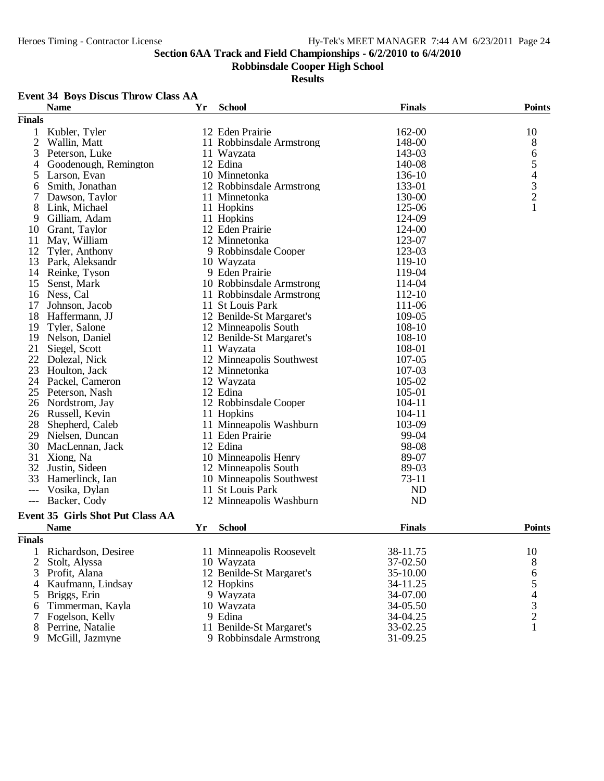**Robbinsdale Cooper High School**

**Results**

## **Event 34 Boys Discus Throw Class AA**

|                | <b>Name</b>                             | Yr | <b>School</b>            | <b>Finals</b> | <b>Points</b>                                   |
|----------------|-----------------------------------------|----|--------------------------|---------------|-------------------------------------------------|
| <b>Finals</b>  |                                         |    |                          |               |                                                 |
| 1              | Kubler, Tyler                           |    | 12 Eden Prairie          | 162-00        | 10                                              |
| $\mathfrak{2}$ | Wallin, Matt                            |    | 11 Robbinsdale Armstrong | 148-00        | 8                                               |
| 3              | Peterson, Luke                          |    | 11 Wayzata               | 143-03        | 6                                               |
| 4              | Goodenough, Remington                   |    | 12 Edina                 | 140-08        | 5                                               |
| 5              | Larson, Evan                            |    | 10 Minnetonka            | 136-10        |                                                 |
| 6              | Smith, Jonathan                         |    | 12 Robbinsdale Armstrong | 133-01        |                                                 |
| 7              | Dawson, Taylor                          |    | 11 Minnetonka            | 130-00        | $\begin{array}{c} 4 \\ 3 \\ 2 \\ 1 \end{array}$ |
| 8              | Link, Michael                           |    | 11 Hopkins               | 125-06        |                                                 |
| 9              | Gilliam, Adam                           |    | 11 Hopkins               | 124-09        |                                                 |
| 10             | Grant, Taylor                           |    | 12 Eden Prairie          | 124-00        |                                                 |
| 11             | May, William                            |    | 12 Minnetonka            | 123-07        |                                                 |
| 12             | Tyler, Anthony                          |    | 9 Robbinsdale Cooper     | 123-03        |                                                 |
| 13             | Park, Aleksandr                         |    | 10 Wayzata               | 119-10        |                                                 |
| 14             | Reinke, Tyson                           |    | 9 Eden Prairie           | 119-04        |                                                 |
| 15             | Senst, Mark                             |    | 10 Robbinsdale Armstrong | 114-04        |                                                 |
| 16             | Ness, Cal                               |    | 11 Robbinsdale Armstrong | 112-10        |                                                 |
| 17             | Johnson, Jacob                          |    | 11 St Louis Park         | 111-06        |                                                 |
| 18             | Haffermann, JJ                          |    | 12 Benilde-St Margaret's | 109-05        |                                                 |
| 19             | Tyler, Salone                           |    | 12 Minneapolis South     | 108-10        |                                                 |
| 19             | Nelson, Daniel                          |    | 12 Benilde-St Margaret's | 108-10        |                                                 |
| 21             | Siegel, Scott                           |    | 11 Wayzata               | 108-01        |                                                 |
| 22             |                                         |    | 12 Minneapolis Southwest | 107-05        |                                                 |
| 23             | Dolezal, Nick<br>Houlton, Jack          |    | 12 Minnetonka            | 107-03        |                                                 |
|                |                                         |    |                          |               |                                                 |
| 24             | Packel, Cameron                         |    | 12 Wayzata               | 105-02        |                                                 |
| 25             | Peterson, Nash                          |    | 12 Edina                 | 105-01        |                                                 |
| 26             | Nordstrom, Jay                          |    | 12 Robbinsdale Cooper    | $104 - 11$    |                                                 |
| 26             | Russell, Kevin                          |    | 11 Hopkins               | 104-11        |                                                 |
| 28             | Shepherd, Caleb                         |    | 11 Minneapolis Washburn  | 103-09        |                                                 |
| 29             | Nielsen, Duncan                         |    | 11 Eden Prairie          | 99-04         |                                                 |
| 30             | MacLennan, Jack                         |    | 12 Edina                 | 98-08         |                                                 |
| 31             | Xiong, Na                               |    | 10 Minneapolis Henry     | 89-07         |                                                 |
| 32             | Justin, Sideen                          |    | 12 Minneapolis South     | 89-03         |                                                 |
| 33             | Hamerlinck, Ian                         |    | 10 Minneapolis Southwest | $73-11$       |                                                 |
| $---$          | Vosika, Dylan                           |    | 11 St Louis Park         | ND            |                                                 |
| $---$          | Backer, Cody                            |    | 12 Minneapolis Washburn  | <b>ND</b>     |                                                 |
|                | <b>Event 35 Girls Shot Put Class AA</b> |    |                          |               |                                                 |
|                | <b>Name</b>                             | Yr | <b>School</b>            | <b>Finals</b> | <b>Points</b>                                   |
| <b>Finals</b>  |                                         |    |                          |               |                                                 |
| 1              | Richardson, Desiree                     |    | 11 Minneapolis Roosevelt | 38-11.75      | 10                                              |
| $\overline{2}$ | Stolt, Alyssa                           |    | 10 Wayzata               | 37-02.50      | 8                                               |
| 3              | Profit, Alana                           |    | 12 Benilde-St Margaret's | 35-10.00      | 6                                               |
| 4              | Kaufmann, Lindsay                       |    | 12 Hopkins               | 34-11.25      | 5                                               |
| 5              | Briggs, Erin                            |    | 9 Wayzata                | 34-07.00      |                                                 |
|                | Timmerman, Kayla                        |    | 10 Wayzata               | 34-05.50      | $rac{4}{3}$                                     |
| 6              |                                         |    | 9 Edina                  | 34-04.25      | $\overline{c}$                                  |
| 7              | Fogelson, Kelly<br>Perrine, Natalie     |    | 11 Benilde-St Margaret's | 33-02.25      | $\mathbf{1}$                                    |
| 8              |                                         |    |                          |               |                                                 |
| 9              | McGill, Jazmyne                         |    | 9 Robbinsdale Armstrong  | 31-09.25      |                                                 |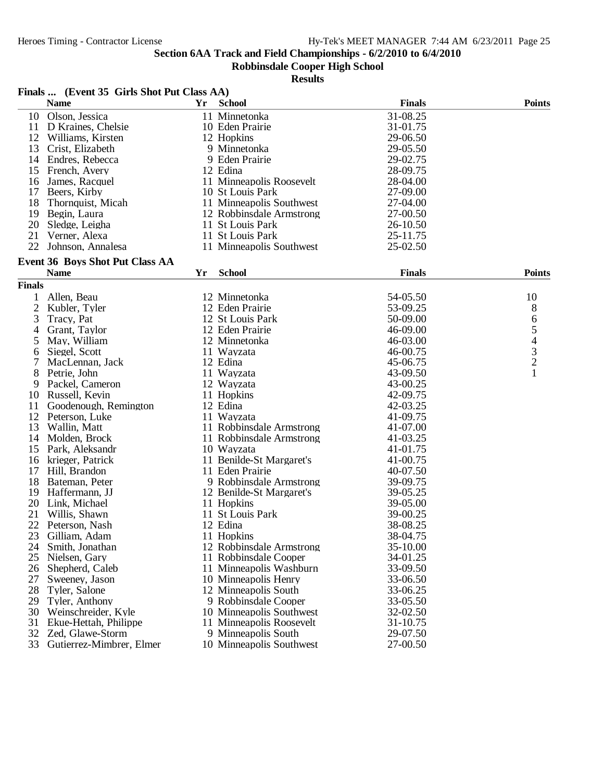**Robbinsdale Cooper High School**

|               | Finals  (Event 35 Girls Shot Put Class AA) |    |                          |               |                |
|---------------|--------------------------------------------|----|--------------------------|---------------|----------------|
|               | <b>Name</b>                                | Yr | <b>School</b>            | <b>Finals</b> | <b>Points</b>  |
| 10            | Olson, Jessica                             |    | 11 Minnetonka            | 31-08.25      |                |
| 11            | D Kraines, Chelsie                         |    | 10 Eden Prairie          | 31-01.75      |                |
| 12            | Williams, Kirsten                          |    | 12 Hopkins               | 29-06.50      |                |
| 13            | Crist, Elizabeth                           |    | 9 Minnetonka             | 29-05.50      |                |
| 14            | Endres, Rebecca                            |    | 9 Eden Prairie           | 29-02.75      |                |
| 15            | French, Avery                              |    | 12 Edina                 | 28-09.75      |                |
| 16            | James, Racquel                             |    | 11 Minneapolis Roosevelt | 28-04.00      |                |
| 17            | Beers, Kirby                               |    | 10 St Louis Park         | 27-09.00      |                |
| 18            | Thornquist, Micah                          |    | 11 Minneapolis Southwest | 27-04.00      |                |
| 19            | Begin, Laura                               |    | 12 Robbinsdale Armstrong | 27-00.50      |                |
| 20            | Sledge, Leigha                             |    | 11 St Louis Park         | 26-10.50      |                |
| 21            | Verner, Alexa                              |    | 11 St Louis Park         | 25-11.75      |                |
| 22            | Johnson, Annalesa                          |    | 11 Minneapolis Southwest | 25-02.50      |                |
|               |                                            |    |                          |               |                |
|               | <b>Event 36 Boys Shot Put Class AA</b>     |    |                          |               |                |
|               | <b>Name</b>                                | Yr | <b>School</b>            | <b>Finals</b> | <b>Points</b>  |
| <b>Finals</b> |                                            |    |                          |               |                |
| 1             | Allen, Beau                                |    | 12 Minnetonka            | 54-05.50      | 10             |
| 2             | Kubler, Tyler                              |    | 12 Eden Prairie          | 53-09.25      | 8              |
| 3             | Tracy, Pat                                 |    | 12 St Louis Park         | 50-09.00      | 6              |
| 4             | Grant, Taylor                              |    | 12 Eden Prairie          | 46-09.00      | 5              |
| 5             | May, William                               |    | 12 Minnetonka            | 46-03.00      | $\overline{4}$ |
| 6             | Siegel, Scott                              |    | 11 Wayzata               | 46-00.75      |                |
| 7             | MacLennan, Jack                            |    | 12 Edina                 | 45-06.75      | $\frac{3}{2}$  |
| 8             | Petrie, John                               |    | 11 Wayzata               | 43-09.50      | 1              |
| 9             | Packel, Cameron                            |    | 12 Wayzata               | 43-00.25      |                |
| 10            | Russell, Kevin                             |    | 11 Hopkins               | 42-09.75      |                |
| 11            | Goodenough, Remington                      |    | 12 Edina                 | 42-03.25      |                |
| 12            | Peterson, Luke                             |    | 11 Wayzata               | 41-09.75      |                |
| 13            | Wallin, Matt                               |    | 11 Robbinsdale Armstrong | 41-07.00      |                |
| 14            | Molden, Brock                              |    | 11 Robbinsdale Armstrong | 41-03.25      |                |
| 15            | Park, Aleksandr                            |    | 10 Wayzata               | 41-01.75      |                |
| 16            | krieger, Patrick                           |    | 11 Benilde-St Margaret's | 41-00.75      |                |
| 17            | Hill, Brandon                              |    | 11 Eden Prairie          | 40-07.50      |                |
| 18            | Bateman, Peter                             |    | 9 Robbinsdale Armstrong  | 39-09.75      |                |
| 19            | Haffermann, JJ                             |    | 12 Benilde-St Margaret's | 39-05.25      |                |
| 20            | Link, Michael                              |    | 11 Hopkins               | 39-05.00      |                |
| 21            | Willis, Shawn                              |    | 11 St Louis Park         | 39-00.25      |                |
| 22            | Peterson, Nash                             |    | 12 Edina                 | 38-08.25      |                |
| 23            | Gilliam, Adam                              |    | 11 Hopkins               | 38-04.75      |                |
| 24            | Smith, Jonathan                            |    | 12 Robbinsdale Armstrong | 35-10.00      |                |
| 25            | Nielsen, Gary                              |    | 11 Robbinsdale Cooper    | 34-01.25      |                |
| 26            | Shepherd, Caleb                            |    | 11 Minneapolis Washburn  | 33-09.50      |                |
| 27            | Sweeney, Jason                             |    | 10 Minneapolis Henry     | 33-06.50      |                |
| 28            | Tyler, Salone                              |    | 12 Minneapolis South     | 33-06.25      |                |
| 29            | Tyler, Anthony                             |    | 9 Robbinsdale Cooper     | 33-05.50      |                |
| 30            | Weinschreider, Kyle                        |    | 10 Minneapolis Southwest | 32-02.50      |                |
| 31            | Ekue-Hettah, Philippe                      |    | 11 Minneapolis Roosevelt | 31-10.75      |                |
| 32            | Zed, Glawe-Storm                           |    | 9 Minneapolis South      | 29-07.50      |                |
| 33            | Gutierrez-Mimbrer, Elmer                   |    | 10 Minneapolis Southwest | 27-00.50      |                |